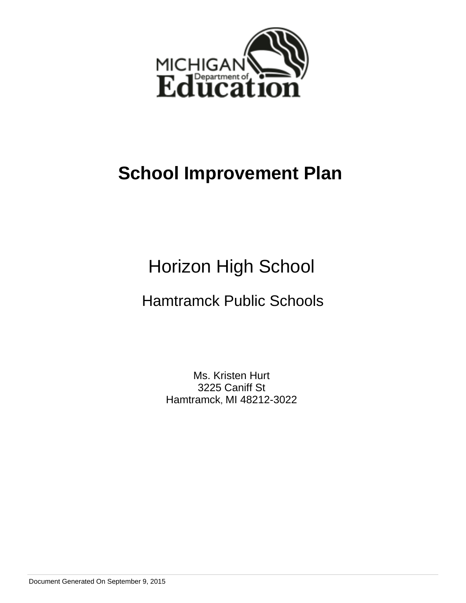

# **School Improvement Plan**

# Horizon High School

## Hamtramck Public Schools

Ms. Kristen Hurt 3225 Caniff St Hamtramck, MI 48212-3022

Document Generated On September 9, 2015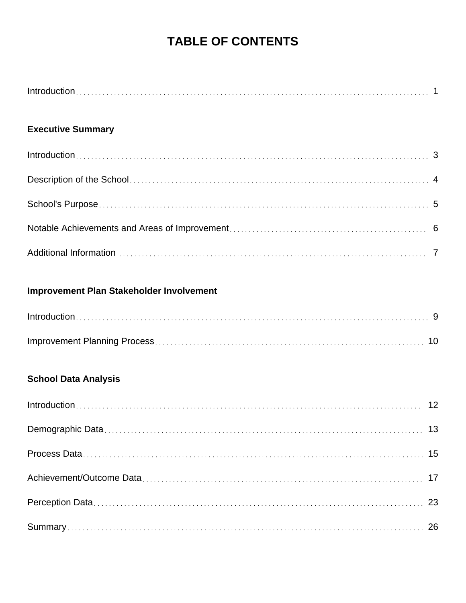## **TABLE OF CONTENTS**

## **Executive Summary**

## **Improvement Plan Stakeholder Involvement**

## **School Data Analysis**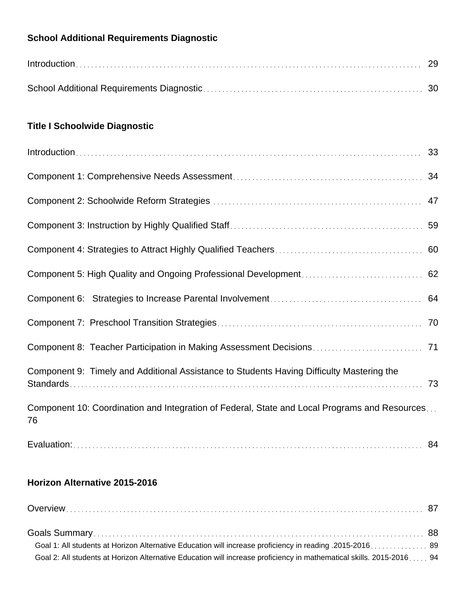## **School Additional Requirements Diagnostic**

| $Introduction \dots 29$ |  |
|-------------------------|--|
|                         |  |

## **Title I Schoolwide Diagnostic**

| Component 9: Timely and Additional Assistance to Students Having Difficulty Mastering the           | 73 |
|-----------------------------------------------------------------------------------------------------|----|
| Component 10: Coordination and Integration of Federal, State and Local Programs and Resources<br>76 |    |
|                                                                                                     |    |

## **Horizon Alternative 2015-2016**

| Goal 2: All students at Horizon Alternative Education will increase proficiency in mathematical skills. 2015-2016 94 |  |
|----------------------------------------------------------------------------------------------------------------------|--|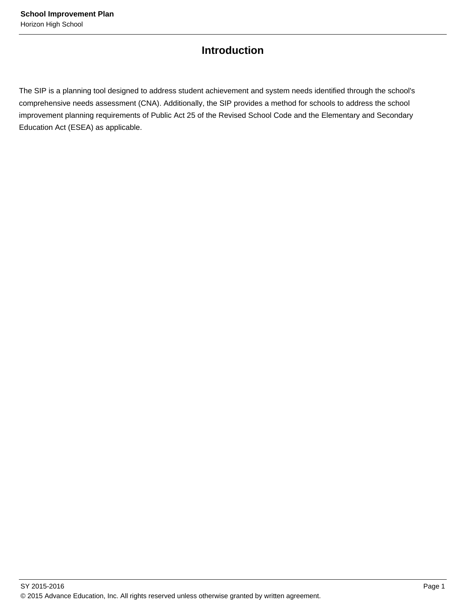## **Introduction**

The SIP is a planning tool designed to address student achievement and system needs identified through the school's comprehensive needs assessment (CNA). Additionally, the SIP provides a method for schools to address the school improvement planning requirements of Public Act 25 of the Revised School Code and the Elementary and Secondary Education Act (ESEA) as applicable.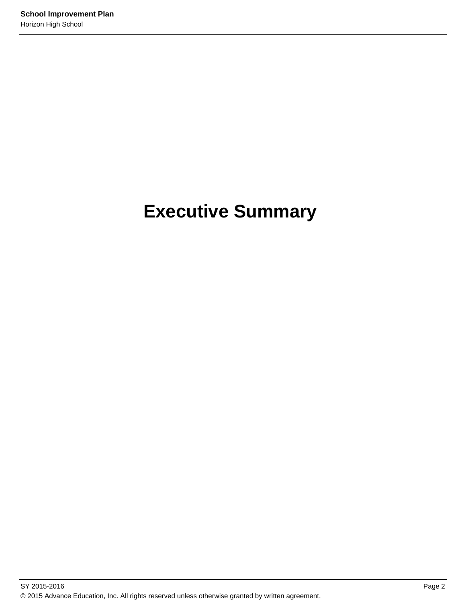# **Executive Summary**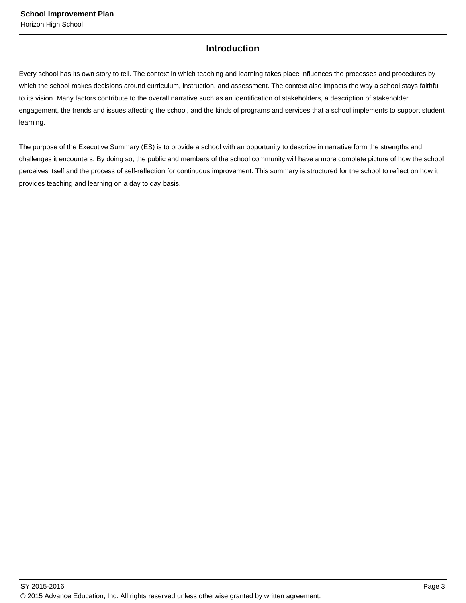## **Introduction**

Every school has its own story to tell. The context in which teaching and learning takes place influences the processes and procedures by which the school makes decisions around curriculum, instruction, and assessment. The context also impacts the way a school stays faithful to its vision. Many factors contribute to the overall narrative such as an identification of stakeholders, a description of stakeholder engagement, the trends and issues affecting the school, and the kinds of programs and services that a school implements to support student learning.

The purpose of the Executive Summary (ES) is to provide a school with an opportunity to describe in narrative form the strengths and challenges it encounters. By doing so, the public and members of the school community will have a more complete picture of how the school perceives itself and the process of self-reflection for continuous improvement. This summary is structured for the school to reflect on how it provides teaching and learning on a day to day basis.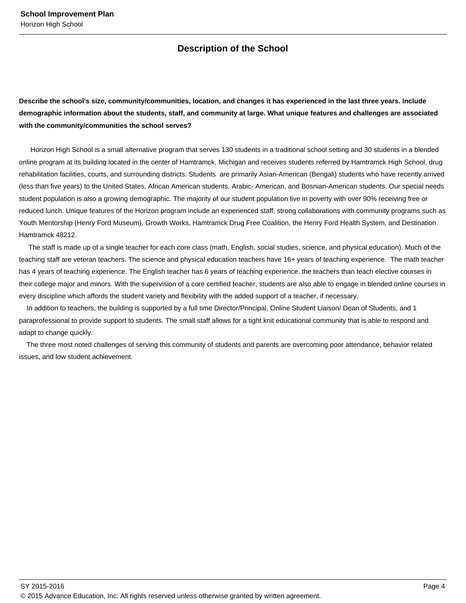## **Description of the School**

**Describe the school's size, community/communities, location, and changes it has experienced in the last three years. Include demographic information about the students, staff, and community at large. What unique features and challenges are associated with the community/communities the school serves?**

 Horizon High School is a small alternative program that serves 130 students in a traditional school setting and 30 students in a blended online program at its building located in the center of Hamtramck, Michigan and receives students referred by Hamtramck High School, drug rehabilitation facilities, courts, and surrounding districts. Students are primarily Asian-American (Bengali) students who have recently arrived (less than five years) to the United States, African American students, Arabic- American, and Bosnian-American students. Our special needs student population is also a growing demographic. The majority of our student population live in poverty with over 90% receiving free or reduced lunch. Unique features of the Horizon program include an experienced staff, strong collaborations with community programs such as Youth Mentorship (Henry Ford Museum), Growth Works, Hamtramck Drug Free Coalition, the Henry Ford Health System, and Destination Hamtramck 48212.

 The staff is made up of a single teacher for each core class (math, English, social studies, science, and physical education). Much of the teaching staff are veteran teachers. The science and physical education teachers have 16+ years of teaching experience. The math teacher has 4 years of teaching experience. The English teacher has 6 years of teaching experience. the teachers than teach elective courses in their college major and minors. With the supervision of a core certified teacher, students are also able to engage in blended online courses in every discipline which affords the student variety and flexibility with the added support of a teacher, if necessary.

 In addition to teachers, the building is supported by a full time Director/Principal, Online Student Liaison/ Dean of Students, and 1 paraprofessional to provide support to students. The small staff allows for a tight knit educational community that is able to respond and adapt to change quickly.

 The three most noted challenges of serving this community of students and parents are overcoming poor attendance, behavior related issues, and low student achievement.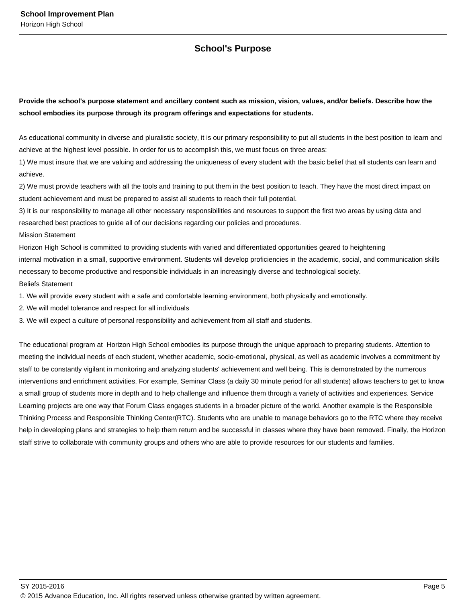## **School's Purpose**

**Provide the school's purpose statement and ancillary content such as mission, vision, values, and/or beliefs. Describe how the school embodies its purpose through its program offerings and expectations for students.**

As educational community in diverse and pluralistic society, it is our primary responsibility to put all students in the best position to learn and achieve at the highest level possible. In order for us to accomplish this, we must focus on three areas:

1) We must insure that we are valuing and addressing the uniqueness of every student with the basic belief that all students can learn and achieve.

2) We must provide teachers with all the tools and training to put them in the best position to teach. They have the most direct impact on student achievement and must be prepared to assist all students to reach their full potential.

3) It is our responsibility to manage all other necessary responsibilities and resources to support the first two areas by using data and researched best practices to guide all of our decisions regarding our policies and procedures.

Mission Statement

Horizon High School is committed to providing students with varied and differentiated opportunities geared to heightening internal motivation in a small, supportive environment. Students will develop proficiencies in the academic, social, and communication skills necessary to become productive and responsible individuals in an increasingly diverse and technological society. Beliefs Statement

1. We will provide every student with a safe and comfortable learning environment, both physically and emotionally.

2. We will model tolerance and respect for all individuals

3. We will expect a culture of personal responsibility and achievement from all staff and students.

The educational program at Horizon High School embodies its purpose through the unique approach to preparing students. Attention to meeting the individual needs of each student, whether academic, socio-emotional, physical, as well as academic involves a commitment by staff to be constantly vigilant in monitoring and analyzing students' achievement and well being. This is demonstrated by the numerous interventions and enrichment activities. For example, Seminar Class (a daily 30 minute period for all students) allows teachers to get to know a small group of students more in depth and to help challenge and influence them through a variety of activities and experiences. Service Learning projects are one way that Forum Class engages students in a broader picture of the world. Another example is the Responsible Thinking Process and Responsible Thinking Center(RTC). Students who are unable to manage behaviors go to the RTC where they receive help in developing plans and strategies to help them return and be successful in classes where they have been removed. Finally, the Horizon staff strive to collaborate with community groups and others who are able to provide resources for our students and families.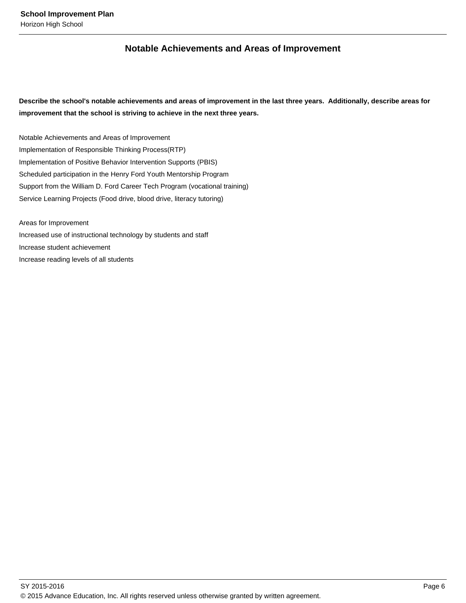## **Notable Achievements and Areas of Improvement**

**Describe the school's notable achievements and areas of improvement in the last three years. Additionally, describe areas for improvement that the school is striving to achieve in the next three years.**

Notable Achievements and Areas of Improvement Implementation of Responsible Thinking Process(RTP) Implementation of Positive Behavior Intervention Supports (PBIS) Scheduled participation in the Henry Ford Youth Mentorship Program Support from the William D. Ford Career Tech Program (vocational training) Service Learning Projects (Food drive, blood drive, literacy tutoring)

Areas for Improvement Increased use of instructional technology by students and staff Increase student achievement Increase reading levels of all students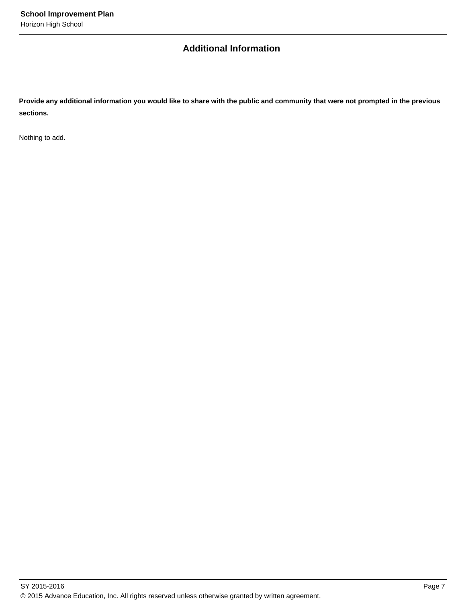## **Additional Information**

**Provide any additional information you would like to share with the public and community that were not prompted in the previous sections.**

Nothing to add.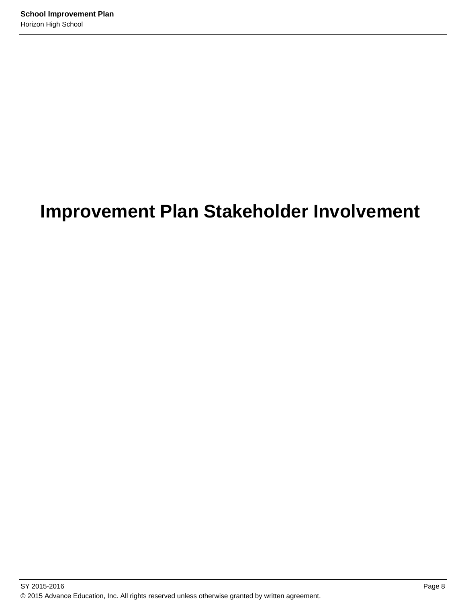# **Improvement Plan Stakeholder Involvement**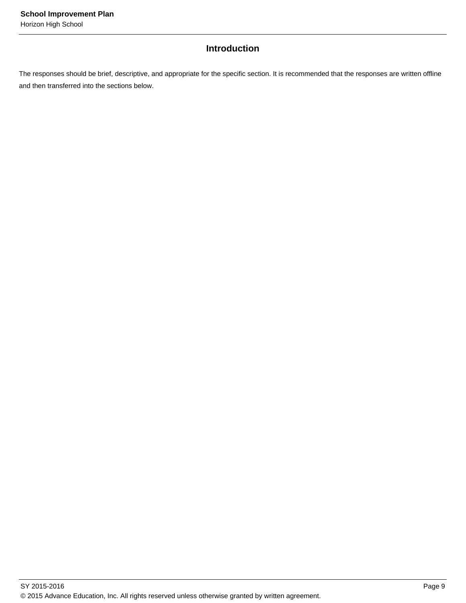## **Introduction**

The responses should be brief, descriptive, and appropriate for the specific section. It is recommended that the responses are written offline and then transferred into the sections below.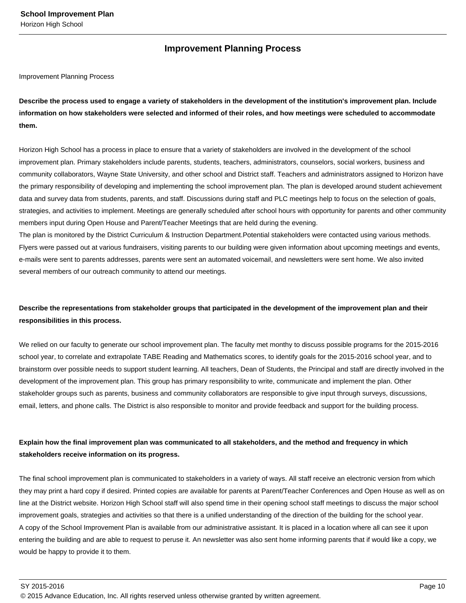## **Improvement Planning Process**

#### Improvement Planning Process

**Describe the process used to engage a variety of stakeholders in the development of the institution's improvement plan. Include information on how stakeholders were selected and informed of their roles, and how meetings were scheduled to accommodate them.** 

Horizon High School has a process in place to ensure that a variety of stakeholders are involved in the development of the school improvement plan. Primary stakeholders include parents, students, teachers, administrators, counselors, social workers, business and community collaborators, Wayne State University, and other school and District staff. Teachers and administrators assigned to Horizon have the primary responsibility of developing and implementing the school improvement plan. The plan is developed around student achievement data and survey data from students, parents, and staff. Discussions during staff and PLC meetings help to focus on the selection of goals, strategies, and activities to implement. Meetings are generally scheduled after school hours with opportunity for parents and other community members input during Open House and Parent/Teacher Meetings that are held during the evening.

The plan is monitored by the District Curriculum & Instruction Department.Potential stakeholders were contacted using various methods. Flyers were passed out at various fundraisers, visiting parents to our building were given information about upcoming meetings and events, e-mails were sent to parents addresses, parents were sent an automated voicemail, and newsletters were sent home. We also invited several members of our outreach community to attend our meetings.

## **Describe the representations from stakeholder groups that participated in the development of the improvement plan and their responsibilities in this process.**

We relied on our faculty to generate our school improvement plan. The faculty met monthy to discuss possible programs for the 2015-2016 school year, to correlate and extrapolate TABE Reading and Mathematics scores, to identify goals for the 2015-2016 school year, and to brainstorm over possible needs to support student learning. All teachers, Dean of Students, the Principal and staff are directly involved in the development of the improvement plan. This group has primary responsibility to write, communicate and implement the plan. Other stakeholder groups such as parents, business and community collaborators are responsible to give input through surveys, discussions, email, letters, and phone calls. The District is also responsible to monitor and provide feedback and support for the building process.

## **Explain how the final improvement plan was communicated to all stakeholders, and the method and frequency in which stakeholders receive information on its progress.**

The final school improvement plan is communicated to stakeholders in a variety of ways. All staff receive an electronic version from which they may print a hard copy if desired. Printed copies are available for parents at Parent/Teacher Conferences and Open House as well as on line at the District website. Horizon High School staff will also spend time in their opening school staff meetings to discuss the major school improvement goals, strategies and activities so that there is a unified understanding of the direction of the building for the school year. A copy of the School Improvement Plan is available from our administrative assistant. It is placed in a location where all can see it upon entering the building and are able to request to peruse it. An newsletter was also sent home informing parents that if would like a copy, we would be happy to provide it to them.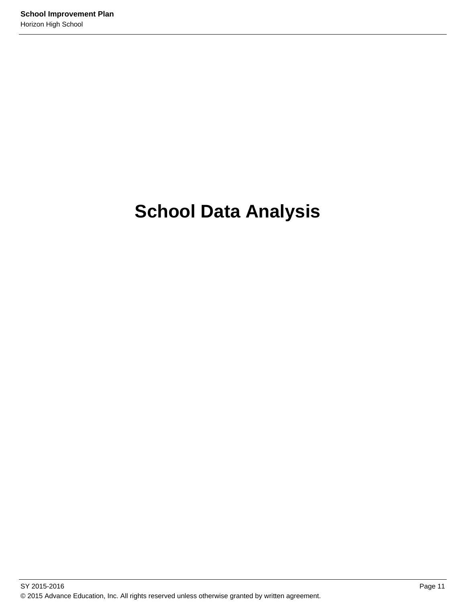# **School Data Analysis**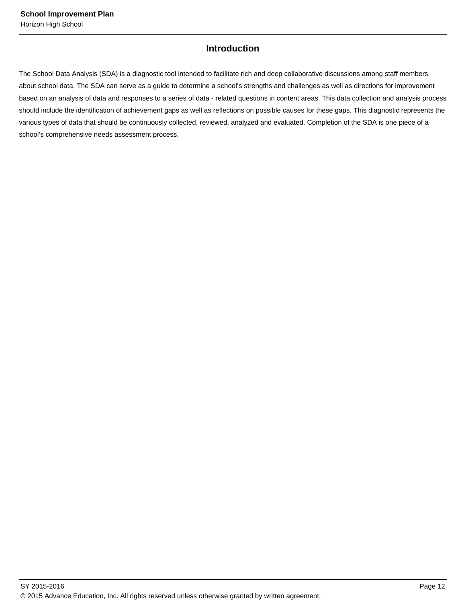## **Introduction**

The School Data Analysis (SDA) is a diagnostic tool intended to facilitate rich and deep collaborative discussions among staff members about school data. The SDA can serve as a guide to determine a school's strengths and challenges as well as directions for improvement based on an analysis of data and responses to a series of data - related questions in content areas. This data collection and analysis process should include the identification of achievement gaps as well as reflections on possible causes for these gaps. This diagnostic represents the various types of data that should be continuously collected, reviewed, analyzed and evaluated. Completion of the SDA is one piece of a school's comprehensive needs assessment process.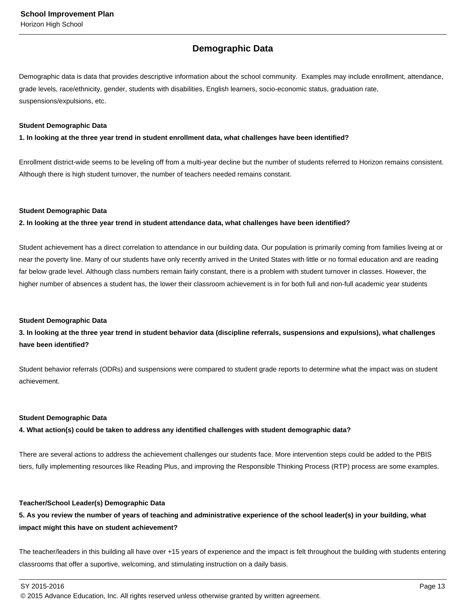## **Demographic Data**

Demographic data is data that provides descriptive information about the school community. Examples may include enrollment, attendance, grade levels, race/ethnicity, gender, students with disabilities, English learners, socio-economic status, graduation rate, suspensions/expulsions, etc.

#### **Student Demographic Data**

**1. In looking at the three year trend in student enrollment data, what challenges have been identified?**

Enrollment district-wide seems to be leveling off from a multi-year decline but the number of students referred to Horizon remains consistent. Although there is high student turnover, the number of teachers needed remains constant.

## **Student Demographic Data**

**2. In looking at the three year trend in student attendance data, what challenges have been identified?**

Student achievement has a direct correlation to attendance in our building data. Our population is primarily coming from families liveing at or near the poverty line. Many of our students have only recently arrived in the United States with little or no formal education and are reading far below grade level. Although class numbers remain fairly constant, there is a problem with student turnover in classes. However, the higher number of absences a student has, the lower their classroom achievement is in for both full and non-full academic year students

## **Student Demographic Data**

**3. In looking at the three year trend in student behavior data (discipline referrals, suspensions and expulsions), what challenges have been identified?**

Student behavior referrals (ODRs) and suspensions were compared to student grade reports to determine what the impact was on student achievement.

## **Student Demographic Data**

**4. What action(s) could be taken to address any identified challenges with student demographic data?**

There are several actions to address the achievement challenges our students face. More intervention steps could be added to the PBIS tiers, fully implementing resources like Reading Plus, and improving the Responsible Thinking Process (RTP) process are some examples.

## **Teacher/School Leader(s) Demographic Data**

**5. As you review the number of years of teaching and administrative experience of the school leader(s) in your building, what impact might this have on student achievement?**

The teacher/leaders in this building all have over +15 years of experience and the impact is felt throughout the building with students entering classrooms that offer a suportive, welcoming, and stimulating instruction on a daily basis.

SY 2015-2016 Page 13

<sup>© 2015</sup> Advance Education, Inc. All rights reserved unless otherwise granted by written agreement.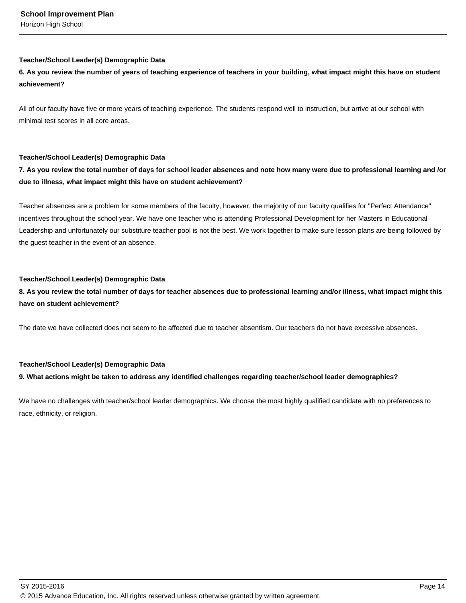## **Teacher/School Leader(s) Demographic Data**

## **6. As you review the number of years of teaching experience of teachers in your building, what impact might this have on student achievement?**

All of our faculty have five or more years of teaching experience. The students respond well to instruction, but arrive at our school with minimal test scores in all core areas.

## **Teacher/School Leader(s) Demographic Data**

## **7. As you review the total number of days for school leader absences and note how many were due to professional learning and /or due to illness, what impact might this have on student achievement?**

Teacher absences are a problem for some members of the faculty, however, the majority of our faculty qualifies for "Perfect Attendance" incentives throughout the school year. We have one teacher who is attending Professional Development for her Masters in Educational Leadership and unfortunately our substiture teacher pool is not the best. We work together to make sure lesson plans are being followed by the guest teacher in the event of an absence.

## **Teacher/School Leader(s) Demographic Data**

**8. As you review the total number of days for teacher absences due to professional learning and/or illness, what impact might this have on student achievement?**

The date we have collected does not seem to be affected due to teacher absentism. Our teachers do not have excessive absences.

## **Teacher/School Leader(s) Demographic Data**

## **9. What actions might be taken to address any identified challenges regarding teacher/school leader demographics?**

We have no challenges with teacher/school leader demographics. We choose the most highly qualified candidate with no preferences to race, ethnicity, or religion.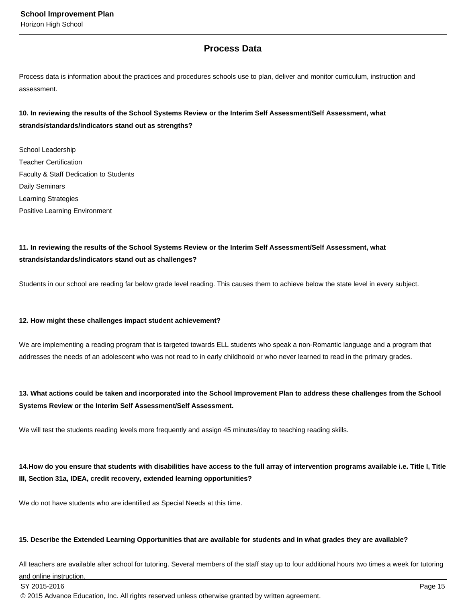## **Process Data**

Process data is information about the practices and procedures schools use to plan, deliver and monitor curriculum, instruction and assessment.

## **10. In reviewing the results of the School Systems Review or the Interim Self Assessment/Self Assessment, what strands/standards/indicators stand out as strengths?**

School Leadership Teacher Certification Faculty & Staff Dedication to Students Daily Seminars Learning Strategies Positive Learning Environment

## **11. In reviewing the results of the School Systems Review or the Interim Self Assessment/Self Assessment, what strands/standards/indicators stand out as challenges?**

Students in our school are reading far below grade level reading. This causes them to achieve below the state level in every subject.

## **12. How might these challenges impact student achievement?**

We are implementing a reading program that is targeted towards ELL students who speak a non-Romantic language and a program that addresses the needs of an adolescent who was not read to in early childhoold or who never learned to read in the primary grades.

## **13. What actions could be taken and incorporated into the School Improvement Plan to address these challenges from the School Systems Review or the Interim Self Assessment/Self Assessment.**

We will test the students reading levels more frequently and assign 45 minutes/day to teaching reading skills.

14. How do you ensure that students with disabilities have access to the full array of intervention programs available i.e. Title I, Title **III, Section 31a, IDEA, credit recovery, extended learning opportunities?**

We do not have students who are identified as Special Needs at this time.

## **15. Describe the Extended Learning Opportunities that are available for students and in what grades they are available?**

All teachers are available after school for tutoring. Several members of the staff stay up to four additional hours two times a week for tutoring

and online instruction.

 $\,$  SY 2015-2016  $\,$  Page 15  $\,$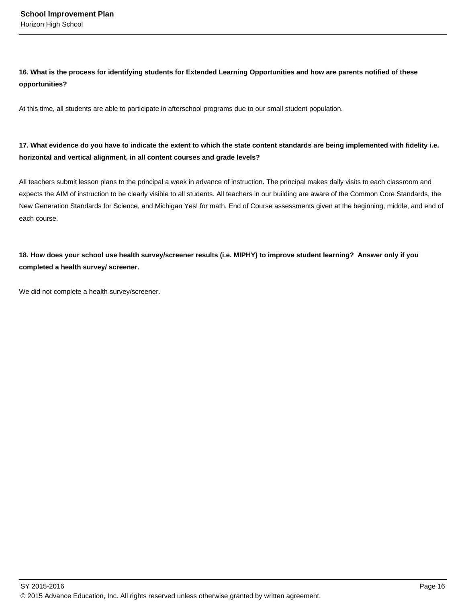## **16. What is the process for identifying students for Extended Learning Opportunities and how are parents notified of these opportunities?**

At this time, all students are able to participate in afterschool programs due to our small student population.

## **17. What evidence do you have to indicate the extent to which the state content standards are being implemented with fidelity i.e. horizontal and vertical alignment, in all content courses and grade levels?**

All teachers submit lesson plans to the principal a week in advance of instruction. The principal makes daily visits to each classroom and expects the AIM of instruction to be clearly visible to all students. All teachers in our building are aware of the Common Core Standards, the New Generation Standards for Science, and Michigan Yes! for math. End of Course assessments given at the beginning, middle, and end of each course.

## **18. How does your school use health survey/screener results (i.e. MIPHY) to improve student learning? Answer only if you completed a health survey/ screener.**

We did not complete a health survey/screener.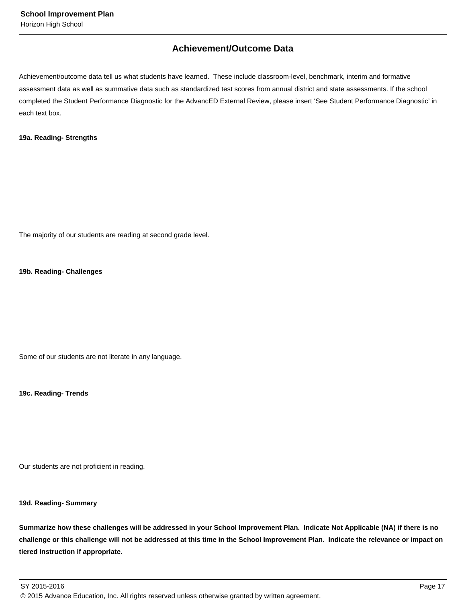## **Achievement/Outcome Data**

Achievement/outcome data tell us what students have learned. These include classroom-level, benchmark, interim and formative assessment data as well as summative data such as standardized test scores from annual district and state assessments. If the school completed the Student Performance Diagnostic for the AdvancED External Review, please insert 'See Student Performance Diagnostic' in each text box.

## **19a. Reading- Strengths**

The majority of our students are reading at second grade level.

## **19b. Reading- Challenges**

Some of our students are not literate in any language.

**19c. Reading- Trends**

Our students are not proficient in reading.

## **19d. Reading- Summary**

**Summarize how these challenges will be addressed in your School Improvement Plan. Indicate Not Applicable (NA) if there is no challenge or this challenge will not be addressed at this time in the School Improvement Plan. Indicate the relevance or impact on tiered instruction if appropriate.**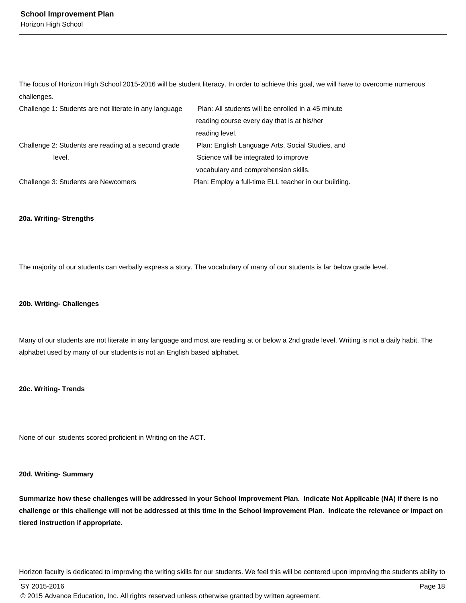The focus of Horizon High School 2015-2016 will be student literacy. In order to achieve this goal, we will have to overcome numerous challenges.

| Challenge 1: Students are not literate in any language | Plan: All students will be enrolled in a 45 minute    |
|--------------------------------------------------------|-------------------------------------------------------|
|                                                        | reading course every day that is at his/her           |
|                                                        | reading level.                                        |
| Challenge 2: Students are reading at a second grade    | Plan: English Language Arts, Social Studies, and      |
| level.                                                 | Science will be integrated to improve                 |
|                                                        | vocabulary and comprehension skills.                  |
| Challenge 3: Students are Newcomers                    | Plan: Employ a full-time ELL teacher in our building. |

#### **20a. Writing- Strengths**

The majority of our students can verbally express a story. The vocabulary of many of our students is far below grade level.

#### **20b. Writing- Challenges**

Many of our students are not literate in any language and most are reading at or below a 2nd grade level. Writing is not a daily habit. The alphabet used by many of our students is not an English based alphabet.

## **20c. Writing- Trends**

None of our students scored proficient in Writing on the ACT.

## **20d. Writing- Summary**

**Summarize how these challenges will be addressed in your School Improvement Plan. Indicate Not Applicable (NA) if there is no challenge or this challenge will not be addressed at this time in the School Improvement Plan. Indicate the relevance or impact on tiered instruction if appropriate.**

Horizon faculty is dedicated to improving the writing skills for our students. We feel this will be centered upon improving the students ability to

SY 2015-2016 Page 18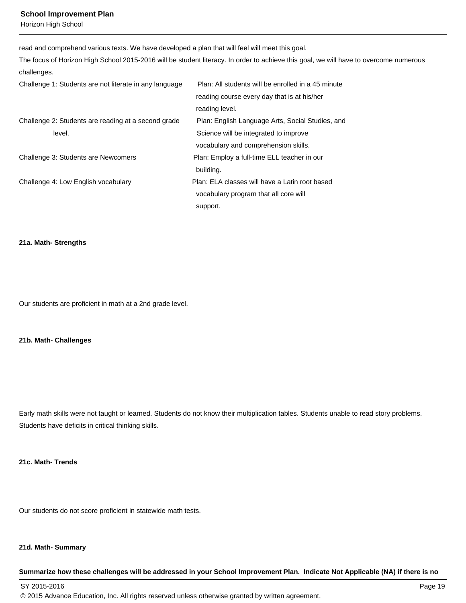#### **School Improvement Plan**

Horizon High School

read and comprehend various texts. We have developed a plan that will feel will meet this goal.

The focus of Horizon High School 2015-2016 will be student literacy. In order to achieve this goal, we will have to overcome numerous challenges.

| Challenge 1: Students are not literate in any language | Plan: All students will be enrolled in a 45 minute |
|--------------------------------------------------------|----------------------------------------------------|
|                                                        | reading course every day that is at his/her        |
|                                                        | reading level.                                     |
| Challenge 2: Students are reading at a second grade    | Plan: English Language Arts, Social Studies, and   |
| level.                                                 | Science will be integrated to improve              |
|                                                        | vocabulary and comprehension skills.               |
| Challenge 3: Students are Newcomers                    | Plan: Employ a full-time ELL teacher in our        |
|                                                        | building.                                          |
| Challenge 4: Low English vocabulary                    | Plan: ELA classes will have a Latin root based     |
|                                                        | vocabulary program that all core will              |
|                                                        | support.                                           |

#### **21a. Math- Strengths**

Our students are proficient in math at a 2nd grade level.

## **21b. Math- Challenges**

Early math skills were not taught or learned. Students do not know their multiplication tables. Students unable to read story problems. Students have deficits in critical thinking skills.

## **21c. Math- Trends**

Our students do not score proficient in statewide math tests.

#### **21d. Math- Summary**

## **Summarize how these challenges will be addressed in your School Improvement Plan. Indicate Not Applicable (NA) if there is no**

SY 2015-2016 Page 19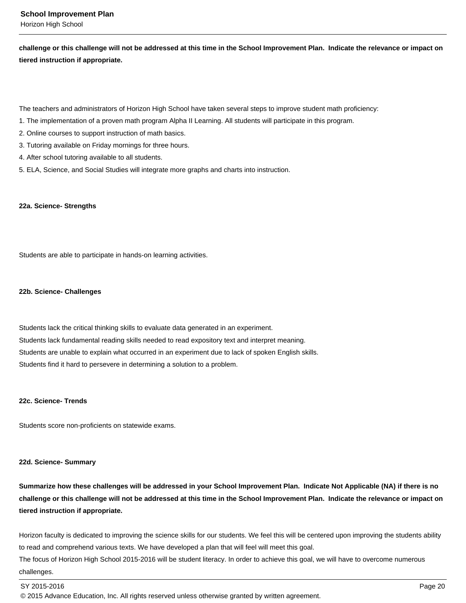**challenge or this challenge will not be addressed at this time in the School Improvement Plan. Indicate the relevance or impact on tiered instruction if appropriate.**

The teachers and administrators of Horizon High School have taken several steps to improve student math proficiency:

- 1. The implementation of a proven math program Alpha II Learning. All students will participate in this program.
- 2. Online courses to support instruction of math basics.
- 3. Tutoring available on Friday mornings for three hours.
- 4. After school tutoring available to all students.
- 5. ELA, Science, and Social Studies will integrate more graphs and charts into instruction.

## **22a. Science- Strengths**

Students are able to participate in hands-on learning activities.

#### **22b. Science- Challenges**

Students lack the critical thinking skills to evaluate data generated in an experiment. Students lack fundamental reading skills needed to read expository text and interpret meaning. Students are unable to explain what occurred in an experiment due to lack of spoken English skills. Students find it hard to persevere in determining a solution to a problem.

## **22c. Science- Trends**

Students score non-proficients on statewide exams.

## **22d. Science- Summary**

**Summarize how these challenges will be addressed in your School Improvement Plan. Indicate Not Applicable (NA) if there is no challenge or this challenge will not be addressed at this time in the School Improvement Plan. Indicate the relevance or impact on tiered instruction if appropriate.**

Horizon faculty is dedicated to improving the science skills for our students. We feel this will be centered upon improving the students ability to read and comprehend various texts. We have developed a plan that will feel will meet this goal.

The focus of Horizon High School 2015-2016 will be student literacy. In order to achieve this goal, we will have to overcome numerous challenges.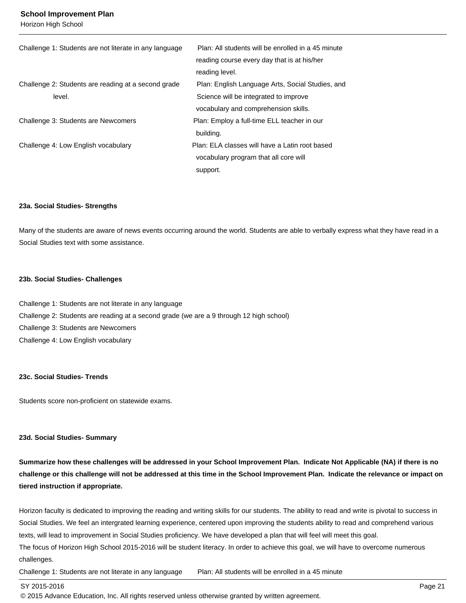#### **School Improvement Plan**

Horizon High School

| Challenge 1: Students are not literate in any language | Plan: All students will be enrolled in a 45 minute |
|--------------------------------------------------------|----------------------------------------------------|
|                                                        | reading course every day that is at his/her        |
|                                                        | reading level.                                     |
| Challenge 2: Students are reading at a second grade    | Plan: English Language Arts, Social Studies, and   |
| level.                                                 | Science will be integrated to improve              |
|                                                        | vocabulary and comprehension skills.               |
| Challenge 3: Students are Newcomers                    | Plan: Employ a full-time ELL teacher in our        |
|                                                        | building.                                          |
| Challenge 4: Low English vocabulary                    | Plan: ELA classes will have a Latin root based     |
|                                                        | vocabulary program that all core will              |
|                                                        | support.                                           |

#### **23a. Social Studies- Strengths**

Many of the students are aware of news events occurring around the world. Students are able to verbally express what they have read in a Social Studies text with some assistance.

#### **23b. Social Studies- Challenges**

Challenge 1: Students are not literate in any language Challenge 2: Students are reading at a second grade (we are a 9 through 12 high school) Challenge 3: Students are Newcomers Challenge 4: Low English vocabulary

#### **23c. Social Studies- Trends**

Students score non-proficient on statewide exams.

#### **23d. Social Studies- Summary**

**Summarize how these challenges will be addressed in your School Improvement Plan. Indicate Not Applicable (NA) if there is no challenge or this challenge will not be addressed at this time in the School Improvement Plan. Indicate the relevance or impact on tiered instruction if appropriate.**

Horizon faculty is dedicated to improving the reading and writing skills for our students. The ability to read and write is pivotal to success in Social Studies. We feel an intergrated learning experience, centered upon improving the students ability to read and comprehend various texts, will lead to improvement in Social Studies proficiency. We have developed a plan that will feel will meet this goal.

The focus of Horizon High School 2015-2016 will be student literacy. In order to achieve this goal, we will have to overcome numerous challenges.

Challenge 1: Students are not literate in any language Plan: All students will be enrolled in a 45 minute

#### SY 2015-2016 Page 21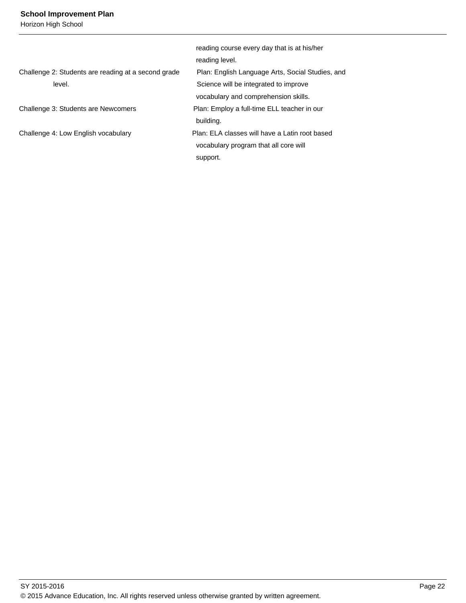## **School Improvement Plan**

Horizon High School

|                                                     | reading course every day that is at his/her      |
|-----------------------------------------------------|--------------------------------------------------|
|                                                     | reading level.                                   |
| Challenge 2: Students are reading at a second grade | Plan: English Language Arts, Social Studies, and |
| level.                                              | Science will be integrated to improve            |
|                                                     | vocabulary and comprehension skills.             |
| Challenge 3: Students are Newcomers                 | Plan: Employ a full-time ELL teacher in our      |
|                                                     | building.                                        |
| Challenge 4: Low English vocabulary                 | Plan: ELA classes will have a Latin root based   |
|                                                     | vocabulary program that all core will            |
|                                                     | support.                                         |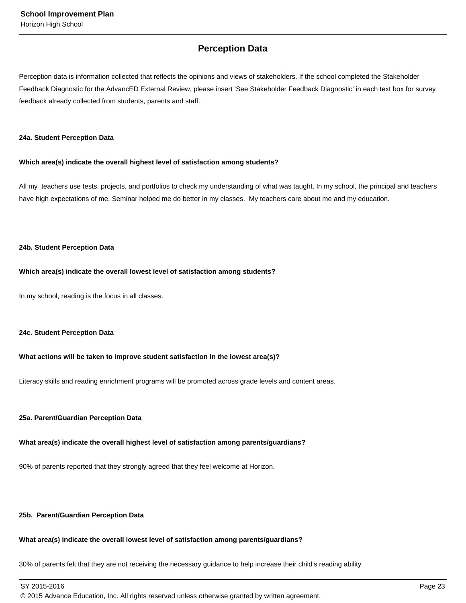## **Perception Data**

Perception data is information collected that reflects the opinions and views of stakeholders. If the school completed the Stakeholder Feedback Diagnostic for the AdvancED External Review, please insert 'See Stakeholder Feedback Diagnostic' in each text box for survey feedback already collected from students, parents and staff.

#### **24a. Student Perception Data**

## **Which area(s) indicate the overall highest level of satisfaction among students?**

All my teachers use tests, projects, and portfolios to check my understanding of what was taught. In my school, the principal and teachers have high expectations of me. Seminar helped me do better in my classes. My teachers care about me and my education.

## **24b. Student Perception Data**

## **Which area(s) indicate the overall lowest level of satisfaction among students?**

In my school, reading is the focus in all classes.

## **24c. Student Perception Data**

## **What actions will be taken to improve student satisfaction in the lowest area(s)?**

Literacy skills and reading enrichment programs will be promoted across grade levels and content areas.

## **25a. Parent/Guardian Perception Data**

## **What area(s) indicate the overall highest level of satisfaction among parents/guardians?**

90% of parents reported that they strongly agreed that they feel welcome at Horizon.

#### **25b. Parent/Guardian Perception Data**

## **What area(s) indicate the overall lowest level of satisfaction among parents/guardians?**

30% of parents felt that they are not receiving the necessary guidance to help increase their child's reading ability

SY 2015-2016 Page 23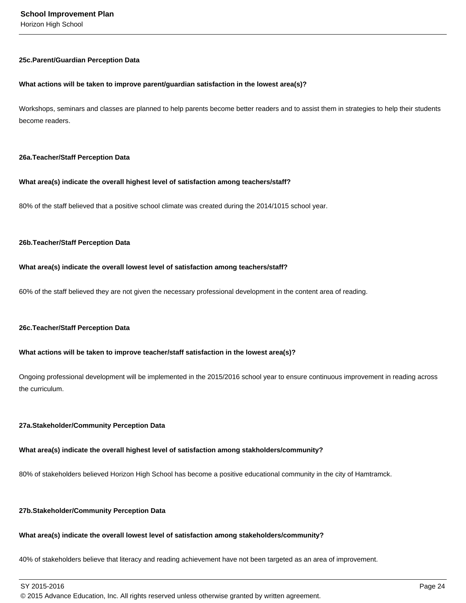#### **25c. Parent/Guardian Perception Data**

#### **What actions will be taken to improve parent/guardian satisfaction in the lowest area(s)?**

Workshops, seminars and classes are planned to help parents become better readers and to assist them in strategies to help their students become readers.

#### **26a. Teacher/Staff Perception Data**

## **What area(s) indicate the overall highest level of satisfaction among teachers/staff?**

80% of the staff believed that a positive school climate was created during the 2014/1015 school year.

#### **26b. Teacher/Staff Perception Data**

#### **What area(s) indicate the overall lowest level of satisfaction among teachers/staff?**

60% of the staff believed they are not given the necessary professional development in the content area of reading.

#### **26c. Teacher/Staff Perception Data**

## **What actions will be taken to improve teacher/staff satisfaction in the lowest area(s)?**

Ongoing professional development will be implemented in the 2015/2016 school year to ensure continuous improvement in reading across the curriculum.

## **27a. Stakeholder/Community Perception Data**

## **What area(s) indicate the overall highest level of satisfaction among stakholders/community?**

80% of stakeholders believed Horizon High School has become a positive educational community in the city of Hamtramck.

## **27b. Stakeholder/Community Perception Data**

## **What area(s) indicate the overall lowest level of satisfaction among stakeholders/community?**

40% of stakeholders believe that literacy and reading achievement have not been targeted as an area of improvement.

SY 2015-2016 Page 24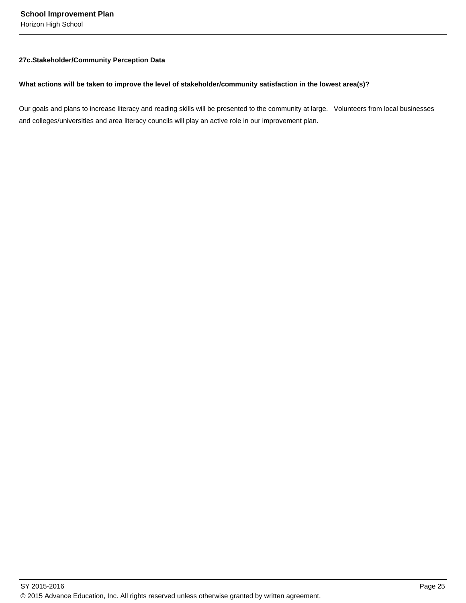Horizon High School

## **27c. Stakeholder/Community Perception Data**

## **What actions will be taken to improve the level of stakeholder/community satisfaction in the lowest area(s)?**

Our goals and plans to increase literacy and reading skills will be presented to the community at large. Volunteers from local businesses and colleges/universities and area literacy councils will play an active role in our improvement plan.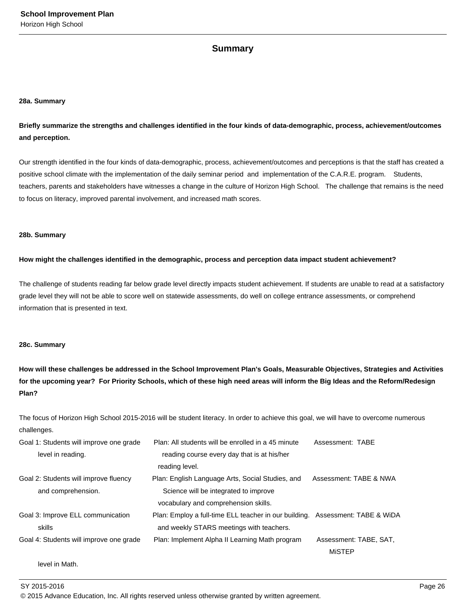## **Summary**

## **28a. Summary**

**Briefly summarize the strengths and challenges identified in the four kinds of data-demographic, process, achievement/outcomes and perception.**

Our strength identified in the four kinds of data-demographic, process, achievement/outcomes and perceptions is that the staff has created a positive school climate with the implementation of the daily seminar period and implementation of the C.A.R.E. program. Students, teachers, parents and stakeholders have witnesses a change in the culture of Horizon High School. The challenge that remains is the need to focus on literacy, improved parental involvement, and increased math scores.

#### **28b. Summary**

## **How might the challenges identified in the demographic, process and perception data impact student achievement?**

The challenge of students reading far below grade level directly impacts student achievement. If students are unable to read at a satisfactory grade level they will not be able to score well on statewide assessments, do well on college entrance assessments, or comprehend information that is presented in text.

## **28c. Summary**

**How will these challenges be addressed in the School Improvement Plan's Goals, Measurable Objectives, Strategies and Activities for the upcoming year? For Priority Schools, which of these high need areas will inform the Big Ideas and the Reform/Redesign Plan?**

The focus of Horizon High School 2015-2016 will be student literacy. In order to achieve this goal, we will have to overcome numerous challenges.

| Goal 1: Students will improve one grade | Plan: All students will be enrolled in a 45 minute                            | Assessment: TABE       |
|-----------------------------------------|-------------------------------------------------------------------------------|------------------------|
| level in reading.                       | reading course every day that is at his/her                                   |                        |
|                                         | reading level.                                                                |                        |
| Goal 2: Students will improve fluency   | Plan: English Language Arts, Social Studies, and                              | Assessment: TABE & NWA |
| and comprehension.                      | Science will be integrated to improve                                         |                        |
|                                         | vocabulary and comprehension skills.                                          |                        |
| Goal 3: Improve ELL communication       | Plan: Employ a full-time ELL teacher in our building. Assessment: TABE & WiDA |                        |
| skills                                  | and weekly STARS meetings with teachers.                                      |                        |
| Goal 4: Students will improve one grade | Plan: Implement Alpha II Learning Math program                                | Assessment: TABE, SAT, |
|                                         |                                                                               | <b>MISTEP</b>          |
|                                         |                                                                               |                        |

level in Math.

SY 2015-2016 Page 26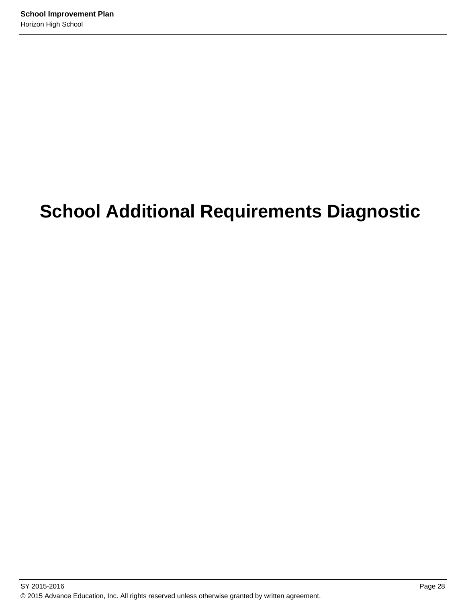# **School Additional Requirements Diagnostic**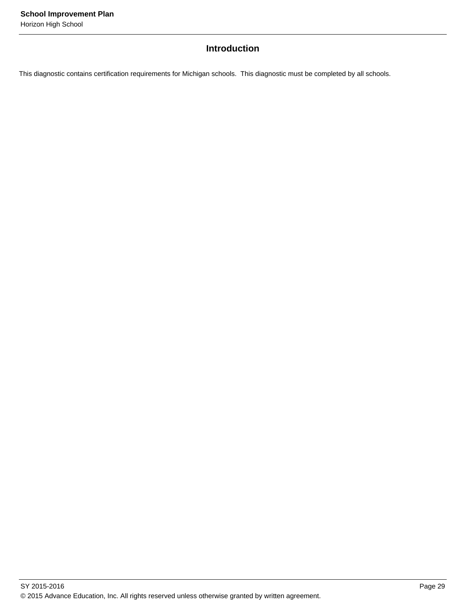## **Introduction**

This diagnostic contains certification requirements for Michigan schools. This diagnostic must be completed by all schools.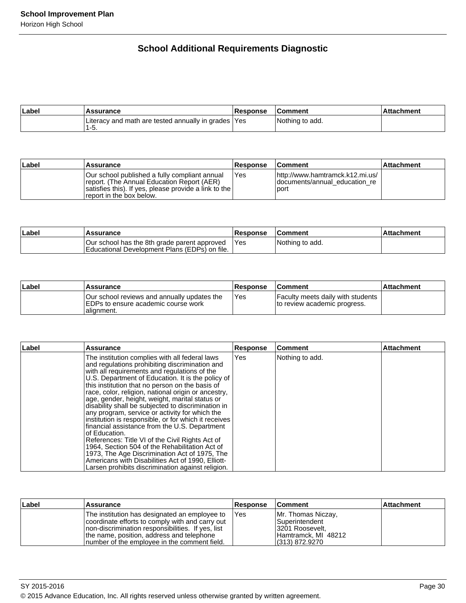## **School Additional Requirements Diagnostic**

| Label | Assurance                                                  | <b>Response</b> | ⊦Comment        | <b>Attachment</b> |
|-------|------------------------------------------------------------|-----------------|-----------------|-------------------|
|       | Literacy and math are tested annually in grades  Yes<br>ັບ |                 | Nothing to add. |                   |

| Label | Assurance                                                                                                                                                                         | <b>Response</b> | <b>Comment</b>                                                             | <b>Attachment</b> |
|-------|-----------------------------------------------------------------------------------------------------------------------------------------------------------------------------------|-----------------|----------------------------------------------------------------------------|-------------------|
|       | lOur school published a fully compliant annual<br>report. (The Annual Education Report (AER)<br>satisfies this). If yes, please provide a link to the<br>report in the box below. | Yes             | http://www.hamtramck.k12.mi.us/<br>documents/annual education re<br>l port |                   |

| Label | Assurance                                                                                     | <b>Response</b> | <b>Comment</b>  | Attachment |
|-------|-----------------------------------------------------------------------------------------------|-----------------|-----------------|------------|
|       | Our school has the 8th grade parent approved<br>Educational Development Plans (EDPs) on file. | 'Yes            | Nothing to add. |            |

| Label | ⊺Assurance                                                                                         | <b>Response</b> | <b>Comment</b>                                                           | <b>Attachment</b> |
|-------|----------------------------------------------------------------------------------------------------|-----------------|--------------------------------------------------------------------------|-------------------|
|       | Our school reviews and annually updates the<br>IEDPs to ensure academic course work<br>lalignment. | 'Yes            | <b>Faculty meets daily with students</b><br>to review academic progress. |                   |

| Label | <b>Assurance</b>                                                                                                                                                                                                                                                                                                                                                                                                                                                                                                                                                                                                                                                                                                                                                                                                                                                    | <b>Response</b> | <b>Comment</b>  | <b>Attachment</b> |
|-------|---------------------------------------------------------------------------------------------------------------------------------------------------------------------------------------------------------------------------------------------------------------------------------------------------------------------------------------------------------------------------------------------------------------------------------------------------------------------------------------------------------------------------------------------------------------------------------------------------------------------------------------------------------------------------------------------------------------------------------------------------------------------------------------------------------------------------------------------------------------------|-----------------|-----------------|-------------------|
|       | The institution complies with all federal laws<br>and regulations prohibiting discrimination and<br>with all requirements and regulations of the<br>U.S. Department of Education. It is the policy of<br>this institution that no person on the basis of<br>race, color, religion, national origin or ancestry,<br>age, gender, height, weight, marital status or<br>disability shall be subjected to discrimination in<br>any program, service or activity for which the<br>institution is responsible, or for which it receives<br>financial assistance from the U.S. Department<br>of Education.<br>References: Title VI of the Civil Rights Act of<br>1964, Section 504 of the Rehabilitation Act of<br>1973, The Age Discrimination Act of 1975, The<br>Americans with Disabilities Act of 1990, Elliott-<br>Larsen prohibits discrimination against religion. | <b>Yes</b>      | Nothing to add. |                   |

| ∣Label | Assurance                                                                                                                                                                                                                                            | <b>Response</b> | <b>Comment</b>                                                                                      | <b>Attachment</b> |
|--------|------------------------------------------------------------------------------------------------------------------------------------------------------------------------------------------------------------------------------------------------------|-----------------|-----------------------------------------------------------------------------------------------------|-------------------|
|        | The institution has designated an employee to<br>coordinate efforts to comply with and carry out<br>Inon-discrimination responsibilities. If yes, list<br>the name, position, address and telephone<br>Inumber of the employee in the comment field. | IYes            | Mr. Thomas Niczay,<br>l Superintendent<br>3201 Roosevelt,<br>Hamtramck, MI 48212<br>1(313) 872.9270 |                   |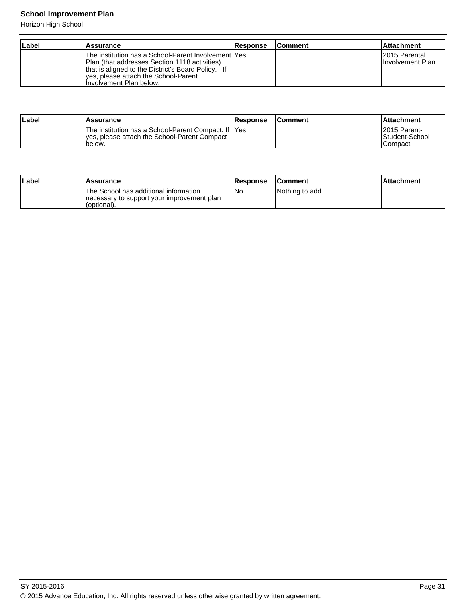## **School Improvement Plan**

Horizon High School

| ∣Label | Assurance                                                                                                                                                                                                                       | <b>Response</b> | <b>Comment</b> | <b>Attachment</b>                         |
|--------|---------------------------------------------------------------------------------------------------------------------------------------------------------------------------------------------------------------------------------|-----------------|----------------|-------------------------------------------|
|        | The institution has a School-Parent Involvement lYes<br>Plan (that addresses Section 1118 activities)<br>that is aligned to the District's Board Policy. If<br>lyes, please attach the School-Parent<br>Involvement Plan below. |                 |                | 12015 Parental<br><b>Involvement Plan</b> |

| Label | <b>Assurance</b>                                                                                                | Response | <b>Comment</b> | ⊺Attachment                                        |
|-------|-----------------------------------------------------------------------------------------------------------------|----------|----------------|----------------------------------------------------|
|       | The institution has a School-Parent Compact. If IYes<br>yes, please attach the School-Parent Compact<br>'below. |          |                | 12015 Parent-<br>Student-School<br><b>ICompact</b> |

| ∣Label | Assurance                                                                                           | Response | <b>Comment</b>  | ⊺Attachment |
|--------|-----------------------------------------------------------------------------------------------------|----------|-----------------|-------------|
|        | The School has additional information<br>Inecessary to support your improvement plan<br>(optional). | Nc       | Nothing to add. |             |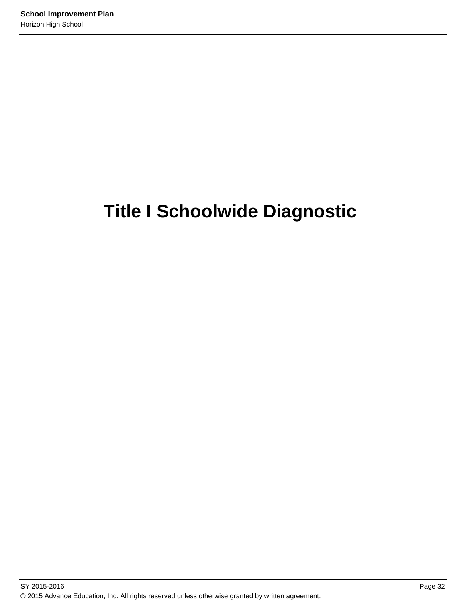# **Title I Schoolwide Diagnostic**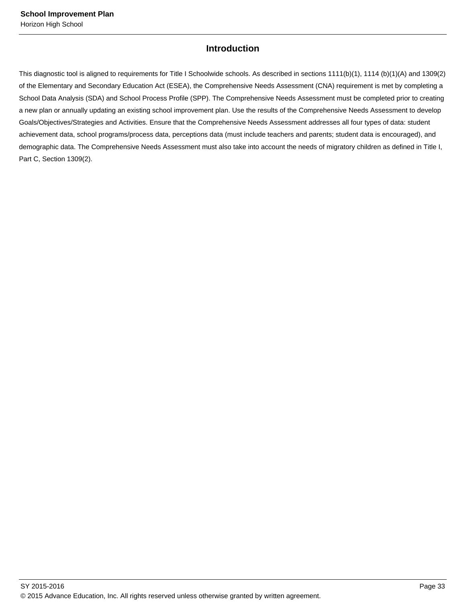# **Introduction**

This diagnostic tool is aligned to requirements for Title I Schoolwide schools. As described in sections 1111(b)(1), 1114 (b)(1)(A) and 1309(2) of the Elementary and Secondary Education Act (ESEA), the Comprehensive Needs Assessment (CNA) requirement is met by completing a School Data Analysis (SDA) and School Process Profile (SPP). The Comprehensive Needs Assessment must be completed prior to creating a new plan or annually updating an existing school improvement plan. Use the results of the Comprehensive Needs Assessment to develop Goals/Objectives/Strategies and Activities. Ensure that the Comprehensive Needs Assessment addresses all four types of data: student achievement data, school programs/process data, perceptions data (must include teachers and parents; student data is encouraged), and demographic data. The Comprehensive Needs Assessment must also take into account the needs of migratory children as defined in Title I, Part C, Section 1309(2).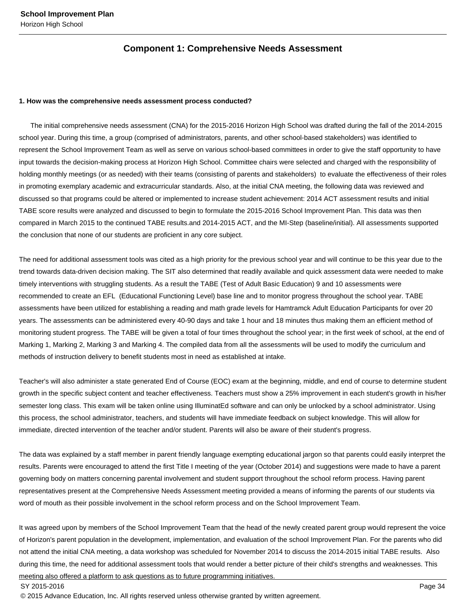# **Component 1: Comprehensive Needs Assessment**

#### **1. How was the comprehensive needs assessment process conducted?**

 The initial comprehensive needs assessment (CNA) for the 2015-2016 Horizon High School was drafted during the fall of the 2014-2015 school year. During this time, a group (comprised of administrators, parents, and other school-based stakeholders) was identified to represent the School Improvement Team as well as serve on various school-based committees in order to give the staff opportunity to have input towards the decision-making process at Horizon High School. Committee chairs were selected and charged with the responsibility of holding monthly meetings (or as needed) with their teams (consisting of parents and stakeholders) to evaluate the effectiveness of their roles in promoting exemplary academic and extracurricular standards. Also, at the initial CNA meeting, the following data was reviewed and discussed so that programs could be altered or implemented to increase student achievement: 2014 ACT assessment results and initial TABE score results were analyzed and discussed to begin to formulate the 2015-2016 School Improvement Plan. This data was then compared in March 2015 to the continued TABE results.and 2014-2015 ACT, and the MI-Step (baseline/initial). All assessments supported the conclusion that none of our students are proficient in any core subject.

The need for additional assessment tools was cited as a high priority for the previous school year and will continue to be this year due to the trend towards data-driven decision making. The SIT also determined that readily available and quick assessment data were needed to make timely interventions with struggling students. As a result the TABE (Test of Adult Basic Education) 9 and 10 assessments were recommended to create an EFL (Educational Functioning Level) base line and to monitor progress throughout the school year. TABE assessments have been utilized for establishing a reading and math grade levels for Hamtramck Adult Education Participants for over 20 years. The assessments can be administered every 40-90 days and take 1 hour and 18 minutes thus making them an efficient method of monitoring student progress. The TABE will be given a total of four times throughout the school year; in the first week of school, at the end of Marking 1, Marking 2, Marking 3 and Marking 4. The compiled data from all the assessments will be used to modify the curriculum and methods of instruction delivery to benefit students most in need as established at intake.

Teacher's will also administer a state generated End of Course (EOC) exam at the beginning, middle, and end of course to determine student growth in the specific subject content and teacher effectiveness. Teachers must show a 25% improvement in each student's growth in his/her semester long class. This exam will be taken online using IlluminatEd software and can only be unlocked by a school administrator. Using this process, the school administrator, teachers, and students will have immediate feedback on subject knowledge. This will allow for immediate, directed intervention of the teacher and/or student. Parents will also be aware of their student's progress.

The data was explained by a staff member in parent friendly language exempting educational jargon so that parents could easily interpret the results. Parents were encouraged to attend the first Title I meeting of the year (October 2014) and suggestions were made to have a parent governing body on matters concerning parental involvement and student support throughout the school reform process. Having parent representatives present at the Comprehensive Needs Assessment meeting provided a means of informing the parents of our students via word of mouth as their possible involvement in the school reform process and on the School Improvement Team.

It was agreed upon by members of the School Improvement Team that the head of the newly created parent group would represent the voice of Horizon's parent population in the development, implementation, and evaluation of the school Improvement Plan. For the parents who did not attend the initial CNA meeting, a data workshop was scheduled for November 2014 to discuss the 2014-2015 initial TABE results. Also during this time, the need for additional assessment tools that would render a better picture of their child's strengths and weaknesses. This meeting also offered a platform to ask questions as to future programming initiatives.

SY 2015-2016 Page 34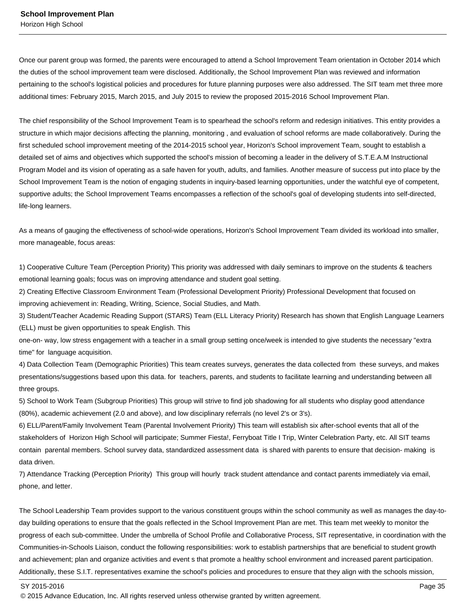Once our parent group was formed, the parents were encouraged to attend a School Improvement Team orientation in October 2014 which the duties of the school improvement team were disclosed. Additionally, the School Improvement Plan was reviewed and information pertaining to the school's logistical policies and procedures for future planning purposes were also addressed. The SIT team met three more additional times: February 2015, March 2015, and July 2015 to review the proposed 2015-2016 School Improvement Plan.

The chief responsibility of the School Improvement Team is to spearhead the school's reform and redesign initiatives. This entity provides a structure in which major decisions affecting the planning, monitoring , and evaluation of school reforms are made collaboratively. During the first scheduled school improvement meeting of the 2014-2015 school year, Horizon's School improvement Team, sought to establish a detailed set of aims and objectives which supported the school's mission of becoming a leader in the delivery of S.T.E.A.M Instructional Program Model and its vision of operating as a safe haven for youth, adults, and families. Another measure of success put into place by the School Improvement Team is the notion of engaging students in inquiry-based learning opportunities, under the watchful eye of competent, supportive adults; the School Improvement Teams encompasses a reflection of the school's goal of developing students into self-directed, life-long learners.

As a means of gauging the effectiveness of school-wide operations, Horizon's School Improvement Team divided its workload into smaller, more manageable, focus areas:

1) Cooperative Culture Team (Perception Priority) This priority was addressed with daily seminars to improve on the students & teachers emotional learning goals; focus was on improving attendance and student goal setting.

2) Creating Effective Classroom Environment Team (Professional Development Priority) Professional Development that focused on improving achievement in: Reading, Writing, Science, Social Studies, and Math.

3) Student/Teacher Academic Reading Support (STARS) Team (ELL Literacy Priority) Research has shown that English Language Learners (ELL) must be given opportunities to speak English. This

one-on- way, low stress engagement with a teacher in a small group setting once/week is intended to give students the necessary "extra time" for language acquisition.

4) Data Collection Team (Demographic Priorities) This team creates surveys, generates the data collected from these surveys, and makes presentations/suggestions based upon this data. for teachers, parents, and students to facilitate learning and understanding between all three groups.

5) School to Work Team (Subgroup Priorities) This group will strive to find job shadowing for all students who display good attendance (80%), academic achievement (2.0 and above), and low disciplinary referrals (no level 2's or 3's).

6) ELL/Parent/Family Involvement Team (Parental Involvement Priority) This team will establish six after-school events that all of the stakeholders of Horizon High School will participate; Summer Fiesta!, Ferryboat Title I Trip, Winter Celebration Party, etc. All SIT teams contain parental members. School survey data, standardized assessment data is shared with parents to ensure that decision- making is data driven.

7) Attendance Tracking (Perception Priority) This group will hourly track student attendance and contact parents immediately via email, phone, and letter.

The School Leadership Team provides support to the various constituent groups within the school community as well as manages the day-today building operations to ensure that the goals reflected in the School Improvement Plan are met. This team met weekly to monitor the progress of each sub-committee. Under the umbrella of School Profile and Collaborative Process, SIT representative, in coordination with the Communities-in-Schools Liaison, conduct the following responsibilities: work to establish partnerships that are beneficial to student growth and achievement; plan and organize activities and event s that promote a healthy school environment and increased parent participation. Additionally, these S.I.T. representatives examine the school's policies and procedures to ensure that they align with the schools mission,

SY 2015-2016 Page 35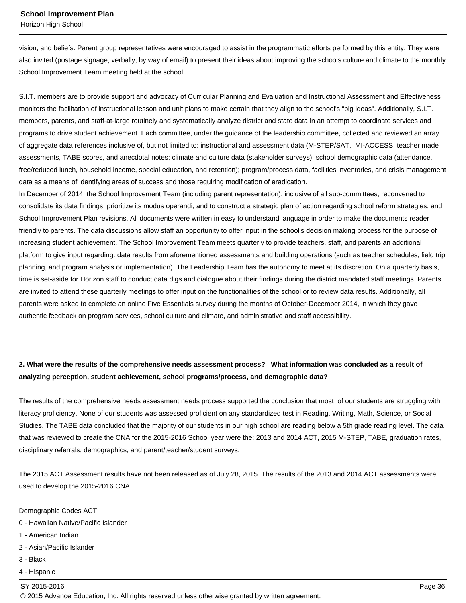vision, and beliefs. Parent group representatives were encouraged to assist in the programmatic efforts performed by this entity. They were also invited (postage signage, verbally, by way of email) to present their ideas about improving the schools culture and climate to the monthly School Improvement Team meeting held at the school.

S.I.T. members are to provide support and advocacy of Curricular Planning and Evaluation and Instructional Assessment and Effectiveness monitors the facilitation of instructional lesson and unit plans to make certain that they align to the school's "big ideas". Additionally, S.I.T. members, parents, and staff-at-large routinely and systematically analyze district and state data in an attempt to coordinate services and programs to drive student achievement. Each committee, under the guidance of the leadership committee, collected and reviewed an array of aggregate data references inclusive of, but not limited to: instructional and assessment data (M-STEP/SAT, MI-ACCESS, teacher made assessments, TABE scores, and anecdotal notes; climate and culture data (stakeholder surveys), school demographic data (attendance, free/reduced lunch, household income, special education, and retention); program/process data, facilities inventories, and crisis management data as a means of identifying areas of success and those requiring modification of eradication.

In December of 2014, the School Improvement Team (including parent representation), inclusive of all sub-committees, reconvened to consolidate its data findings, prioritize its modus operandi, and to construct a strategic plan of action regarding school reform strategies, and School Improvement Plan revisions. All documents were written in easy to understand language in order to make the documents reader friendly to parents. The data discussions allow staff an opportunity to offer input in the school's decision making process for the purpose of increasing student achievement. The School Improvement Team meets quarterly to provide teachers, staff, and parents an additional platform to give input regarding: data results from aforementioned assessments and building operations (such as teacher schedules, field trip planning, and program analysis or implementation). The Leadership Team has the autonomy to meet at its discretion. On a quarterly basis, time is set-aside for Horizon staff to conduct data digs and dialogue about their findings during the district mandated staff meetings. Parents are invited to attend these quarterly meetings to offer input on the functionalities of the school or to review data results. Additionally, all parents were asked to complete an online Five Essentials survey during the months of October-December 2014, in which they gave authentic feedback on program services, school culture and climate, and administrative and staff accessibility.

# **2. What were the results of the comprehensive needs assessment process? What information was concluded as a result of analyzing perception, student achievement, school programs/process, and demographic data?**

The results of the comprehensive needs assessment needs process supported the conclusion that most of our students are struggling with literacy proficiency. None of our students was assessed proficient on any standardized test in Reading, Writing, Math, Science, or Social Studies. The TABE data concluded that the majority of our students in our high school are reading below a 5th grade reading level. The data that was reviewed to create the CNA for the 2015-2016 School year were the: 2013 and 2014 ACT, 2015 M-STEP, TABE, graduation rates, disciplinary referrals, demographics, and parent/teacher/student surveys.

The 2015 ACT Assessment results have not been released as of July 28, 2015. The results of the 2013 and 2014 ACT assessments were used to develop the 2015-2016 CNA.

Demographic Codes ACT:

- 0 Hawaiian Native/Pacific Islander
- 1 American Indian
- 2 Asian/Pacific Islander
- 3 Black
- 4 Hispanic

SY 2015-2016 Page 36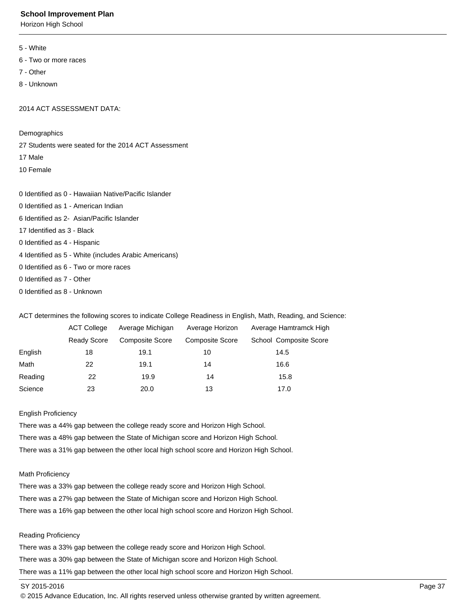Horizon High School

- 5 White
- 6 Two or more races
- 7 Other
- 8 Unknown

2014 ACT ASSESSMENT DATA:

Demographics

27 Students were seated for the 2014 ACT Assessment

- 17 Male
- 10 Female

0 Identified as 0 - Hawaiian Native/Pacific Islander

- 0 Identified as 1 American Indian
- 6 Identified as 2- Asian/Pacific Islander
- 17 Identified as 3 Black
- 0 Identified as 4 Hispanic
- 4 Identified as 5 White (includes Arabic Americans)
- 0 Identified as 6 Two or more races
- 0 Identified as 7 Other
- 0 Identified as 8 Unknown

ACT determines the following scores to indicate College Readiness in English, Math, Reading, and Science:

|         | <b>ACT College</b> | Average Michigan       | Average Horizon        | Average Hamtramck High |
|---------|--------------------|------------------------|------------------------|------------------------|
|         | Ready Score        | <b>Composite Score</b> | <b>Composite Score</b> | School Composite Score |
| English | 18                 | 19.1                   | 10                     | 14.5                   |
| Math    | 22                 | 19.1                   | 14                     | 16.6                   |
| Reading | 22                 | 19.9                   | 14                     | 15.8                   |
| Science | 23                 | 20.0                   | 13                     | 17.0                   |

# English Proficiency

There was a 44% gap between the college ready score and Horizon High School. There was a 48% gap between the State of Michigan score and Horizon High School. There was a 31% gap between the other local high school score and Horizon High School.

# Math Proficiency

There was a 33% gap between the college ready score and Horizon High School. There was a 27% gap between the State of Michigan score and Horizon High School. There was a 16% gap between the other local high school score and Horizon High School.

# Reading Proficiency

There was a 33% gap between the college ready score and Horizon High School. There was a 30% gap between the State of Michigan score and Horizon High School. There was a 11% gap between the other local high school score and Horizon High School.

# SY 2015-2016 Page 37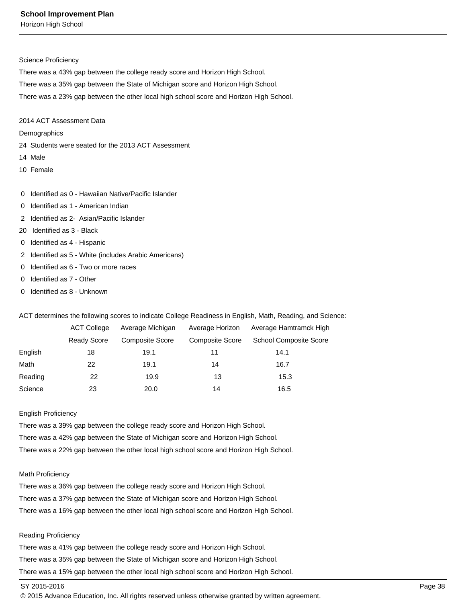Horizon High School

### Science Proficiency

There was a 43% gap between the college ready score and Horizon High School.

There was a 35% gap between the State of Michigan score and Horizon High School.

There was a 23% gap between the other local high school score and Horizon High School.

# 2014 ACT Assessment Data

## **Demographics**

- 24 Students were seated for the 2013 ACT Assessment
- 14 Male
- 10 Female
- 0 Identified as 0 Hawaiian Native/Pacific Islander
- 0 Identified as 1 American Indian
- 2 Identified as 2- Asian/Pacific Islander
- 20 Identified as 3 Black
- 0 Identified as 4 Hispanic
- 2 Identified as 5 White (includes Arabic Americans)
- 0 Identified as 6 Two or more races
- 0 Identified as 7 Other
- 0 Identified as 8 Unknown

ACT determines the following scores to indicate College Readiness in English, Math, Reading, and Science:

|         | <b>ACT College</b> | Average Michigan       | Average Horizon        | Average Hamtramck High        |
|---------|--------------------|------------------------|------------------------|-------------------------------|
|         | Ready Score        | <b>Composite Score</b> | <b>Composite Score</b> | <b>School Composite Score</b> |
| English | 18                 | 19.1                   | 11                     | 14.1                          |
| Math    | 22                 | 19.1                   | 14                     | 16.7                          |
| Reading | 22                 | 19.9                   | 13                     | 15.3                          |
| Science | 23                 | 20.0                   | 14                     | 16.5                          |

#### English Proficiency

There was a 39% gap between the college ready score and Horizon High School. There was a 42% gap between the State of Michigan score and Horizon High School. There was a 22% gap between the other local high school score and Horizon High School.

### Math Proficiency

There was a 36% gap between the college ready score and Horizon High School. There was a 37% gap between the State of Michigan score and Horizon High School. There was a 16% gap between the other local high school score and Horizon High School.

### Reading Proficiency

There was a 41% gap between the college ready score and Horizon High School. There was a 35% gap between the State of Michigan score and Horizon High School. There was a 15% gap between the other local high school score and Horizon High School.

## SY 2015-2016 Page 38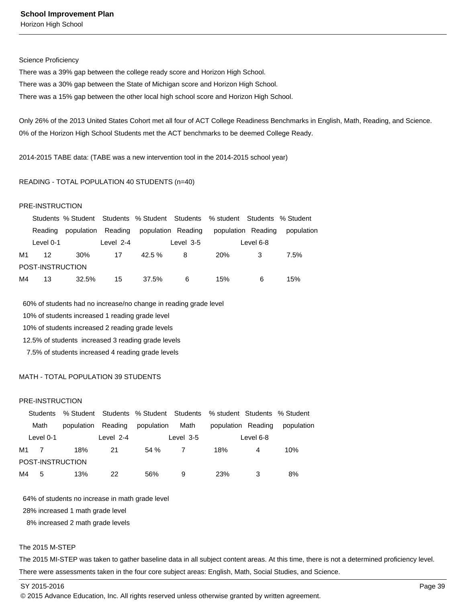Horizon High School

#### Science Proficiency

There was a 39% gap between the college ready score and Horizon High School. There was a 30% gap between the State of Michigan score and Horizon High School. There was a 15% gap between the other local high school score and Horizon High School.

Only 26% of the 2013 United States Cohort met all four of ACT College Readiness Benchmarks in English, Math, Reading, and Science. 0% of the Horizon High School Students met the ACT benchmarks to be deemed College Ready.

2014-2015 TABE data: (TABE was a new intervention tool in the 2014-2015 school year)

### READING - TOTAL POPULATION 40 STUDENTS (n=40)

## PRE-INSTRUCTION

|    |                  |       |           |                                       |           | Students % Student Students % Student Students % student Students % Student |           |            |
|----|------------------|-------|-----------|---------------------------------------|-----------|-----------------------------------------------------------------------------|-----------|------------|
|    | Reading          |       |           | population Reading population Reading |           | population Reading                                                          |           | population |
|    | Level 0-1        |       | Level 2-4 |                                       | Level 3-5 |                                                                             | Level 6-8 |            |
| M1 | 12               | 30%   | 17        | $42.5 \%$                             | 8         | <b>20%</b>                                                                  |           | 7.5%       |
|    | POST-INSTRUCTION |       |           |                                       |           |                                                                             |           |            |
| M4 | 13               | 32.5% | 15        | 37.5%                                 | 6         | 15%                                                                         | 6         | 15%        |

60% of students had no increase/no change in reading grade level

10% of students increased 1 reading grade level

10% of students increased 2 reading grade levels

12.5% of students increased 3 reading grade levels

7.5% of students increased 4 reading grade levels

# MATH - TOTAL POPULATION 39 STUDENTS

### PRE-INSTRUCTION

|      |           |                    |           | Students % Student Students % Student Students % student Students % Student |           |                    |           |            |
|------|-----------|--------------------|-----------|-----------------------------------------------------------------------------|-----------|--------------------|-----------|------------|
|      | Math      | population Reading |           | population                                                                  | Math      | population Reading |           | population |
|      | Level 0-1 |                    | Level 2-4 |                                                                             | Level 3-5 |                    | Level 6-8 |            |
| M1 7 |           | 18%                | 21        | 54%                                                                         |           | 18%                | 4         | 10%        |
|      |           | POST-INSTRUCTION   |           |                                                                             |           |                    |           |            |
| M4   | 5         | 13%                | 22        | 56%                                                                         | 9         | <b>23%</b>         |           | 8%         |

64% of students no increase in math grade level

28% increased 1 math grade level

8% increased 2 math grade levels

### The 2015 M-STEP

The 2015 MI-STEP was taken to gather baseline data in all subject content areas. At this time, there is not a determined proficiency level. There were assessments taken in the four core subject areas: English, Math, Social Studies, and Science.

SY 2015-2016 Page 39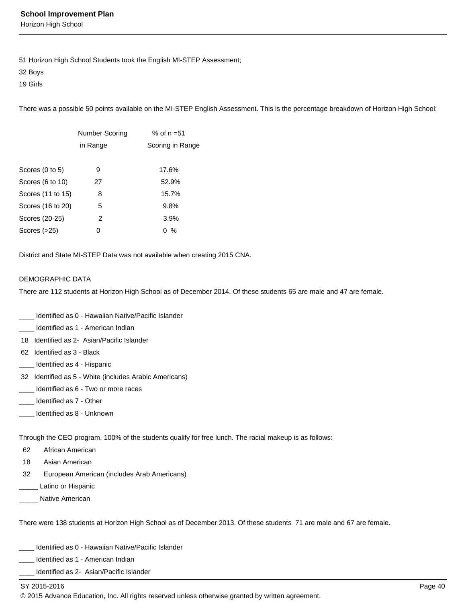Horizon High School

51 Horizon High School Students took the English MI-STEP Assessment;

32 Boys

19 Girls

There was a possible 50 points available on the MI-STEP English Assessment. This is the percentage breakdown of Horizon High School:

|                   | <b>Number Scoring</b> | % of $n = 51$    |
|-------------------|-----------------------|------------------|
|                   | in Range              | Scoring in Range |
|                   |                       |                  |
| Scores (0 to 5)   | 9                     | 17.6%            |
| Scores (6 to 10)  | 27                    | 52.9%            |
| Scores (11 to 15) | 8                     | 15.7%            |
| Scores (16 to 20) | 5                     | 9.8%             |
| Scores (20-25)    | 2                     | 3.9%             |
| Scores (>25)      | 0                     | %<br>0           |
|                   |                       |                  |

District and State MI-STEP Data was not available when creating 2015 CNA.

## DEMOGRAPHIC DATA

There are 112 students at Horizon High School as of December 2014. Of these students 65 are male and 47 are female.

- Identified as 0 Hawaiian Native/Pacific Islander
- Identified as 1 American Indian
- 18 Identified as 2- Asian/Pacific Islander
- 62 Identified as 3 Black
- \_\_\_\_ Identified as 4 Hispanic
- 32 Identified as 5 White (includes Arabic Americans)
- \_\_\_\_ Identified as 6 Two or more races
- \_\_\_\_ Identified as 7 Other
- Identified as 8 Unknown

Through the CEO program, 100% of the students qualify for free lunch. The racial makeup is as follows:

- 62 African American
- 18 Asian American
- 32 European American (includes Arab Americans)
- Latino or Hispanic
- Native American

There were 138 students at Horizon High School as of December 2013. Of these students 71 are male and 67 are female.

- \_\_\_\_ Identified as 0 Hawaiian Native/Pacific Islander
- Identified as 1 American Indian
- Identified as 2- Asian/Pacific Islander

## SY 2015-2016 Page 40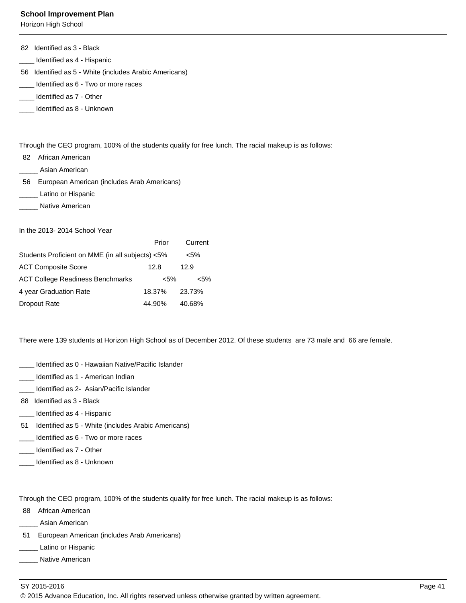Horizon High School

|  |  | 82 Identified as 3 - Black |
|--|--|----------------------------|
|--|--|----------------------------|

- \_\_\_\_ Identified as 4 Hispanic
- 56 Identified as 5 White (includes Arabic Americans)
- \_\_\_\_ Identified as 6 Two or more races
- \_\_\_\_ Identified as 7 Other
- \_\_\_\_ Identified as 8 Unknown

Through the CEO program, 100% of the students qualify for free lunch. The racial makeup is as follows:

- 82 African American
- Asian American
- 56 European American (includes Arab Americans)
- \_ Latino or Hispanic
- Native American

In the 2013- 2014 School Year

|                                                  | Prior   | Current |
|--------------------------------------------------|---------|---------|
| Students Proficient on MME (in all subjects) <5% |         | $< 5\%$ |
| <b>ACT Composite Score</b>                       | 12.8    | 12.9    |
| <b>ACT College Readiness Benchmarks</b>          | $< 5\%$ | <5%     |
| 4 year Graduation Rate                           | 18.37%  | 23.73%  |
| Dropout Rate                                     | 44.90%  | 40.68%  |

There were 139 students at Horizon High School as of December 2012. Of these students are 73 male and 66 are female.

- \_\_\_\_ Identified as 0 Hawaiian Native/Pacific Islander
- \_\_\_\_ Identified as 1 American Indian
- Identified as 2- Asian/Pacific Islander
- 88 Identified as 3 Black
- Identified as 4 Hispanic
- 51 Identified as 5 White (includes Arabic Americans)
- \_\_\_\_ Identified as 6 Two or more races
- \_\_\_\_ Identified as 7 Other
- \_\_\_\_ Identified as 8 Unknown

Through the CEO program, 100% of the students qualify for free lunch. The racial makeup is as follows:

- 88 African American
- \_\_\_\_\_ Asian American
- 51 European American (includes Arab Americans)
- \_ Latino or Hispanic
- \_\_\_\_\_ Native American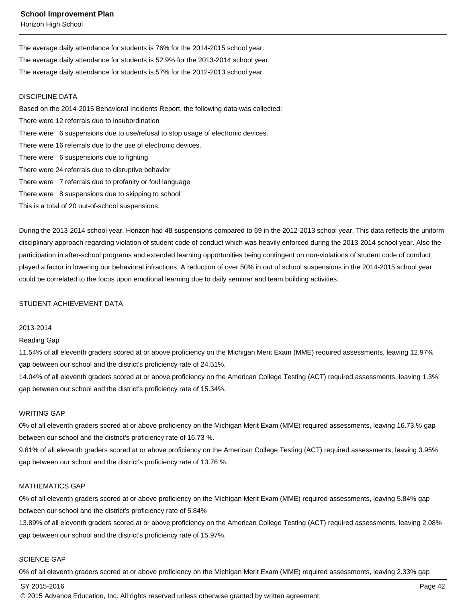Horizon High School

The average daily attendance for students is 76% for the 2014-2015 school year. The average daily attendance for students is 52.9% for the 2013-2014 school year. The average daily attendance for students is 57% for the 2012-2013 school year.

### DISCIPLINE DATA

Based on the 2014-2015 Behavioral Incidents Report, the following data was collected: There were 12 referrals due to insubordination There were 6 suspensions due to use/refusal to stop usage of electronic devices. There were 16 referrals due to the use of electronic devices. There were 6 suspensions due to fighting There were 24 referrals due to disruptive behavior There were 7 referrals due to profanity or foul language There were 8 suspensions due to skipping to school

This is a total of 20 out-of-school suspensions.

During the 2013-2014 school year, Horizon had 48 suspensions compared to 69 in the 2012-2013 school year. This data reflects the uniform disciplinary approach regarding violation of student code of conduct which was heavily enforced during the 2013-2014 school year. Also the participation in after-school programs and extended learning opportunities being contingent on non-violations of student code of conduct played a factor in lowering our behavioral infractions. A reduction of over 50% in out of school suspensions in the 2014-2015 school year could be correlated to the focus upon emotional learning due to daily seminar and team building activities.

# STUDENT ACHIEVEMENT DATA

#### 2013-2014

#### Reading Gap

11.54% of all eleventh graders scored at or above proficiency on the Michigan Merit Exam (MME) required assessments, leaving 12.97% gap between our school and the district's proficiency rate of 24.51%.

14.04% of all eleventh graders scored at or above proficiency on the American College Testing (ACT) required assessments, leaving 1.3% gap between our school and the district's proficiency rate of 15.34%.

## WRITING GAP

0% of all eleventh graders scored at or above proficiency on the Michigan Merit Exam (MME) required assessments, leaving 16.73.% gap between our school and the district's proficiency rate of 16.73 %.

9.81% of all eleventh graders scored at or above proficiency on the American College Testing (ACT) required assessments, leaving 3.95% gap between our school and the district's proficiency rate of 13.76 %.

### MATHEMATICS GAP

0% of all eleventh graders scored at or above proficiency on the Michigan Merit Exam (MME) required assessments, leaving 5.84% gap between our school and the district's proficiency rate of 5.84%

13.89% of all eleventh graders scored at or above proficiency on the American College Testing (ACT) required assessments, leaving 2.08% gap between our school and the district's proficiency rate of 15.97%.

## SCIENCE GAP

0% of all eleventh graders scored at or above proficiency on the Michigan Merit Exam (MME) required assessments, leaving 2.33% gap

### SY 2015-2016 Page 42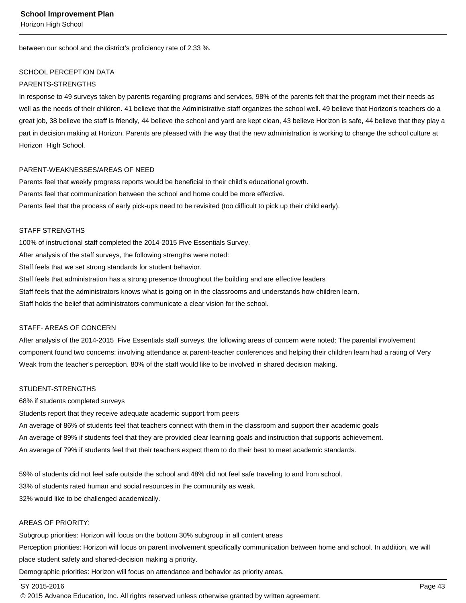between our school and the district's proficiency rate of 2.33 %.

## SCHOOL PERCEPTION DATA

## PARENTS-STRENGTHS

In response to 49 surveys taken by parents regarding programs and services, 98% of the parents felt that the program met their needs as well as the needs of their children. 41 believe that the Administrative staff organizes the school well. 49 believe that Horizon's teachers do a great job, 38 believe the staff is friendly, 44 believe the school and yard are kept clean, 43 believe Horizon is safe, 44 believe that they play a part in decision making at Horizon. Parents are pleased with the way that the new administration is working to change the school culture at Horizon High School.

# PARENT-WEAKNESSES/AREAS OF NEED

Parents feel that weekly progress reports would be beneficial to their child's educational growth. Parents feel that communication between the school and home could be more effective. Parents feel that the process of early pick-ups need to be revisited (too difficult to pick up their child early).

# STAFF STRENGTHS

100% of instructional staff completed the 2014-2015 Five Essentials Survey. After analysis of the staff surveys, the following strengths were noted: Staff feels that we set strong standards for student behavior. Staff feels that administration has a strong presence throughout the building and are effective leaders Staff feels that the administrators knows what is going on in the classrooms and understands how children learn. Staff holds the belief that administrators communicate a clear vision for the school.

## STAFF- AREAS OF CONCERN

After analysis of the 2014-2015 Five Essentials staff surveys, the following areas of concern were noted: The parental involvement component found two concerns: involving attendance at parent-teacher conferences and helping their children learn had a rating of Very Weak from the teacher's perception. 80% of the staff would like to be involved in shared decision making.

# STUDENT-STRENGTHS

68% if students completed surveys

Students report that they receive adequate academic support from peers An average of 86% of students feel that teachers connect with them in the classroom and support their academic goals An average of 89% if students feel that they are provided clear learning goals and instruction that supports achievement. An average of 79% if students feel that their teachers expect them to do their best to meet academic standards.

59% of students did not feel safe outside the school and 48% did not feel safe traveling to and from school. 33% of students rated human and social resources in the community as weak. 32% would like to be challenged academically.

## AREAS OF PRIORITY:

Subgroup priorities: Horizon will focus on the bottom 30% subgroup in all content areas

Perception priorities: Horizon will focus on parent involvement specifically communication between home and school. In addition, we will place student safety and shared-decision making a priority.

Demographic priorities: Horizon will focus on attendance and behavior as priority areas.

## SY 2015-2016 Page 43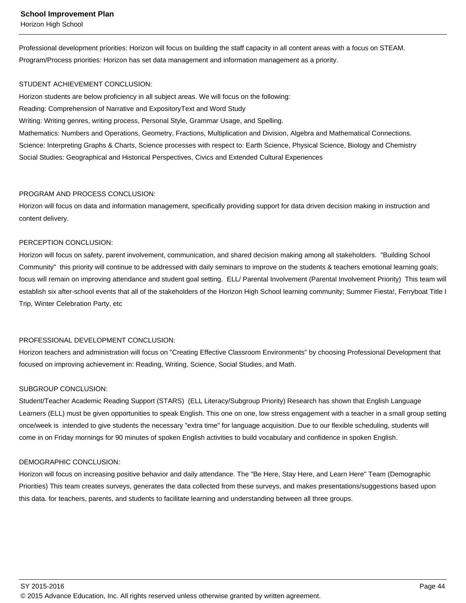Professional development priorities: Horizon will focus on building the staff capacity in all content areas with a focus on STEAM. Program/Process priorities: Horizon has set data management and information management as a priority.

# STUDENT ACHIEVEMENT CONCLUSION:

Horizon students are below proficiency in all subject areas. We will focus on the following:

Reading: Comprehension of Narrative and ExpositoryText and Word Study

Writing: Writing genres, writing process, Personal Style, Grammar Usage, and Spelling.

Mathematics: Numbers and Operations, Geometry, Fractions, Multiplication and Division, Algebra and Mathematical Connections. Science: Interpreting Graphs & Charts, Science processes with respect to: Earth Science, Physical Science, Biology and Chemistry Social Studies: Geographical and Historical Perspectives, Civics and Extended Cultural Experiences

# PROGRAM AND PROCESS CONCLUSION:

Horizon will focus on data and information management, specifically providing support for data driven decision making in instruction and content delivery.

# PERCEPTION CONCLUSION:

Horizon will focus on safety, parent involvement, communication, and shared decision making among all stakeholders. "Building School Community" this priority will continue to be addressed with daily seminars to improve on the students & teachers emotional learning goals; focus will remain on improving attendance and student goal setting. ELL/ Parental Involvement (Parental Involvement Priority) This team will establish six after-school events that all of the stakeholders of the Horizon High School learning community; Summer Fiesta!, Ferryboat Title I Trip, Winter Celebration Party, etc

# PROFESSIONAL DEVELOPMENT CONCLUSION:

Horizon teachers and administration will focus on "Creating Effective Classroom Environments" by choosing Professional Development that focused on improving achievement in: Reading, Writing, Science, Social Studies, and Math.

# SUBGROUP CONCLUSION:

Student/Teacher Academic Reading Support (STARS) (ELL Literacy/Subgroup Priority) Research has shown that English Language Learners (ELL) must be given opportunities to speak English. This one on one, low stress engagement with a teacher in a small group setting once/week is intended to give students the necessary "extra time" for language acquisition. Due to our flexible scheduling, students will come in on Friday mornings for 90 minutes of spoken English activities to build vocabulary and confidence in spoken English.

# DEMOGRAPHIC CONCLUSION:

Horizon will focus on increasing positive behavior and daily attendance. The "Be Here, Stay Here, and Learn Here" Team (Demographic Priorities) This team creates surveys, generates the data collected from these surveys, and makes presentations/suggestions based upon this data. for teachers, parents, and students to facilitate learning and understanding between all three groups.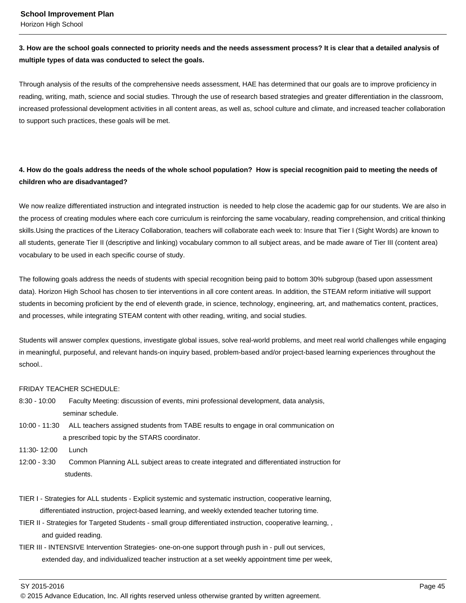# **3. How are the school goals connected to priority needs and the needs assessment process? It is clear that a detailed analysis of multiple types of data was conducted to select the goals.**

Through analysis of the results of the comprehensive needs assessment, HAE has determined that our goals are to improve proficiency in reading, writing, math, science and social studies. Through the use of research based strategies and greater differentiation in the classroom, increased professional development activities in all content areas, as well as, school culture and climate, and increased teacher collaboration to support such practices, these goals will be met.

# **4. How do the goals address the needs of the whole school population? How is special recognition paid to meeting the needs of children who are disadvantaged?**

We now realize differentiated instruction and integrated instruction is needed to help close the academic gap for our students. We are also in the process of creating modules where each core curriculum is reinforcing the same vocabulary, reading comprehension, and critical thinking skills.Using the practices of the Literacy Collaboration, teachers will collaborate each week to: Insure that Tier I (Sight Words) are known to all students, generate Tier II (descriptive and linking) vocabulary common to all subject areas, and be made aware of Tier III (content area) vocabulary to be used in each specific course of study.

The following goals address the needs of students with special recognition being paid to bottom 30% subgroup (based upon assessment data). Horizon High School has chosen to tier interventions in all core content areas. In addition, the STEAM reform initiative will support students in becoming proficient by the end of eleventh grade, in science, technology, engineering, art, and mathematics content, practices, and processes, while integrating STEAM content with other reading, writing, and social studies.

Students will answer complex questions, investigate global issues, solve real-world problems, and meet real world challenges while engaging in meaningful, purposeful, and relevant hands-on inquiry based, problem-based and/or project-based learning experiences throughout the school..

# FRIDAY TEACHER SCHEDULE:

- 8:30 10:00 Faculty Meeting: discussion of events, mini professional development, data analysis, seminar schedule.
- 10:00 11:30 ALL teachers assigned students from TABE results to engage in oral communication on a prescribed topic by the STARS coordinator.
- 11:30- 12:00 Lunch
- 12:00 3:30 Common Planning ALL subject areas to create integrated and differentiated instruction for students.
- TIER I Strategies for ALL students Explicit systemic and systematic instruction, cooperative learning, differentiated instruction, project-based learning, and weekly extended teacher tutoring time.
- TIER II Strategies for Targeted Students small group differentiated instruction, cooperative learning, , and guided reading.
- TIER III INTENSIVE Intervention Strategies- one-on-one support through push in pull out services, extended day, and individualized teacher instruction at a set weekly appointment time per week,

<sup>© 2015</sup> Advance Education, Inc. All rights reserved unless otherwise granted by written agreement.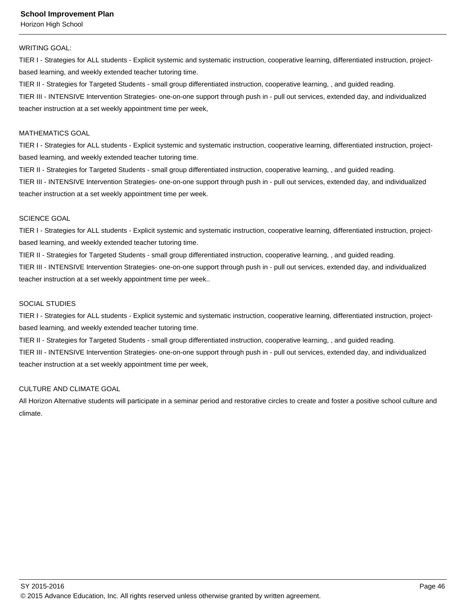### WRITING GOAL:

TIER I - Strategies for ALL students - Explicit systemic and systematic instruction, cooperative learning, differentiated instruction, projectbased learning, and weekly extended teacher tutoring time.

TIER II - Strategies for Targeted Students - small group differentiated instruction, cooperative learning, , and guided reading. TIER III - INTENSIVE Intervention Strategies- one-on-one support through push in - pull out services, extended day, and individualized teacher instruction at a set weekly appointment time per week,

### MATHEMATICS GOAL

TIER I - Strategies for ALL students - Explicit systemic and systematic instruction, cooperative learning, differentiated instruction, projectbased learning, and weekly extended teacher tutoring time.

TIER II - Strategies for Targeted Students - small group differentiated instruction, cooperative learning, , and guided reading. TIER III - INTENSIVE Intervention Strategies- one-on-one support through push in - pull out services, extended day, and individualized teacher instruction at a set weekly appointment time per week.

### SCIENCE GOAL

TIER I - Strategies for ALL students - Explicit systemic and systematic instruction, cooperative learning, differentiated instruction, projectbased learning, and weekly extended teacher tutoring time.

TIER II - Strategies for Targeted Students - small group differentiated instruction, cooperative learning, , and guided reading. TIER III - INTENSIVE Intervention Strategies- one-on-one support through push in - pull out services, extended day, and individualized teacher instruction at a set weekly appointment time per week..

## SOCIAL STUDIES

TIER I - Strategies for ALL students - Explicit systemic and systematic instruction, cooperative learning, differentiated instruction, projectbased learning, and weekly extended teacher tutoring time.

TIER II - Strategies for Targeted Students - small group differentiated instruction, cooperative learning, , and guided reading.

TIER III - INTENSIVE Intervention Strategies- one-on-one support through push in - pull out services, extended day, and individualized teacher instruction at a set weekly appointment time per week,

# CULTURE AND CLIMATE GOAL

All Horizon Alternative students will participate in a seminar period and restorative circles to create and foster a positive school culture and climate.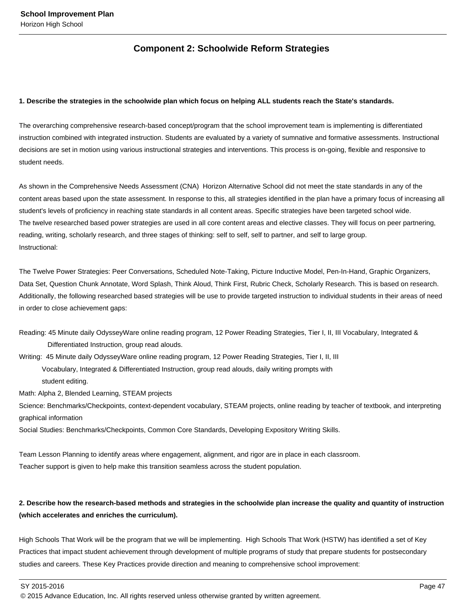# **Component 2: Schoolwide Reform Strategies**

## **1. Describe the strategies in the schoolwide plan which focus on helping ALL students reach the State's standards.**

The overarching comprehensive research-based concept/program that the school improvement team is implementing is differentiated instruction combined with integrated instruction. Students are evaluated by a variety of sumnative and formative assessments. Instructional decisions are set in motion using various instructional strategies and interventions. This process is on-going, flexible and responsive to student needs.

As shown in the Comprehensive Needs Assessment (CNA) Horizon Alternative School did not meet the state standards in any of the content areas based upon the state assessment. In response to this, all strategies identified in the plan have a primary focus of increasing all student's levels of proficiency in reaching state standards in all content areas. Specific strategies have been targeted school wide. The twelve researched based power strategies are used in all core content areas and elective classes. They will focus on peer partnering, reading, writing, scholarly research, and three stages of thinking: self to self, self to partner, and self to large group. Instructional:

The Twelve Power Strategies: Peer Conversations, Scheduled Note-Taking, Picture Inductive Model, Pen-In-Hand, Graphic Organizers, Data Set, Question Chunk Annotate, Word Splash, Think Aloud, Think First, Rubric Check, Scholarly Research. This is based on research. Additionally, the following researched based strategies will be use to provide targeted instruction to individual students in their areas of need in order to close achievement gaps:

Reading: 45 Minute daily OdysseyWare online reading program, 12 Power Reading Strategies, Tier I, II, III Vocabulary, Integrated & Differentiated Instruction, group read alouds.

Writing: 45 Minute daily OdysseyWare online reading program, 12 Power Reading Strategies, Tier I, II, III

 Vocabulary, Integrated & Differentiated Instruction, group read alouds, daily writing prompts with student editing.

Math: Alpha 2, Blended Learning, STEAM projects

Science: Benchmarks/Checkpoints, context-dependent vocabulary, STEAM projects, online reading by teacher of textbook, and interpreting graphical information

Social Studies: Benchmarks/Checkpoints, Common Core Standards, Developing Expository Writing Skills.

Team Lesson Planning to identify areas where engagement, alignment, and rigor are in place in each classroom. Teacher support is given to help make this transition seamless across the student population.

# **2. Describe how the research-based methods and strategies in the schoolwide plan increase the quality and quantity of instruction (which accelerates and enriches the curriculum).**

High Schools That Work will be the program that we will be implementing. High Schools That Work (HSTW) has identified a set of Key Practices that impact student achievement through development of multiple programs of study that prepare students for postsecondary studies and careers. These Key Practices provide direction and meaning to comprehensive school improvement:

SY 2015-2016 Page 47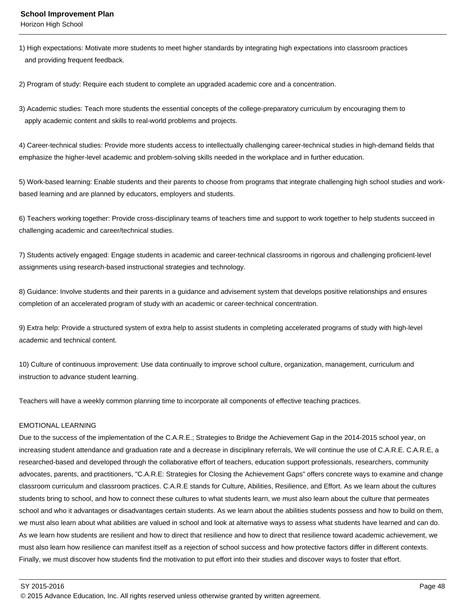1) High expectations: Motivate more students to meet higher standards by integrating high expectations into classroom practices and providing frequent feedback.

2) Program of study: Require each student to complete an upgraded academic core and a concentration.

3) Academic studies: Teach more students the essential concepts of the college-preparatory curriculum by encouraging them to apply academic content and skills to real-world problems and projects.

4) Career-technical studies: Provide more students access to intellectually challenging career-technical studies in high-demand fields that emphasize the higher-level academic and problem-solving skills needed in the workplace and in further education.

5) Work-based learning: Enable students and their parents to choose from programs that integrate challenging high school studies and workbased learning and are planned by educators, employers and students.

6) Teachers working together: Provide cross-disciplinary teams of teachers time and support to work together to help students succeed in challenging academic and career/technical studies.

7) Students actively engaged: Engage students in academic and career-technical classrooms in rigorous and challenging proficient-level assignments using research-based instructional strategies and technology.

8) Guidance: Involve students and their parents in a guidance and advisement system that develops positive relationships and ensures completion of an accelerated program of study with an academic or career-technical concentration.

9) Extra help: Provide a structured system of extra help to assist students in completing accelerated programs of study with high-level academic and technical content.

10) Culture of continuous improvement: Use data continually to improve school culture, organization, management, curriculum and instruction to advance student learning.

Teachers will have a weekly common planning time to incorporate all components of effective teaching practices.

# EMOTIONAL LEARNING

Due to the success of the implementation of the C.A.R.E.; Strategies to Bridge the Achievement Gap in the 2014-2015 school year, on increasing student attendance and graduation rate and a decrease in disciplinary referrals, We will continue the use of C.A.R.E. C.A.R.E, a researched-based and developed through the collaborative effort of teachers, education support professionals, researchers, community advocates, parents, and practitioners, "C.A.R.E: Strategies for Closing the Achievement Gaps" offers concrete ways to examine and change classroom curriculum and classroom practices. C.A.R.E stands for Culture, Abilities, Resilience, and Effort. As we learn about the cultures students bring to school, and how to connect these cultures to what students learn, we must also learn about the culture that permeates school and who it advantages or disadvantages certain students. As we learn about the abilities students possess and how to build on them, we must also learn about what abilities are valued in school and look at alternative ways to assess what students have learned and can do. As we learn how students are resilient and how to direct that resilience and how to direct that resilience toward academic achievement, we must also learn how resilience can manifest itself as a rejection of school success and how protective factors differ in different contexts. Finally, we must discover how students find the motivation to put effort into their studies and discover ways to foster that effort.

SY 2015-2016 Page 48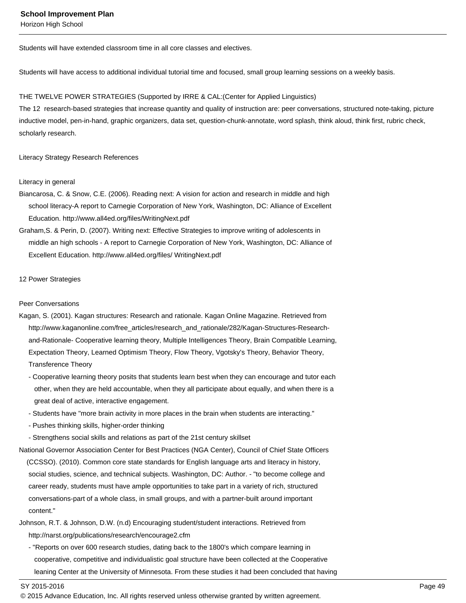Students will have extended classroom time in all core classes and electives.

Students will have access to additional individual tutorial time and focused, small group learning sessions on a weekly basis.

### THE TWELVE POWER STRATEGIES (Supported by IRRE & CAL:(Center for Applied Linguistics)

The 12 research-based strategies that increase quantity and quality of instruction are: peer conversations, structured note-taking, picture inductive model, pen-in-hand, graphic organizers, data set, question-chunk-annotate, word splash, think aloud, think first, rubric check, scholarly research.

### Literacy Strategy Research References

#### Literacy in general

Biancarosa, C. & Snow, C.E. (2006). Reading next: A vision for action and research in middle and high school literacy-A report to Carnegie Corporation of New York, Washington, DC: Alliance of Excellent Education. http://www.all4ed.org/files/WritingNext.pdf

Graham,S. & Perin, D. (2007). Writing next: Effective Strategies to improve writing of adolescents in middle an high schools - A report to Carnegie Corporation of New York, Washington, DC: Alliance of Excellent Education. http://www.all4ed.org/files/ WritingNext.pdf

### 12 Power Strategies

### Peer Conversations

- Kagan, S. (2001). Kagan structures: Research and rationale. Kagan Online Magazine. Retrieved from http://www.kaganonline.com/free\_articles/research\_and\_rationale/282/Kagan-Structures-Research and-Rationale- Cooperative learning theory, Multiple Intelligences Theory, Brain Compatible Learning, Expectation Theory, Learned Optimism Theory, Flow Theory, Vgotsky's Theory, Behavior Theory, Transference Theory
	- Cooperative learning theory posits that students learn best when they can encourage and tutor each other, when they are held accountable, when they all participate about equally, and when there is a great deal of active, interactive engagement.
	- Students have "more brain activity in more places in the brain when students are interacting."
	- Pushes thinking skills, higher-order thinking
	- Strengthens social skills and relations as part of the 21st century skillset

National Governor Association Center for Best Practices (NGA Center), Council of Chief State Officers (CCSSO). (2010). Common core state standards for English language arts and literacy in history, social studies, science, and technical subjects. Washington, DC: Author. - "to become college and career ready, students must have ample opportunities to take part in a variety of rich, structured conversations-part of a whole class, in small groups, and with a partner-built around important content."

- Johnson, R.T. & Johnson, D.W. (n.d) Encouraging student/student interactions. Retrieved from http://narst.org/publications/research/encourage2.cfm
	- "Reports on over 600 research studies, dating back to the 1800's which compare learning in cooperative, competitive and individualistic goal structure have been collected at the Cooperative leaning Center at the University of Minnesota. From these studies it had been concluded that having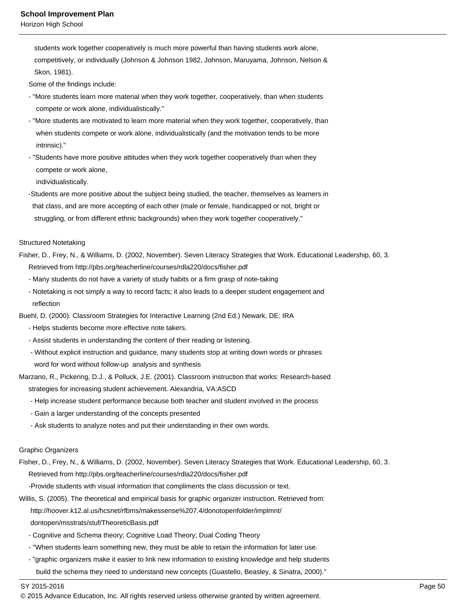students work together cooperatively is much more powerful than having students work alone, competitively, or individually (Johnson & Johnson 1982, Johnson, Maruyama, Johnson, Nelson & Skon, 1981).

Some of the findings include:

- "More students learn more material when they work together, cooperatively, than when students compete or work alone, individualistically."
- "More students are motivated to learn more material when they work together, cooperatively, than when students compete or work alone, individualistically (and the motivation tends to be more intrinsic)."
- "Students have more positive attitudes when they work together cooperatively than when they compete or work alone,

individualistically.

 -Students are more positive about the subject being studied, the teacher, themselves as learners in that class, and are more accepting of each other (male or female, handicapped or not, bright or struggling, or from different ethnic backgrounds) when they work together cooperatively."

### Structured Notetaking

- Fisher, D., Frey, N., & Williams, D. (2002, November). Seven Literacy Strategies that Work. Educational Leadership, 60, 3. Retrieved from http://pbs.org/teacherline/courses/rdla220/docs/fisher.pdf
	- Many students do not have a variety of study habits or a firm grasp of note-taking
	- Notetaking is not simply a way to record facts; it also leads to a deeper student engagement and reflection
- Buehl, D. (2000). Classroom Strategies for Interactive Learning (2nd Ed.) Newark, DE: IRA
	- Helps students become more effective note takers.
	- Assist students in understanding the content of their reading or listening.
	- Without explicit instruction and guidance, many students stop at writing down words or phrases word for word without follow-up analysis and synthesis
- Marzano, R., Pickering, D.J., & Polluck, J.E. (2001). Classroom instruction that works: Research-based
	- strategies for increasing student achievement. Alexandria, VA:ASCD
	- Help increase student performance because both teacher and student involved in the process
	- Gain a larger understanding of the concepts presented
	- Ask students to analyze notes and put their understanding in their own words.

## Graphic Organizers

Fisher, D., Frey, N., & Williams, D. (2002, November). Seven Literacy Strategies that Work. Educational Leadership, 60, 3. Retrieved from http://pbs.org/teacherline/courses/rdla220/docs/fisher.pdf

-Provide students with visual information that compliments the class discussion or text.

Willis, S. (2005). The theoretical and empirical basis for graphic organizer instruction. Retrieved from:

http://hoover.k12.al.us/hcsnet/rfbms/makessense%207.4/donotopenfolder/implmnt/

- dontopen/msstrats/stuf/TheoreticBasis.pdf
- Cognitive and Schema theory; Cognitive Load Theory; Dual Coding Theory
- "When students learn something new, they must be able to retain the information for later use.
- "graphic organizers make it easier to link new information to existing knowledge and help students build the schema they need to understand new concepts (Guastello, Beasley, & Sinatra, 2000)."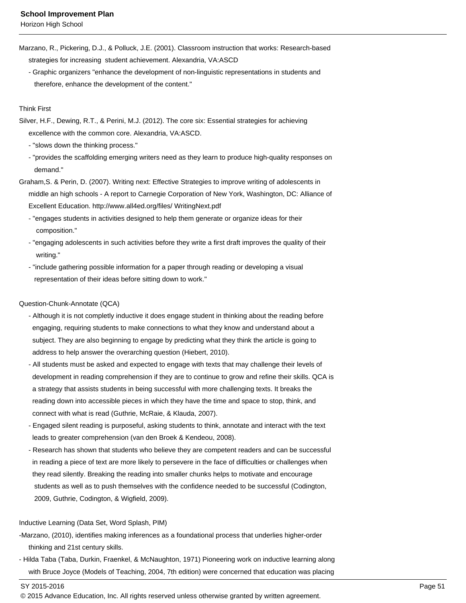- Marzano, R., Pickering, D.J., & Polluck, J.E. (2001). Classroom instruction that works: Research-based strategies for increasing student achievement. Alexandria, VA:ASCD
	- Graphic organizers "enhance the development of non-linguistic representations in students and therefore, enhance the development of the content."

# Think First

- Silver, H.F., Dewing, R.T., & Perini, M.J. (2012). The core six: Essential strategies for achieving excellence with the common core. Alexandria, VA:ASCD.
	- "slows down the thinking process."
	- "provides the scaffolding emerging writers need as they learn to produce high-quality responses on demand."
- Graham,S. & Perin, D. (2007). Writing next: Effective Strategies to improve writing of adolescents in middle an high schools - A report to Carnegie Corporation of New York, Washington, DC: Alliance of Excellent Education. http://www.all4ed.org/files/ WritingNext.pdf
	- "engages students in activities designed to help them generate or organize ideas for their composition."
	- "engaging adolescents in such activities before they write a first draft improves the quality of their writing."
	- "include gathering possible information for a paper through reading or developing a visual representation of their ideas before sitting down to work."

## Question-Chunk-Annotate (QCA)

- Although it is not completly inductive it does engage student in thinking about the reading before engaging, requiring students to make connections to what they know and understand about a subject. They are also beginning to engage by predicting what they think the article is going to address to help answer the overarching question (Hiebert, 2010).
- All students must be asked and expected to engage with texts that may challenge their levels of development in reading comprehension if they are to continue to grow and refine their skills. QCA is a strategy that assists students in being successful with more challenging texts. It breaks the reading down into accessible pieces in which they have the time and space to stop, think, and connect with what is read (Guthrie, McRaie, & Klauda, 2007).
- Engaged silent reading is purposeful, asking students to think, annotate and interact with the text leads to greater comprehension (van den Broek & Kendeou, 2008).
- Research has shown that students who believe they are competent readers and can be successful in reading a piece of text are more likely to persevere in the face of difficulties or challenges when they read silently. Breaking the reading into smaller chunks helps to motivate and encourage students as well as to push themselves with the confidence needed to be successful (Codington, 2009, Guthrie, Codington, & Wigfield, 2009).

## Inductive Learning (Data Set, Word Splash, PIM)

- -Marzano, (2010), identifies making inferences as a foundational process that underlies higher-order thinking and 21st century skills.
- Hilda Taba (Taba, Durkin, Fraenkel, & McNaughton, 1971) Pioneering work on inductive learning along with Bruce Joyce (Models of Teaching, 2004, 7th edition) were concerned that education was placing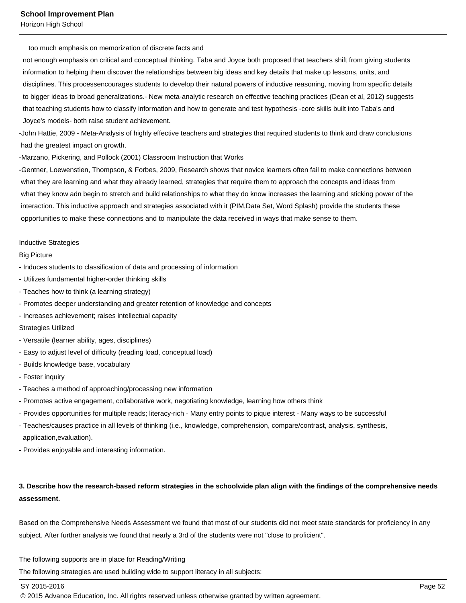too much emphasis on memorization of discrete facts and

 not enough emphasis on critical and conceptual thinking. Taba and Joyce both proposed that teachers shift from giving students information to helping them discover the relationships between big ideas and key details that make up lessons, units, and disciplines. This processencourages students to develop their natural powers of inductive reasoning, moving from specific details to bigger ideas to broad generalizations.- New meta-analytic research on effective teaching practices (Dean et al, 2012) suggests that teaching students how to classify information and how to generate and test hypothesis -core skills built into Taba's and Joyce's models- both raise student achievement.

-John Hattie, 2009 - Meta-Analysis of highly effective teachers and strategies that required students to think and draw conclusions had the greatest impact on growth.

-Marzano, Pickering, and Pollock (2001) Classroom Instruction that Works

-Gentner, Loewenstien, Thompson, & Forbes, 2009, Research shows that novice learners often fail to make connections between what they are learning and what they already learned, strategies that require them to approach the concepts and ideas from what they know adn begin to stretch and build relationships to what they do know increases the learning and sticking power of the interaction. This inductive approach and strategies associated with it (PIM,Data Set, Word Splash) provide the students these opportunities to make these connections and to manipulate the data received in ways that make sense to them.

#### Inductive Strategies

### Big Picture

- Induces students to classification of data and processing of information
- Utilizes fundamental higher-order thinking skills
- Teaches how to think (a learning strategy)
- Promotes deeper understanding and greater retention of knowledge and concepts
- Increases achievement; raises intellectual capacity

#### Strategies Utilized

- Versatile (learner ability, ages, disciplines)
- Easy to adjust level of difficulty (reading load, conceptual load)
- Builds knowledge base, vocabulary
- Foster inquiry
- Teaches a method of approaching/processing new information
- Promotes active engagement, collaborative work, negotiating knowledge, learning how others think
- Provides opportunities for multiple reads; literacy-rich Many entry points to pique interest Many ways to be successful
- Teaches/causes practice in all levels of thinking (i.e., knowledge, comprehension, compare/contrast, analysis, synthesis, application,evaluation).
- Provides enjoyable and interesting information.

# **3. Describe how the research-based reform strategies in the schoolwide plan align with the findings of the comprehensive needs assessment.**

Based on the Comprehensive Needs Assessment we found that most of our students did not meet state standards for proficiency in any subject. After further analysis we found that nearly a 3rd of the students were not "close to proficient".

The following supports are in place for Reading/Writing

The following strategies are used building wide to support literacy in all subjects:

SY 2015-2016 Page 52

<sup>© 2015</sup> Advance Education, Inc. All rights reserved unless otherwise granted by written agreement.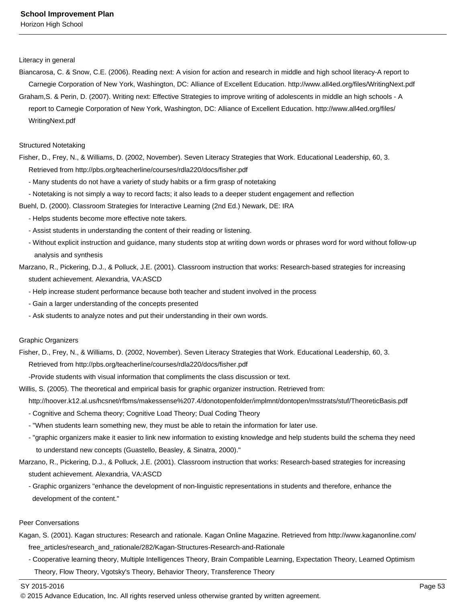Literacy in general

- Biancarosa, C. & Snow, C.E. (2006). Reading next: A vision for action and research in middle and high school literacy-A report to Carnegie Corporation of New York, Washington, DC: Alliance of Excellent Education. http://www.all4ed.org/files/WritingNext.pdf
- Graham,S. & Perin, D. (2007). Writing next: Effective Strategies to improve writing of adolescents in middle an high schools A report to Carnegie Corporation of New York, Washington, DC: Alliance of Excellent Education. http://www.all4ed.org/files/ WritingNext.pdf

## Structured Notetaking

- Fisher, D., Frey, N., & Williams, D. (2002, November). Seven Literacy Strategies that Work. Educational Leadership, 60, 3. Retrieved from http://pbs.org/teacherline/courses/rdla220/docs/fisher.pdf
	- Many students do not have a variety of study habits or a firm grasp of notetaking
	- Notetaking is not simply a way to record facts; it also leads to a deeper student engagement and reflection
- Buehl, D. (2000). Classroom Strategies for Interactive Learning (2nd Ed.) Newark, DE: IRA
	- Helps students become more effective note takers.
	- Assist students in understanding the content of their reading or listening.
	- Without explicit instruction and guidance, many students stop at writing down words or phrases word for word without follow-up analysis and synthesis
- Marzano, R., Pickering, D.J., & Polluck, J.E. (2001). Classroom instruction that works: Research-based strategies for increasing student achievement. Alexandria, VA:ASCD
	- Help increase student performance because both teacher and student involved in the process
	- Gain a larger understanding of the concepts presented
	- Ask students to analyze notes and put their understanding in their own words.

## Graphic Organizers

Fisher, D., Frey, N., & Williams, D. (2002, November). Seven Literacy Strategies that Work. Educational Leadership, 60, 3.

Retrieved from http://pbs.org/teacherline/courses/rdla220/docs/fisher.pdf

-Provide students with visual information that compliments the class discussion or text.

Willis, S. (2005). The theoretical and empirical basis for graphic organizer instruction. Retrieved from:

- http://hoover.k12.al.us/hcsnet/rfbms/makessense%207.4/donotopenfolder/implmnt/dontopen/msstrats/stuf/TheoreticBasis.pdf
- Cognitive and Schema theory; Cognitive Load Theory; Dual Coding Theory
- "When students learn something new, they must be able to retain the information for later use.
- "graphic organizers make it easier to link new information to existing knowledge and help students build the schema they need to understand new concepts (Guastello, Beasley, & Sinatra, 2000)."
- Marzano, R., Pickering, D.J., & Polluck, J.E. (2001). Classroom instruction that works: Research-based strategies for increasing student achievement. Alexandria, VA:ASCD
	- Graphic organizers "enhance the development of non-linguistic representations in students and therefore, enhance the development of the content."

# Peer Conversations

- Kagan, S. (2001). Kagan structures: Research and rationale. Kagan Online Magazine. Retrieved from http://www.kaganonline.com/ free\_articles/research\_and\_rationale/282/Kagan-Structures-Research-and-Rationale
	- Cooperative learning theory, Multiple Intelligences Theory, Brain Compatible Learning, Expectation Theory, Learned Optimism Theory, Flow Theory, Vgotsky's Theory, Behavior Theory, Transference Theory

<sup>© 2015</sup> Advance Education, Inc. All rights reserved unless otherwise granted by written agreement.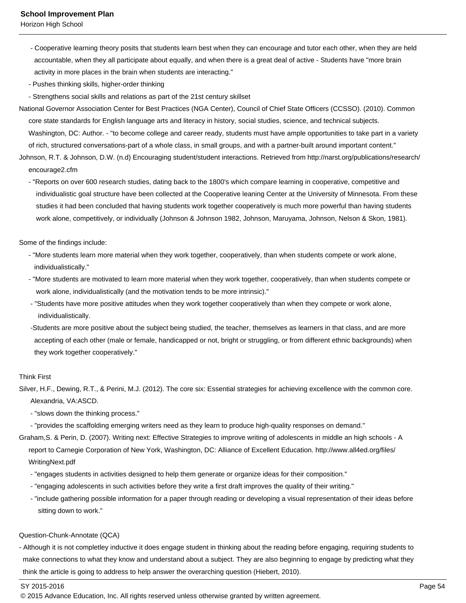- Cooperative learning theory posits that students learn best when they can encourage and tutor each other, when they are held accountable, when they all participate about equally, and when there is a great deal of active - Students have "more brain activity in more places in the brain when students are interacting."
- Pushes thinking skills, higher-order thinking
- Strengthens social skills and relations as part of the 21st century skillset
- National Governor Association Center for Best Practices (NGA Center), Council of Chief State Officers (CCSSO). (2010). Common core state standards for English language arts and literacy in history, social studies, science, and technical subjects. Washington, DC: Author. - "to become college and career ready, students must have ample opportunities to take part in a variety of rich, structured conversations-part of a whole class, in small groups, and with a partner-built around important content."
- Johnson, R.T. & Johnson, D.W. (n.d) Encouraging student/student interactions. Retrieved from http://narst.org/publications/research/ encourage2.cfm
	- "Reports on over 600 research studies, dating back to the 1800's which compare learning in cooperative, competitive and individualistic goal structure have been collected at the Cooperative leaning Center at the University of Minnesota. From these studies it had been concluded that having students work together cooperatively is much more powerful than having students work alone, competitively, or individually (Johnson & Johnson 1982, Johnson, Maruyama, Johnson, Nelson & Skon, 1981).

Some of the findings include:

- "More students learn more material when they work together, cooperatively, than when students compete or work alone, individualistically."
- "More students are motivated to learn more material when they work together, cooperatively, than when students compete or work alone, individualistically (and the motivation tends to be more intrinsic)."
- "Students have more positive attitudes when they work together cooperatively than when they compete or work alone, individualistically.
- -Students are more positive about the subject being studied, the teacher, themselves as learners in that class, and are more accepting of each other (male or female, handicapped or not, bright or struggling, or from different ethnic backgrounds) when they work together cooperatively."

# Think First

Silver, H.F., Dewing, R.T., & Perini, M.J. (2012). The core six: Essential strategies for achieving excellence with the common core. Alexandria, VA:ASCD.

- "slows down the thinking process."

- "provides the scaffolding emerging writers need as they learn to produce high-quality responses on demand."

Graham,S. & Perin, D. (2007). Writing next: Effective Strategies to improve writing of adolescents in middle an high schools - A report to Carnegie Corporation of New York, Washington, DC: Alliance of Excellent Education. http://www.all4ed.org/files/ WritingNext.pdf

- "engages students in activities designed to help them generate or organize ideas for their composition."
- "engaging adolescents in such activities before they write a first draft improves the quality of their writing."
- "include gathering possible information for a paper through reading or developing a visual representation of their ideas before sitting down to work."

#### Question-Chunk-Annotate (QCA)

- Although it is not completley inductive it does engage student in thinking about the reading before engaging, requiring students to make connections to what they know and understand about a subject. They are also beginning to engage by predicting what they think the article is going to address to help answer the overarching question (Hiebert, 2010).

<sup>© 2015</sup> Advance Education, Inc. All rights reserved unless otherwise granted by written agreement.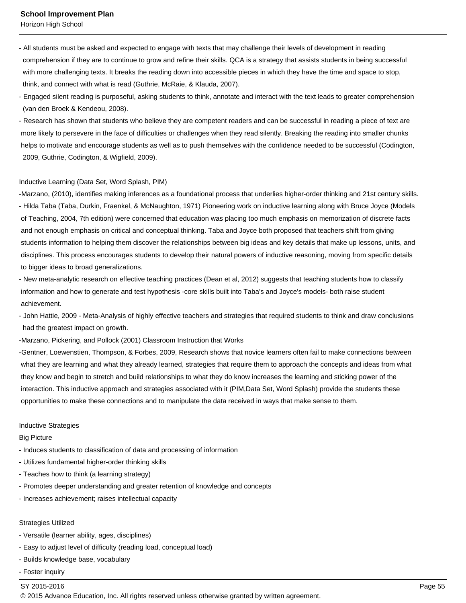- All students must be asked and expected to engage with texts that may challenge their levels of development in reading comprehension if they are to continue to grow and refine their skills. QCA is a strategy that assists students in being successful with more challenging texts. It breaks the reading down into accessible pieces in which they have the time and space to stop, think, and connect with what is read (Guthrie, McRaie, & Klauda, 2007).
- Engaged silent reading is purposeful, asking students to think, annotate and interact with the text leads to greater comprehension (van den Broek & Kendeou, 2008).
- Research has shown that students who believe they are competent readers and can be successful in reading a piece of text are more likely to persevere in the face of difficulties or challenges when they read silently. Breaking the reading into smaller chunks helps to motivate and encourage students as well as to push themselves with the confidence needed to be successful (Codington, 2009, Guthrie, Codington, & Wigfield, 2009).

### Inductive Learning (Data Set, Word Splash, PIM)

-Marzano, (2010), identifies making inferences as a foundational process that underlies higher-order thinking and 21st century skills. - Hilda Taba (Taba, Durkin, Fraenkel, & McNaughton, 1971) Pioneering work on inductive learning along with Bruce Joyce (Models of Teaching, 2004, 7th edition) were concerned that education was placing too much emphasis on memorization of discrete facts and not enough emphasis on critical and conceptual thinking. Taba and Joyce both proposed that teachers shift from giving students information to helping them discover the relationships between big ideas and key details that make up lessons, units, and disciplines. This process encourages students to develop their natural powers of inductive reasoning, moving from specific details to bigger ideas to broad generalizations.

- New meta-analytic research on effective teaching practices (Dean et al, 2012) suggests that teaching students how to classify information and how to generate and test hypothesis -core skills built into Taba's and Joyce's models- both raise student achievement.
- John Hattie, 2009 Meta-Analysis of highly effective teachers and strategies that required students to think and draw conclusions had the greatest impact on growth.
- -Marzano, Pickering, and Pollock (2001) Classroom Instruction that Works

-Gentner, Loewenstien, Thompson, & Forbes, 2009, Research shows that novice learners often fail to make connections between what they are learning and what they already learned, strategies that require them to approach the concepts and ideas from what they know and begin to stretch and build relationships to what they do know increases the learning and sticking power of the interaction. This inductive approach and strategies associated with it (PIM,Data Set, Word Splash) provide the students these opportunities to make these connections and to manipulate the data received in ways that make sense to them.

#### Inductive Strategies

#### Big Picture

- Induces students to classification of data and processing of information
- Utilizes fundamental higher-order thinking skills
- Teaches how to think (a learning strategy)
- Promotes deeper understanding and greater retention of knowledge and concepts
- Increases achievement; raises intellectual capacity

#### Strategies Utilized

- Versatile (learner ability, ages, disciplines)
- Easy to adjust level of difficulty (reading load, conceptual load)
- Builds knowledge base, vocabulary
- Foster inquiry

## SY 2015-2016 Page 55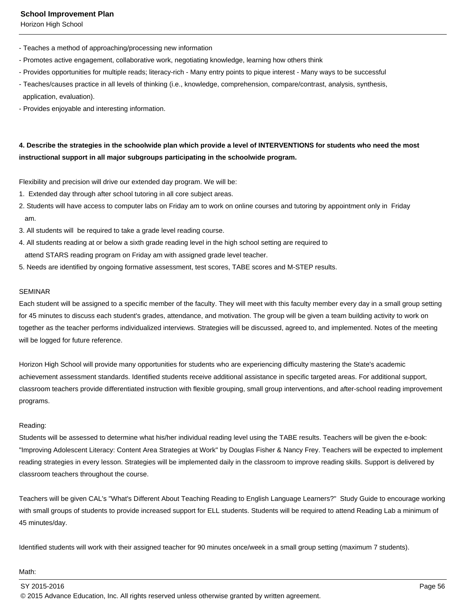Horizon High School

- Teaches a method of approaching/processing new information
- Promotes active engagement, collaborative work, negotiating knowledge, learning how others think
- Provides opportunities for multiple reads; literacy-rich Many entry points to pique interest Many ways to be successful
- Teaches/causes practice in all levels of thinking (i.e., knowledge, comprehension, compare/contrast, analysis, synthesis, application, evaluation).
- Provides enjoyable and interesting information.

# **4. Describe the strategies in the schoolwide plan which provide a level of INTERVENTIONS for students who need the most instructional support in all major subgroups participating in the schoolwide program.**

Flexibility and precision will drive our extended day program. We will be:

- 1. Extended day through after school tutoring in all core subject areas.
- 2. Students will have access to computer labs on Friday am to work on online courses and tutoring by appointment only in Friday am.
- 3. All students will be required to take a grade level reading course.
- 4. All students reading at or below a sixth grade reading level in the high school setting are required to attend STARS reading program on Friday am with assigned grade level teacher.
- 5. Needs are identified by ongoing formative assessment, test scores, TABE scores and M-STEP results.

# SEMINAR

Each student will be assigned to a specific member of the faculty. They will meet with this faculty member every day in a small group setting for 45 minutes to discuss each student's grades, attendance, and motivation. The group will be given a team building activity to work on together as the teacher performs individualized interviews. Strategies will be discussed, agreed to, and implemented. Notes of the meeting will be logged for future reference.

Horizon High School will provide many opportunities for students who are experiencing difficulty mastering the State's academic achievement assessment standards. Identified students receive additional assistance in specific targeted areas. For additional support, classroom teachers provide differentiated instruction with flexible grouping, small group interventions, and after-school reading improvement programs.

## Reading:

Students will be assessed to determine what his/her individual reading level using the TABE results. Teachers will be given the e-book: "Improving Adolescent Literacy: Content Area Strategies at Work" by Douglas Fisher & Nancy Frey. Teachers will be expected to implement reading strategies in every lesson. Strategies will be implemented daily in the classroom to improve reading skills. Support is delivered by classroom teachers throughout the course.

Teachers will be given CAL's "What's Different About Teaching Reading to English Language Learners?" Study Guide to encourage working with small groups of students to provide increased support for ELL students. Students will be required to attend Reading Lab a minimum of 45 minutes/day.

Identified students will work with their assigned teacher for 90 minutes once/week in a small group setting (maximum 7 students).

#### Math:

SY 2015-2016 Page 56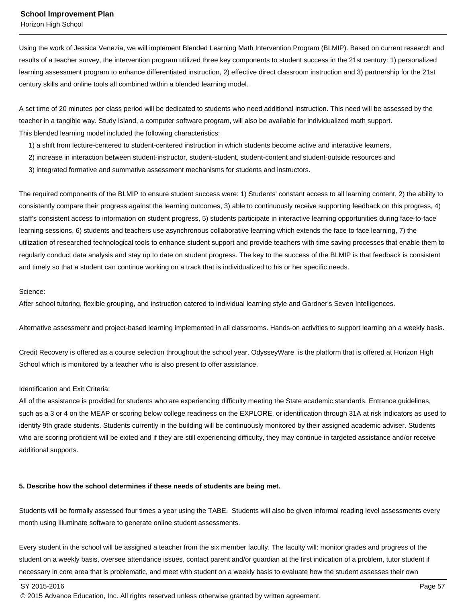Using the work of Jessica Venezia, we will implement Blended Learning Math Intervention Program (BLMIP). Based on current research and results of a teacher survey, the intervention program utilized three key components to student success in the 21st century: 1) personalized learning assessment program to enhance differentiated instruction, 2) effective direct classroom instruction and 3) partnership for the 21st century skills and online tools all combined within a blended learning model.

A set time of 20 minutes per class period will be dedicated to students who need additional instruction. This need will be assessed by the teacher in a tangible way. Study Island, a computer software program, will also be available for individualized math support. This blended learning model included the following characteristics:

- 1) a shift from lecture-centered to student-centered instruction in which students become active and interactive learners,
- 2) increase in interaction between student-instructor, student-student, student-content and student-outside resources and
- 3) integrated formative and summative assessment mechanisms for students and instructors.

The required components of the BLMIP to ensure student success were: 1) Students' constant access to all learning content, 2) the ability to consistently compare their progress against the learning outcomes, 3) able to continuously receive supporting feedback on this progress, 4) staff's consistent access to information on student progress, 5) students participate in interactive learning opportunities during face-to-face learning sessions, 6) students and teachers use asynchronous collaborative learning which extends the face to face learning, 7) the utilization of researched technological tools to enhance student support and provide teachers with time saving processes that enable them to regularly conduct data analysis and stay up to date on student progress. The key to the success of the BLMIP is that feedback is consistent and timely so that a student can continue working on a track that is individualized to his or her specific needs.

### Science:

After school tutoring, flexible grouping, and instruction catered to individual learning style and Gardner's Seven Intelligences.

Alternative assessment and project-based learning implemented in all classrooms. Hands-on activities to support learning on a weekly basis.

Credit Recovery is offered as a course selection throughout the school year. OdysseyWare is the platform that is offered at Horizon High School which is monitored by a teacher who is also present to offer assistance.

## Identification and Exit Criteria:

All of the assistance is provided for students who are experiencing difficulty meeting the State academic standards. Entrance guidelines, such as a 3 or 4 on the MEAP or scoring below college readiness on the EXPLORE, or identification through 31A at risk indicators as used to identify 9th grade students. Students currently in the building will be continuously monitored by their assigned academic adviser. Students who are scoring proficient will be exited and if they are still experiencing difficulty, they may continue in targeted assistance and/or receive additional supports.

## **5. Describe how the school determines if these needs of students are being met.**

Students will be formally assessed four times a year using the TABE. Students will also be given informal reading level assessments every month using Illuminate software to generate online student assessments.

Every student in the school will be assigned a teacher from the six member faculty. The faculty will: monitor grades and progress of the student on a weekly basis, oversee attendance issues, contact parent and/or guardian at the first indication of a problem, tutor student if necessary in core area that is problematic, and meet with student on a weekly basis to evaluate how the student assesses their own

SY 2015-2016 Page 57

<sup>© 2015</sup> Advance Education, Inc. All rights reserved unless otherwise granted by written agreement.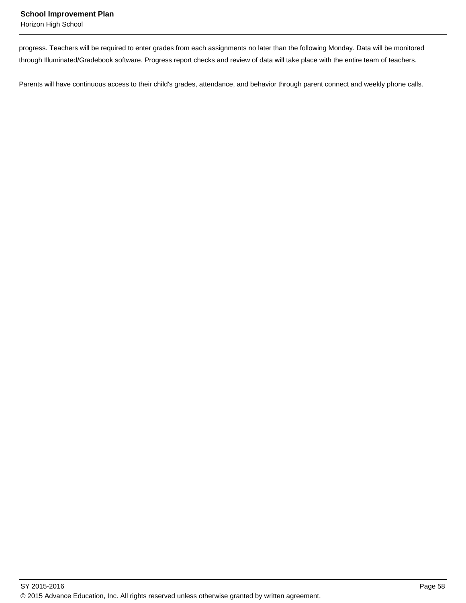progress. Teachers will be required to enter grades from each assignments no later than the following Monday. Data will be monitored through Illuminated/Gradebook software. Progress report checks and review of data will take place with the entire team of teachers.

Parents will have continuous access to their child's grades, attendance, and behavior through parent connect and weekly phone calls.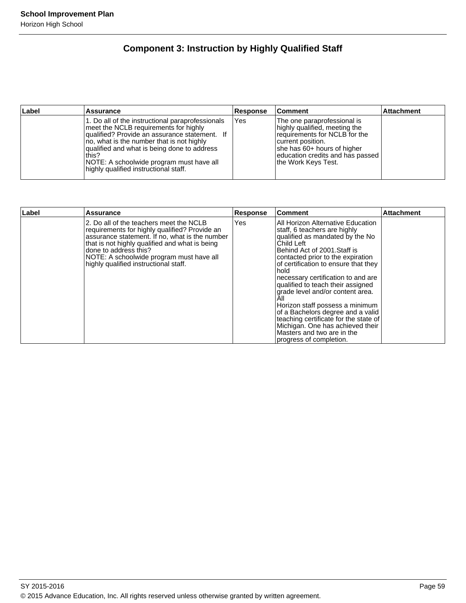# **Component 3: Instruction by Highly Qualified Staff**

| Label | Assurance                                                                                                                                                                                                                                                                                                                            | Response | ∣Comment                                                                                                                                                                                                      | <b>Attachment</b> |
|-------|--------------------------------------------------------------------------------------------------------------------------------------------------------------------------------------------------------------------------------------------------------------------------------------------------------------------------------------|----------|---------------------------------------------------------------------------------------------------------------------------------------------------------------------------------------------------------------|-------------------|
|       | 1. Do all of the instructional paraprofessionals<br>meet the NCLB requirements for highly<br>qualified? Provide an assurance statement. If<br>no, what is the number that is not highly<br>qualified and what is being done to address<br>this?<br>NOTE: A schoolwide program must have all<br>highly qualified instructional staff. | Yes      | The one paraprofessional is<br>highly qualified, meeting the<br>requirements for NCLB for the<br>current position.<br>she has 60+ hours of higher<br>education credits and has passed<br>Ithe Work Keys Test. |                   |

| ∣Label | Assurance                                                                                                                                                                                                                                                                                                  | <b>Response</b> | ∣Comment                                                                                                                                                                                                                                                                                                                                                                                                                                                                                                                                                                    | <b>Attachment</b> |
|--------|------------------------------------------------------------------------------------------------------------------------------------------------------------------------------------------------------------------------------------------------------------------------------------------------------------|-----------------|-----------------------------------------------------------------------------------------------------------------------------------------------------------------------------------------------------------------------------------------------------------------------------------------------------------------------------------------------------------------------------------------------------------------------------------------------------------------------------------------------------------------------------------------------------------------------------|-------------------|
|        | 2. Do all of the teachers meet the NCLB<br>requirements for highly qualified? Provide an<br>assurance statement. If no, what is the number<br>that is not highly qualified and what is being<br>done to address this?<br>NOTE: A schoolwide program must have all<br>highly qualified instructional staff. | Yes             | All Horizon Alternative Education<br>staff, 6 teachers are highly<br>qualified as mandated by the No<br>Child Left<br>Behind Act of 2001. Staff is<br>contacted prior to the expiration<br>of certification to ensure that they<br>hold<br>necessary certification to and are<br>qualified to teach their assigned<br>grade level and/or content area.<br>All<br>Horizon staff possess a minimum<br>of a Bachelors degree and a valid<br>teaching certificate for the state of<br>Michigan. One has achieved their<br>Masters and two are in the<br>progress of completion. |                   |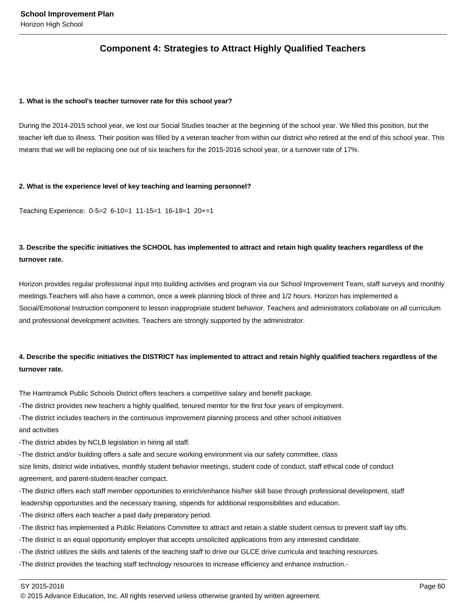# **Component 4: Strategies to Attract Highly Qualified Teachers**

### **1. What is the school's teacher turnover rate for this school year?**

During the 2014-2015 school year, we lost our Social Studies teacher at the beginning of the school year. We filled this position, but the teacher left due to illness. Their position was filled by a veteran teacher from within our district who retired at the end of this school year. This means that we will be replacing one out of six teachers for the 2015-2016 school year, or a turnover rate of 17%.

### **2. What is the experience level of key teaching and learning personnel?**

Teaching Experience: 0-5=2 6-10=1 11-15=1 16-19=1 20+=1

# **3. Describe the specific initiatives the SCHOOL has implemented to attract and retain high quality teachers regardless of the turnover rate.**

Horizon provides regular professional input into building activities and program via our School Improvement Team, staff surveys and monthly meetings.Teachers will also have a common, once a week planning block of three and 1/2 hours. Horizon has implemented a Social/Emotional Instruction component to lesson inappropriate student behavior. Teachers and administrators collaborate on all curriculum and professional development activities. Teachers are strongly supported by the administrator.

# **4. Describe the specific initiatives the DISTRICT has implemented to attract and retain highly qualified teachers regardless of the turnover rate.**

The Hamtramck Public Schools District offers teachers a competitive salary and benefit package.

-The district provides new teachers a highly qualified, tenured mentor for the first four years of employment.

-The district includes teachers in the continuous improvement planning process and other school initiatives and activities

-The district abides by NCLB legislation in hiring all staff.

-The district and/or building offers a safe and secure working environment via our safety committee, class size limits, district wide initiatives, monthly student behavior meetings, student code of conduct, staff ethical code of conduct agreement, and parent-student-teacher compact.

-The district offers each staff member opportunities to enrich/enhance his/her skill base through professional development, staff leadership opportunities and the necessary training, stipends for additional responsibilities and education.

-The district offers each teacher a paid daily preparatory period.

-The district has implemented a Public Relations Committee to attract and retain a stable student census to prevent staff lay offs.

-The district is an equal opportunity employer that accepts unsolicited applications from any interested candidate.

-The district utilizes the skills and talents of the teaching staff to drive our GLCE drive curricula and teaching resources.

-The district provides the teaching staff technology resources to increase efficiency and enhance instruction.-

SY 2015-2016 Page 60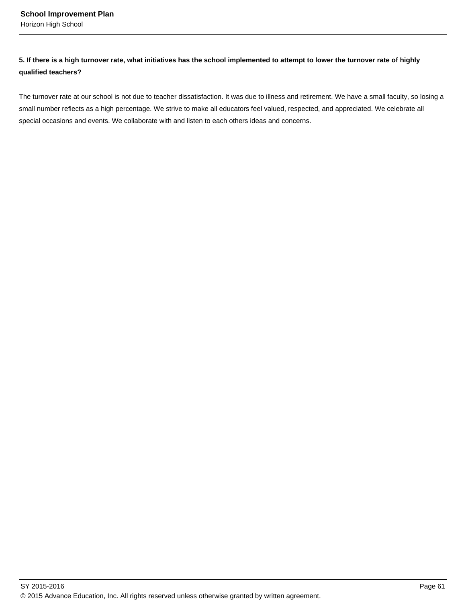# **5. If there is a high turnover rate, what initiatives has the school implemented to attempt to lower the turnover rate of highly qualified teachers?**

The turnover rate at our school is not due to teacher dissatisfaction. It was due to illness and retirement. We have a small faculty, so losing a small number reflects as a high percentage. We strive to make all educators feel valued, respected, and appreciated. We celebrate all special occasions and events. We collaborate with and listen to each others ideas and concerns.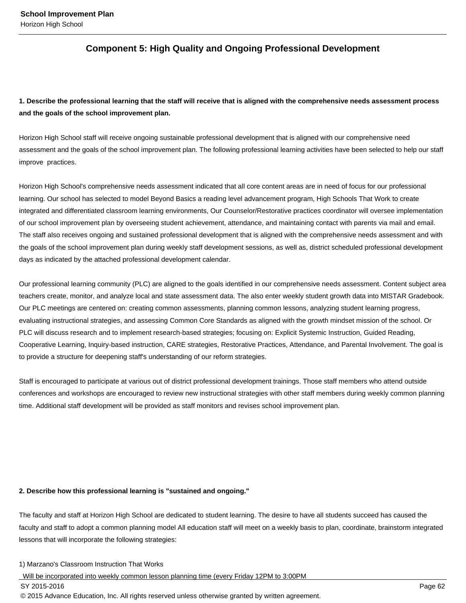# **Component 5: High Quality and Ongoing Professional Development**

**1. Describe the professional learning that the staff will receive that is aligned with the comprehensive needs assessment process and the goals of the school improvement plan.**

Horizon High School staff will receive ongoing sustainable professional development that is aligned with our comprehensive need assessment and the goals of the school improvement plan. The following professional learning activities have been selected to help our staff improve practices.

Horizon High School's comprehensive needs assessment indicated that all core content areas are in need of focus for our professional learning. Our school has selected to model Beyond Basics a reading level advancement program, High Schools That Work to create integrated and differentiated classroom learning environments, Our Counselor/Restorative practices coordinator will oversee implementation of our school improvement plan by overseeing student achievement, attendance, and maintaining contact with parents via mail and email. The staff also receives ongoing and sustained professional development that is aligned with the comprehensive needs assessment and with the goals of the school improvement plan during weekly staff development sessions, as well as, district scheduled professional development days as indicated by the attached professional development calendar.

Our professional learning community (PLC) are aligned to the goals identified in our comprehensive needs assessment. Content subject area teachers create, monitor, and analyze local and state assessment data. The also enter weekly student growth data into MISTAR Gradebook. Our PLC meetings are centered on: creating common assessments, planning common lessons, analyzing student learning progress, evaluating instructional strategies, and assessing Common Core Standards as aligned with the growth mindset mission of the school. Or PLC will discuss research and to implement research-based strategies; focusing on: Explicit Systemic Instruction, Guided Reading, Cooperative Learning, Inquiry-based instruction, CARE strategies, Restorative Practices, Attendance, and Parental Involvement. The goal is to provide a structure for deepening staff's understanding of our reform strategies.

Staff is encouraged to participate at various out of district professional development trainings. Those staff members who attend outside conferences and workshops are encouraged to review new instructional strategies with other staff members during weekly common planning time. Additional staff development will be provided as staff monitors and revises school improvement plan.

## **2. Describe how this professional learning is "sustained and ongoing."**

The faculty and staff at Horizon High School are dedicated to student learning. The desire to have all students succeed has caused the faculty and staff to adopt a common planning model All education staff will meet on a weekly basis to plan, coordinate, brainstorm integrated lessons that will incorporate the following strategies:

#### 1) Marzano's Classroom Instruction That Works

Will be incorporated into weekly common lesson planning time (every Friday 12PM to 3:00PM

SY 2015-2016 Page 62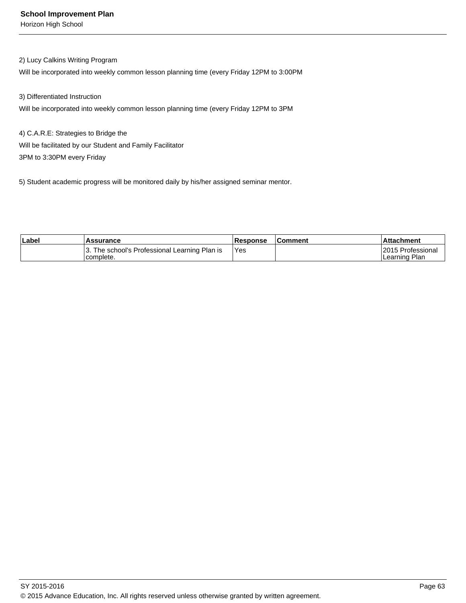# 2) Lucy Calkins Writing Program

Will be incorporated into weekly common lesson planning time (every Friday 12PM to 3:00PM

3) Differentiated Instruction

Will be incorporated into weekly common lesson planning time (every Friday 12PM to 3PM

4) C.A.R.E: Strategies to Bridge the Will be facilitated by our Student and Family Facilitator 3PM to 3:30PM every Friday

5) Student academic progress will be monitored daily by his/her assigned seminar mentor.

| ∣Label | <b>Assurance</b>                                          | <b>IResponse</b> | <b>Comment</b> | Attachment                          |
|--------|-----------------------------------------------------------|------------------|----------------|-------------------------------------|
|        | . The school's Professional Learning Plan is<br>complete. | <b>Yes</b>       |                | I2015 Professional<br>Learning Plan |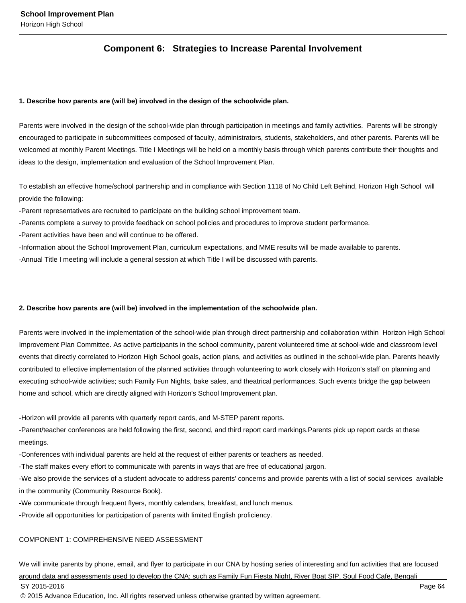# **Component 6: Strategies to Increase Parental Involvement**

## **1. Describe how parents are (will be) involved in the design of the schoolwide plan.**

Parents were involved in the design of the school-wide plan through participation in meetings and family activities. Parents will be strongly encouraged to participate in subcommittees composed of faculty, administrators, students, stakeholders, and other parents. Parents will be welcomed at monthly Parent Meetings. Title I Meetings will be held on a monthly basis through which parents contribute their thoughts and ideas to the design, implementation and evaluation of the School Improvement Plan.

To establish an effective home/school partnership and in compliance with Section 1118 of No Child Left Behind, Horizon High School will provide the following:

-Parent representatives are recruited to participate on the building school improvement team.

-Parents complete a survey to provide feedback on school policies and procedures to improve student performance.

-Parent activities have been and will continue to be offered.

-Information about the School Improvement Plan, curriculum expectations, and MME results will be made available to parents.

-Annual Title I meeting will include a general session at which Title I will be discussed with parents.

# **2. Describe how parents are (will be) involved in the implementation of the schoolwide plan.**

Parents were involved in the implementation of the school-wide plan through direct partnership and collaboration within Horizon High School Improvement Plan Committee. As active participants in the school community, parent volunteered time at school-wide and classroom level events that directly correlated to Horizon High School goals, action plans, and activities as outlined in the school-wide plan. Parents heavily contributed to effective implementation of the planned activities through volunteering to work closely with Horizon's staff on planning and executing school-wide activities; such Family Fun Nights, bake sales, and theatrical performances. Such events bridge the gap between home and school, which are directly aligned with Horizon's School Improvement plan.

-Horizon will provide all parents with quarterly report cards, and M-STEP parent reports.

-Parent/teacher conferences are held following the first, second, and third report card markings.Parents pick up report cards at these meetings.

-Conferences with individual parents are held at the request of either parents or teachers as needed.

-The staff makes every effort to communicate with parents in ways that are free of educational jargon.

-We also provide the services of a student advocate to address parents' concerns and provide parents with a list of social services available in the community (Community Resource Book).

-We communicate through frequent flyers, monthly calendars, breakfast, and lunch menus.

-Provide all opportunities for participation of parents with limited English proficiency.

# COMPONENT 1: COMPREHENSIVE NEED ASSESSMENT

We will invite parents by phone, email, and flyer to participate in our CNA by hosting series of interesting and fun activities that are focused around data and assessments used to develop the CNA; such as Family Fun Fiesta Night, River Boat SIP, Soul Food Cafe, Bengali SY 2015-2016 Page 64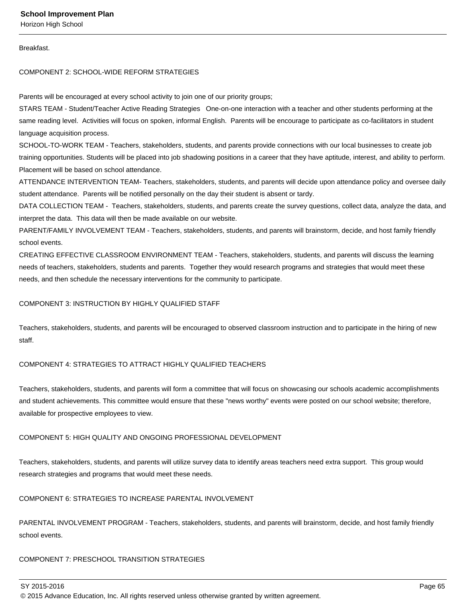### Breakfast.

### COMPONENT 2: SCHOOL-WIDE REFORM STRATEGIES

Parents will be encouraged at every school activity to join one of our priority groups;

STARS TEAM - Student/Teacher Active Reading Strategies One-on-one interaction with a teacher and other students performing at the same reading level. Activities will focus on spoken, informal English. Parents will be encourage to participate as co-facilitators in student language acquisition process.

SCHOOL-TO-WORK TEAM - Teachers, stakeholders, students, and parents provide connections with our local businesses to create job training opportunities. Students will be placed into job shadowing positions in a career that they have aptitude, interest, and ability to perform. Placement will be based on school attendance.

ATTENDANCE INTERVENTION TEAM- Teachers, stakeholders, students, and parents will decide upon attendance policy and oversee daily student attendance. Parents will be notified personally on the day their student is absent or tardy.

DATA COLLECTION TEAM - Teachers, stakeholders, students, and parents create the survey questions, collect data, analyze the data, and interpret the data. This data will then be made available on our website.

PARENT/FAMILY INVOLVEMENT TEAM - Teachers, stakeholders, students, and parents will brainstorm, decide, and host family friendly school events.

CREATING EFFECTIVE CLASSROOM ENVIRONMENT TEAM - Teachers, stakeholders, students, and parents will discuss the learning needs of teachers, stakeholders, students and parents. Together they would research programs and strategies that would meet these needs, and then schedule the necessary interventions for the community to participate.

## COMPONENT 3: INSTRUCTION BY HIGHLY QUALIFIED STAFF

Teachers, stakeholders, students, and parents will be encouraged to observed classroom instruction and to participate in the hiring of new staff.

# COMPONENT 4: STRATEGIES TO ATTRACT HIGHLY QUALIFIED TEACHERS

Teachers, stakeholders, students, and parents will form a committee that will focus on showcasing our schools academic accomplishments and student achievements. This committee would ensure that these "news worthy" events were posted on our school website; therefore, available for prospective employees to view.

## COMPONENT 5: HIGH QUALITY AND ONGOING PROFESSIONAL DEVELOPMENT

Teachers, stakeholders, students, and parents will utilize survey data to identify areas teachers need extra support. This group would research strategies and programs that would meet these needs.

## COMPONENT 6: STRATEGIES TO INCREASE PARENTAL INVOLVEMENT

PARENTAL INVOLVEMENT PROGRAM - Teachers, stakeholders, students, and parents will brainstorm, decide, and host family friendly school events.

# COMPONENT 7: PRESCHOOL TRANSITION STRATEGIES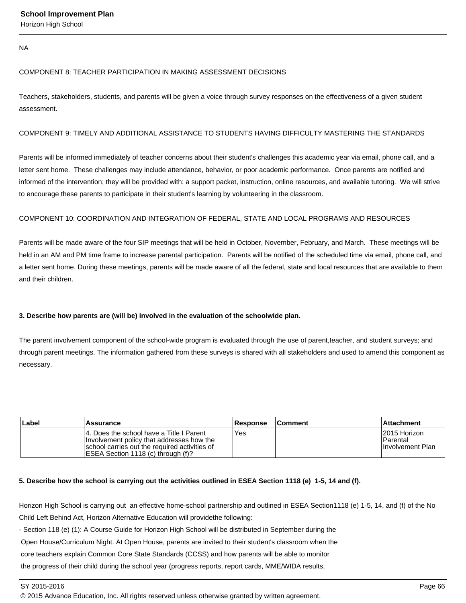NA

# COMPONENT 8: TEACHER PARTICIPATION IN MAKING ASSESSMENT DECISIONS

Teachers, stakeholders, students, and parents will be given a voice through survey responses on the effectiveness of a given student assessment.

# COMPONENT 9: TIMELY AND ADDITIONAL ASSISTANCE TO STUDENTS HAVING DIFFICULTY MASTERING THE STANDARDS

Parents will be informed immediately of teacher concerns about their student's challenges this academic year via email, phone call, and a letter sent home. These challenges may include attendance, behavior, or poor academic performance. Once parents are notified and informed of the intervention; they will be provided with: a support packet, instruction, online resources, and available tutoring. We will strive to encourage these parents to participate in their student's learning by volunteering in the classroom.

# COMPONENT 10: COORDINATION AND INTEGRATION OF FEDERAL, STATE AND LOCAL PROGRAMS AND RESOURCES

Parents will be made aware of the four SIP meetings that will be held in October, November, February, and March. These meetings will be held in an AM and PM time frame to increase parental participation. Parents will be notified of the scheduled time via email, phone call, and a letter sent home. During these meetings, parents will be made aware of all the federal, state and local resources that are available to them and their children.

# **3. Describe how parents are (will be) involved in the evaluation of the schoolwide plan.**

The parent involvement component of the school-wide program is evaluated through the use of parent,teacher, and student surveys; and through parent meetings. The information gathered from these surveys is shared with all stakeholders and used to amend this component as necessary.

| Label | Assurance                                                                                                                                                                      | <b>Response</b> | <b>Comment</b> | ∣Attachment                                            |
|-------|--------------------------------------------------------------------------------------------------------------------------------------------------------------------------------|-----------------|----------------|--------------------------------------------------------|
|       | 14. Does the school have a Title I Parent<br>Involvement policy that addresses how the<br>Ischool carries out the required activities of<br>ESEA Section 1118 (c) through (f)? | 'Yes            |                | 12015 Horizon<br>l Parental<br><b>Involvement Plan</b> |

# **5. Describe how the school is carrying out the activities outlined in ESEA Section 1118 (e) 1-5, 14 and (f).**

Horizon High School is carrying out an effective home-school partnership and outlined in ESEA Section1118 (e) 1-5, 14, and (f) of the No Child Left Behind Act, Horizon Alternative Education will providethe following:

- Section 118 (e) (1): A Course Guide for Horizon High School will be distributed in September during the

Open House/Curriculum Night. At Open House, parents are invited to their student's classroom when the

core teachers explain Common Core State Standards (CCSS) and how parents will be able to monitor

the progress of their child during the school year (progress reports, report cards, MME/WIDA results,

<sup>© 2015</sup> Advance Education, Inc. All rights reserved unless otherwise granted by written agreement.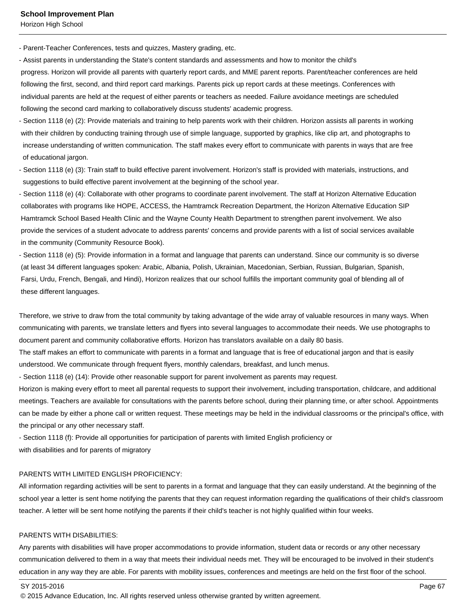- Parent-Teacher Conferences, tests and quizzes, Mastery grading, etc.

- Assist parents in understanding the State's content standards and assessments and how to monitor the child's progress. Horizon will provide all parents with quarterly report cards, and MME parent reports. Parent/teacher conferences are held following the first, second, and third report card markings. Parents pick up report cards at these meetings. Conferences with individual parents are held at the request of either parents or teachers as needed. Failure avoidance meetings are scheduled following the second card marking to collaboratively discuss students' academic progress.

- Section 1118 (e) (2): Provide materials and training to help parents work with their children. Horizon assists all parents in working with their children by conducting training through use of simple language, supported by graphics, like clip art, and photographs to increase understanding of written communication. The staff makes every effort to communicate with parents in ways that are free of educational jargon.

- Section 1118 (e) (3): Train staff to build effective parent involvement. Horizon's staff is provided with materials, instructions, and suggestions to build effective parent involvement at the beginning of the school year.

- Section 1118 (e) (4): Collaborate with other programs to coordinate parent involvement. The staff at Horizon Alternative Education collaborates with programs like HOPE, ACCESS, the Hamtramck Recreation Department, the Horizon Alternative Education SIP Hamtramck School Based Health Clinic and the Wayne County Health Department to strengthen parent involvement. We also provide the services of a student advocate to address parents' concerns and provide parents with a list of social services available in the community (Community Resource Book).

- Section 1118 (e) (5): Provide information in a format and language that parents can understand. Since our community is so diverse (at least 34 different languages spoken: Arabic, Albania, Polish, Ukrainian, Macedonian, Serbian, Russian, Bulgarian, Spanish, Farsi, Urdu, French, Bengali, and Hindi), Horizon realizes that our school fulfills the important community goal of blending all of these different languages.

Therefore, we strive to draw from the total community by taking advantage of the wide array of valuable resources in many ways. When communicating with parents, we translate letters and flyers into several languages to accommodate their needs. We use photographs to document parent and community collaborative efforts. Horizon has translators available on a daily 80 basis.

The staff makes an effort to communicate with parents in a format and language that is free of educational jargon and that is easily understood. We communicate through frequent flyers, monthly calendars, breakfast, and lunch menus.

- Section 1118 (e) (14): Provide other reasonable support for parent involvement as parents may request.

Horizon is making every effort to meet all parental requests to support their involvement, including transportation, childcare, and additional meetings. Teachers are available for consultations with the parents before school, during their planning time, or after school. Appointments can be made by either a phone call or written request. These meetings may be held in the individual classrooms or the principal's office, with the principal or any other necessary staff.

- Section 1118 (f): Provide all opportunities for participation of parents with limited English proficiency or with disabilities and for parents of migratory

#### PARENTS WITH LIMITED ENGLISH PROFICIENCY:

All information regarding activities will be sent to parents in a format and language that they can easily understand. At the beginning of the school year a letter is sent home notifying the parents that they can request information regarding the qualifications of their child's classroom teacher. A letter will be sent home notifying the parents if their child's teacher is not highly qualified within four weeks.

#### PARENTS WITH DISABILITIES:

Any parents with disabilities will have proper accommodations to provide information, student data or records or any other necessary communication delivered to them in a way that meets their individual needs met. They will be encouraged to be involved in their student's education in any way they are able. For parents with mobility issues, conferences and meetings are held on the first floor of the school.

SY 2015-2016 Page 67

<sup>© 2015</sup> Advance Education, Inc. All rights reserved unless otherwise granted by written agreement.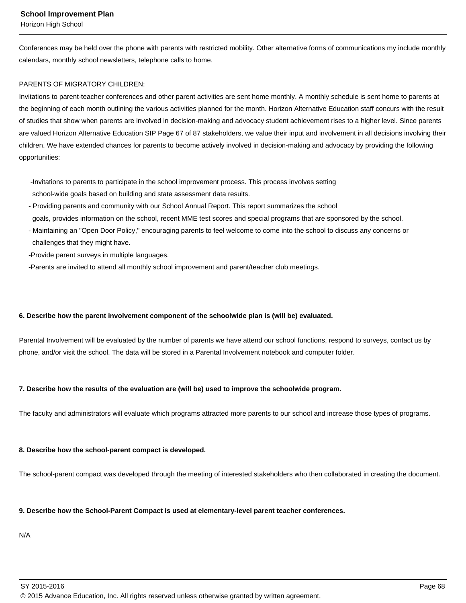Conferences may be held over the phone with parents with restricted mobility. Other alternative forms of communications my include monthly calendars, monthly school newsletters, telephone calls to home.

# PARENTS OF MIGRATORY CHILDREN:

Invitations to parent-teacher conferences and other parent activities are sent home monthly. A monthly schedule is sent home to parents at the beginning of each month outlining the various activities planned for the month. Horizon Alternative Education staff concurs with the result of studies that show when parents are involved in decision-making and advocacy student achievement rises to a higher level. Since parents are valued Horizon Alternative Education SIP Page 67 of 87 stakeholders, we value their input and involvement in all decisions involving their children. We have extended chances for parents to become actively involved in decision-making and advocacy by providing the following opportunities:

 -Invitations to parents to participate in the school improvement process. This process involves setting school-wide goals based on building and state assessment data results.

- Providing parents and community with our School Annual Report. This report summarizes the school goals, provides information on the school, recent MME test scores and special programs that are sponsored by the school.
- Maintaining an "Open Door Policy," encouraging parents to feel welcome to come into the school to discuss any concerns or challenges that they might have.
- -Provide parent surveys in multiple languages.
- -Parents are invited to attend all monthly school improvement and parent/teacher club meetings.

# **6. Describe how the parent involvement component of the schoolwide plan is (will be) evaluated.**

Parental Involvement will be evaluated by the number of parents we have attend our school functions, respond to surveys, contact us by phone, and/or visit the school. The data will be stored in a Parental Involvement notebook and computer folder.

## **7. Describe how the results of the evaluation are (will be) used to improve the schoolwide program.**

The faculty and administrators will evaluate which programs attracted more parents to our school and increase those types of programs.

## **8. Describe how the school-parent compact is developed.**

The school-parent compact was developed through the meeting of interested stakeholders who then collaborated in creating the document.

## **9. Describe how the School-Parent Compact is used at elementary-level parent teacher conferences.**

N/A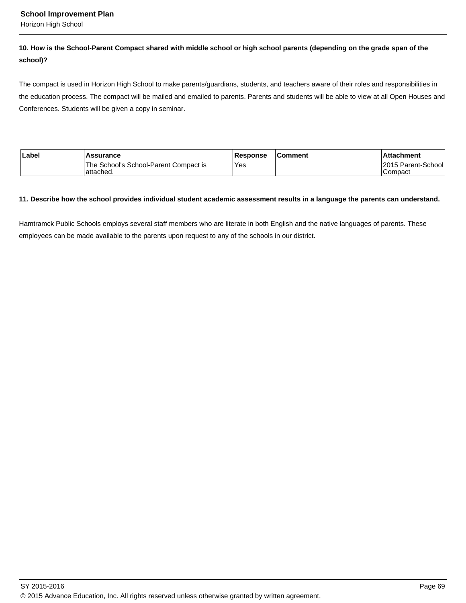Horizon High School

## **10. How is the School-Parent Compact shared with middle school or high school parents (depending on the grade span of the school)?**

The compact is used in Horizon High School to make parents/guardians, students, and teachers aware of their roles and responsibilities in the education process. The compact will be mailed and emailed to parents. Parents and students will be able to view at all Open Houses and Conferences. Students will be given a copy in seminar.

| Label <sup></sup> | <b>Assurance</b>                                    | <b>Response</b> | <b>Comment</b> | <b>Attachment</b>               |
|-------------------|-----------------------------------------------------|-----------------|----------------|---------------------------------|
|                   | The School's School-Parent Compact is<br>lattached. | Yes:            |                | 12015 Parent-School1<br>Compact |

#### **11. Describe how the school provides individual student academic assessment results in a language the parents can understand.**

Hamtramck Public Schools employs several staff members who are literate in both English and the native languages of parents. These employees can be made available to the parents upon request to any of the schools in our district.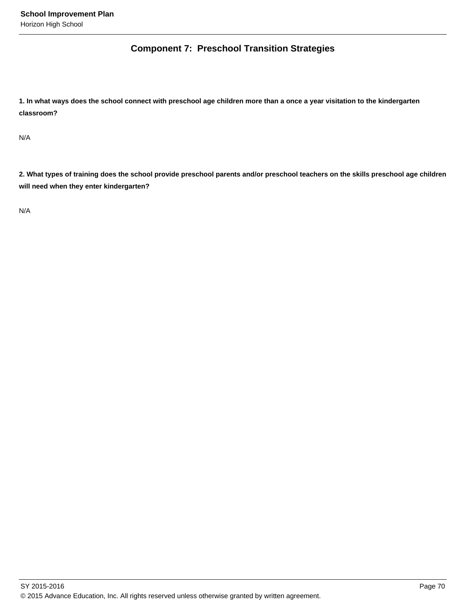## **Component 7: Preschool Transition Strategies**

**1. In what ways does the school connect with preschool age children more than a once a year visitation to the kindergarten classroom?** 

N/A

**2. What types of training does the school provide preschool parents and/or preschool teachers on the skills preschool age children will need when they enter kindergarten?** 

N/A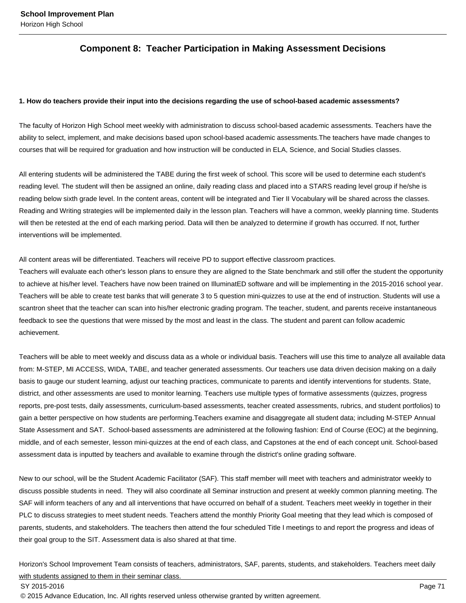## **Component 8: Teacher Participation in Making Assessment Decisions**

#### **1. How do teachers provide their input into the decisions regarding the use of school-based academic assessments?**

The faculty of Horizon High School meet weekly with administration to discuss school-based academic assessments. Teachers have the ability to select, implement, and make decisions based upon school-based academic assessments.The teachers have made changes to courses that will be required for graduation and how instruction will be conducted in ELA, Science, and Social Studies classes.

All entering students will be administered the TABE during the first week of school. This score will be used to determine each student's reading level. The student will then be assigned an online, daily reading class and placed into a STARS reading level group if he/she is reading below sixth grade level. In the content areas, content will be integrated and Tier II Vocabulary will be shared across the classes. Reading and Writing strategies will be implemented daily in the lesson plan. Teachers will have a common, weekly planning time. Students will then be retested at the end of each marking period. Data will then be analyzed to determine if growth has occurred. If not, further interventions will be implemented.

All content areas will be differentiated. Teachers will receive PD to support effective classroom practices.

Teachers will evaluate each other's lesson plans to ensure they are aligned to the State benchmark and still offer the student the opportunity to achieve at his/her level. Teachers have now been trained on IlluminatED software and will be implementing in the 2015-2016 school year. Teachers will be able to create test banks that will generate 3 to 5 question mini-quizzes to use at the end of instruction. Students will use a scantron sheet that the teacher can scan into his/her electronic grading program. The teacher, student, and parents receive instantaneous feedback to see the questions that were missed by the most and least in the class. The student and parent can follow academic achievement.

Teachers will be able to meet weekly and discuss data as a whole or individual basis. Teachers will use this time to analyze all available data from: M-STEP, MI ACCESS, WIDA, TABE, and teacher generated assessments. Our teachers use data driven decision making on a daily basis to gauge our student learning, adjust our teaching practices, communicate to parents and identify interventions for students. State, district, and other assessments are used to monitor learning. Teachers use multiple types of formative assessments (quizzes, progress reports, pre-post tests, daily assessments, curriculum-based assessments, teacher created assessments, rubrics, and student portfolios) to gain a better perspective on how students are performing.Teachers examine and disaggregate all student data; including M-STEP Annual State Assessment and SAT. School-based assessments are administered at the following fashion: End of Course (EOC) at the beginning, middle, and of each semester, lesson mini-quizzes at the end of each class, and Capstones at the end of each concept unit. School-based assessment data is inputted by teachers and available to examine through the district's online grading software.

New to our school, will be the Student Academic Facilitator (SAF). This staff member will meet with teachers and administrator weekly to discuss possible students in need. They will also coordinate all Seminar instruction and present at weekly common planning meeting. The SAF will inform teachers of any and all interventions that have occurred on behalf of a student. Teachers meet weekly in together in their PLC to discuss strategies to meet student needs. Teachers attend the monthly Priority Goal meeting that they lead which is composed of parents, students, and stakeholders. The teachers then attend the four scheduled Title I meetings to and report the progress and ideas of their goal group to the SIT. Assessment data is also shared at that time.

Horizon's School Improvement Team consists of teachers, administrators, SAF, parents, students, and stakeholders. Teachers meet daily with students assigned to them in their seminar class.

#### SY 2015-2016 Page 71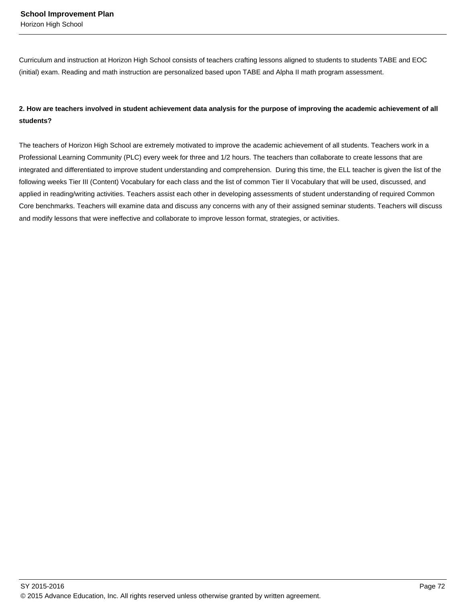Curriculum and instruction at Horizon High School consists of teachers crafting lessons aligned to students to students TABE and EOC (initial) exam. Reading and math instruction are personalized based upon TABE and Alpha II math program assessment.

## **2. How are teachers involved in student achievement data analysis for the purpose of improving the academic achievement of all students?**

The teachers of Horizon High School are extremely motivated to improve the academic achievement of all students. Teachers work in a Professional Learning Community (PLC) every week for three and 1/2 hours. The teachers than collaborate to create lessons that are integrated and differentiated to improve student understanding and comprehension. During this time, the ELL teacher is given the list of the following weeks Tier III (Content) Vocabulary for each class and the list of common Tier II Vocabulary that will be used, discussed, and applied in reading/writing activities. Teachers assist each other in developing assessments of student understanding of required Common Core benchmarks. Teachers will examine data and discuss any concerns with any of their assigned seminar students. Teachers will discuss and modify lessons that were ineffective and collaborate to improve lesson format, strategies, or activities.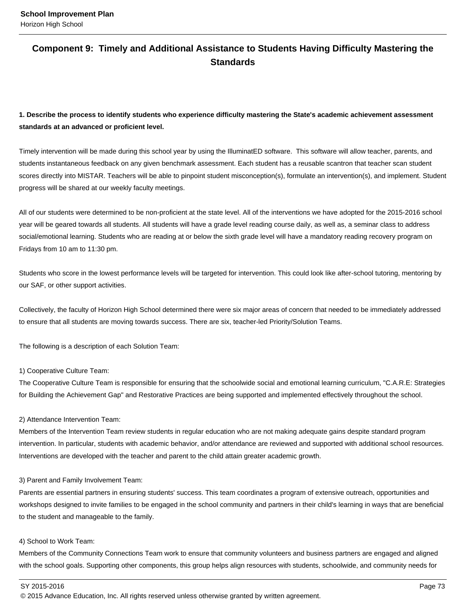## **Component 9: Timely and Additional Assistance to Students Having Difficulty Mastering the Standards**

## **1. Describe the process to identify students who experience difficulty mastering the State's academic achievement assessment standards at an advanced or proficient level.**

Timely intervention will be made during this school year by using the IlluminatED software. This software will allow teacher, parents, and students instantaneous feedback on any given benchmark assessment. Each student has a reusable scantron that teacher scan student scores directly into MISTAR. Teachers will be able to pinpoint student misconception(s), formulate an intervention(s), and implement. Student progress will be shared at our weekly faculty meetings.

All of our students were determined to be non-proficient at the state level. All of the interventions we have adopted for the 2015-2016 school year will be geared towards all students. All students will have a grade level reading course daily, as well as, a seminar class to address social/emotional learning. Students who are reading at or below the sixth grade level will have a mandatory reading recovery program on Fridays from 10 am to 11:30 pm.

Students who score in the lowest performance levels will be targeted for intervention. This could look like after-school tutoring, mentoring by our SAF, or other support activities.

Collectively, the faculty of Horizon High School determined there were six major areas of concern that needed to be immediately addressed to ensure that all students are moving towards success. There are six, teacher-led Priority/Solution Teams.

The following is a description of each Solution Team:

#### 1) Cooperative Culture Team:

The Cooperative Culture Team is responsible for ensuring that the schoolwide social and emotional learning curriculum, "C.A.R.E: Strategies for Building the Achievement Gap" and Restorative Practices are being supported and implemented effectively throughout the school.

#### 2) Attendance Intervention Team:

Members of the Intervention Team review students in regular education who are not making adequate gains despite standard program intervention. In particular, students with academic behavior, and/or attendance are reviewed and supported with additional school resources. Interventions are developed with the teacher and parent to the child attain greater academic growth.

#### 3) Parent and Family Involvement Team:

Parents are essential partners in ensuring students' success. This team coordinates a program of extensive outreach, opportunities and workshops designed to invite families to be engaged in the school community and partners in their child's learning in ways that are beneficial to the student and manageable to the family.

#### 4) School to Work Team:

Members of the Community Connections Team work to ensure that community volunteers and business partners are engaged and aligned with the school goals. Supporting other components, this group helps align resources with students, schoolwide, and community needs for

SY 2015-2016 Page 73

<sup>© 2015</sup> Advance Education, Inc. All rights reserved unless otherwise granted by written agreement.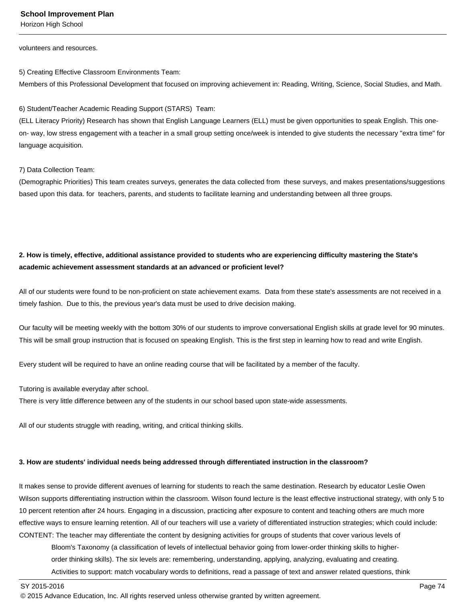Horizon High School

volunteers and resources.

5) Creating Effective Classroom Environments Team:

Members of this Professional Development that focused on improving achievement in: Reading, Writing, Science, Social Studies, and Math.

6) Student/Teacher Academic Reading Support (STARS) Team:

(ELL Literacy Priority) Research has shown that English Language Learners (ELL) must be given opportunities to speak English. This oneon- way, low stress engagement with a teacher in a small group setting once/week is intended to give students the necessary "extra time" for language acquisition.

7) Data Collection Team:

(Demographic Priorities) This team creates surveys, generates the data collected from these surveys, and makes presentations/suggestions based upon this data. for teachers, parents, and students to facilitate learning and understanding between all three groups.

## **2. How is timely, effective, additional assistance provided to students who are experiencing difficulty mastering the State's academic achievement assessment standards at an advanced or proficient level?**

All of our students were found to be non-proficient on state achievement exams. Data from these state's assessments are not received in a timely fashion. Due to this, the previous year's data must be used to drive decision making.

Our faculty will be meeting weekly with the bottom 30% of our students to improve conversational English skills at grade level for 90 minutes. This will be small group instruction that is focused on speaking English. This is the first step in learning how to read and write English.

Every student will be required to have an online reading course that will be facilitated by a member of the faculty.

Tutoring is available everyday after school.

There is very little difference between any of the students in our school based upon state-wide assessments.

All of our students struggle with reading, writing, and critical thinking skills.

#### **3. How are students' individual needs being addressed through differentiated instruction in the classroom?**

It makes sense to provide different avenues of learning for students to reach the same destination. Research by educator Leslie Owen Wilson supports differentiating instruction within the classroom. Wilson found lecture is the least effective instructional strategy, with only 5 to 10 percent retention after 24 hours. Engaging in a discussion, practicing after exposure to content and teaching others are much more effective ways to ensure learning retention. All of our teachers will use a variety of differentiated instruction strategies; which could include: CONTENT: The teacher may differentiate the content by designing activities for groups of students that cover various levels of

 Bloom's Taxonomy (a classification of levels of intellectual behavior going from lower-order thinking skills to higher order thinking skills). The six levels are: remembering, understanding, applying, analyzing, evaluating and creating. Activities to support: match vocabulary words to definitions, read a passage of text and answer related questions, think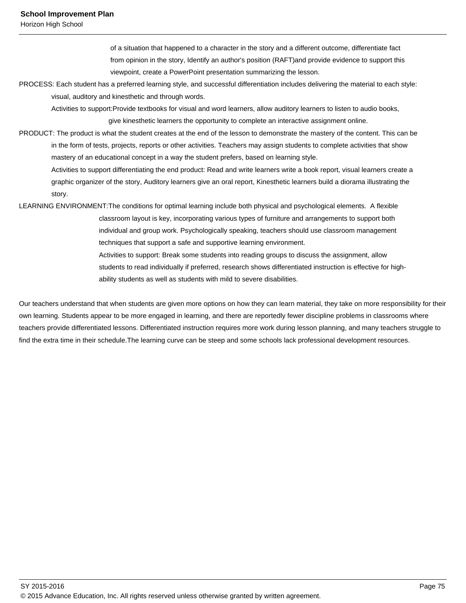Horizon High School

 of a situation that happened to a character in the story and a different outcome, differentiate fact from opinion in the story, Identify an author's position (RAFT)and provide evidence to support this viewpoint, create a PowerPoint presentation summarizing the lesson.

PROCESS: Each student has a preferred learning style, and successful differentiation includes delivering the material to each style: visual, auditory and kinesthetic and through words.

Activities to support:Provide textbooks for visual and word learners, allow auditory learners to listen to audio books,

give kinesthetic learners the opportunity to complete an interactive assignment online.

PRODUCT: The product is what the student creates at the end of the lesson to demonstrate the mastery of the content. This can be in the form of tests, projects, reports or other activities. Teachers may assign students to complete activities that show mastery of an educational concept in a way the student prefers, based on learning style.

 Activities to support differentiating the end product: Read and write learners write a book report, visual learners create a graphic organizer of the story, Auditory learners give an oral report, Kinesthetic learners build a diorama illustrating the story.

LEARNING ENVIRONMENT:The conditions for optimal learning include both physical and psychological elements. A flexible classroom layout is key, incorporating various types of furniture and arrangements to support both individual and group work. Psychologically speaking, teachers should use classroom management techniques that support a safe and supportive learning environment. Activities to support: Break some students into reading groups to discuss the assignment, allow

> students to read individually if preferred, research shows differentiated instruction is effective for high ability students as well as students with mild to severe disabilities.

Our teachers understand that when students are given more options on how they can learn material, they take on more responsibility for their own learning. Students appear to be more engaged in learning, and there are reportedly fewer discipline problems in classrooms where teachers provide differentiated lessons. Differentiated instruction requires more work during lesson planning, and many teachers struggle to find the extra time in their schedule.The learning curve can be steep and some schools lack professional development resources.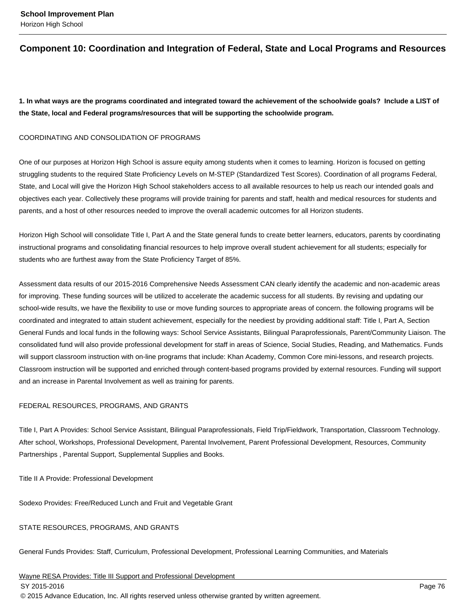## **Component 10: Coordination and Integration of Federal, State and Local Programs and Resources**

**1. In what ways are the programs coordinated and integrated toward the achievement of the schoolwide goals? Include a LIST of the State, local and Federal programs/resources that will be supporting the schoolwide program.**

#### COORDINATING AND CONSOLIDATION OF PROGRAMS

One of our purposes at Horizon High School is assure equity among students when it comes to learning. Horizon is focused on getting struggling students to the required State Proficiency Levels on M-STEP (Standardized Test Scores). Coordination of all programs Federal, State, and Local will give the Horizon High School stakeholders access to all available resources to help us reach our intended goals and objectives each year. Collectively these programs will provide training for parents and staff, health and medical resources for students and parents, and a host of other resources needed to improve the overall academic outcomes for all Horizon students.

Horizon High School will consolidate Title I, Part A and the State general funds to create better learners, educators, parents by coordinating instructional programs and consolidating financial resources to help improve overall student achievement for all students; especially for students who are furthest away from the State Proficiency Target of 85%.

Assessment data results of our 2015-2016 Comprehensive Needs Assessment CAN clearly identify the academic and non-academic areas for improving. These funding sources will be utilized to accelerate the academic success for all students. By revising and updating our school-wide results, we have the flexibility to use or move funding sources to appropriate areas of concern. the following programs will be coordinated and integrated to attain student achievement, especially for the neediest by providing additional staff: Title I, Part A, Section General Funds and local funds in the following ways: School Service Assistants, Bilingual Paraprofessionals, Parent/Community Liaison. The consolidated fund will also provide professional development for staff in areas of Science, Social Studies, Reading, and Mathematics. Funds will support classroom instruction with on-line programs that include: Khan Academy, Common Core mini-lessons, and research projects. Classroom instruction will be supported and enriched through content-based programs provided by external resources. Funding will support and an increase in Parental Involvement as well as training for parents.

#### FEDERAL RESOURCES, PROGRAMS, AND GRANTS

Title I, Part A Provides: School Service Assistant, Bilingual Paraprofessionals, Field Trip/Fieldwork, Transportation, Classroom Technology. After school, Workshops, Professional Development, Parental Involvement, Parent Professional Development, Resources, Community Partnerships , Parental Support, Supplemental Supplies and Books.

Title II A Provide: Professional Development

Sodexo Provides: Free/Reduced Lunch and Fruit and Vegetable Grant

#### STATE RESOURCES, PROGRAMS, AND GRANTS

General Funds Provides: Staff, Curriculum, Professional Development, Professional Learning Communities, and Materials

Wayne RESA Provides: Title III Support and Professional Development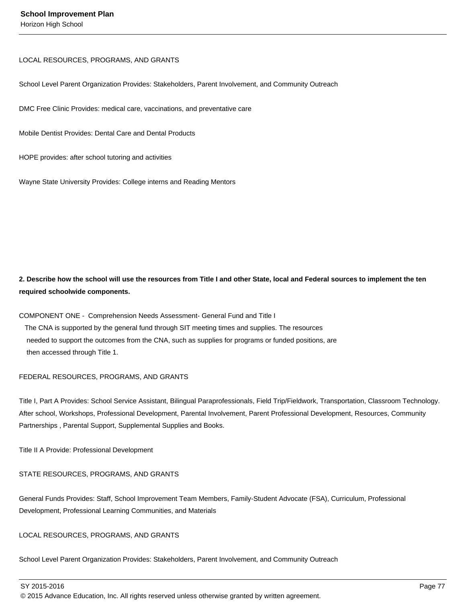## LOCAL RESOURCES, PROGRAMS, AND GRANTS

School Level Parent Organization Provides: Stakeholders, Parent Involvement, and Community Outreach

DMC Free Clinic Provides: medical care, vaccinations, and preventative care

Mobile Dentist Provides: Dental Care and Dental Products

HOPE provides: after school tutoring and activities

Wayne State University Provides: College interns and Reading Mentors

## **2. Describe how the school will use the resources from Title I and other State, local and Federal sources to implement the ten required schoolwide components.**

COMPONENT ONE - Comprehension Needs Assessment- General Fund and Title I The CNA is supported by the general fund through SIT meeting times and supplies. The resources needed to support the outcomes from the CNA, such as supplies for programs or funded positions, are then accessed through Title 1.

## FEDERAL RESOURCES, PROGRAMS, AND GRANTS

Title I, Part A Provides: School Service Assistant, Bilingual Paraprofessionals, Field Trip/Fieldwork, Transportation, Classroom Technology. After school, Workshops, Professional Development, Parental Involvement, Parent Professional Development, Resources, Community Partnerships , Parental Support, Supplemental Supplies and Books.

Title II A Provide: Professional Development

STATE RESOURCES, PROGRAMS, AND GRANTS

General Funds Provides: Staff, School Improvement Team Members, Family-Student Advocate (FSA), Curriculum, Professional Development, Professional Learning Communities, and Materials

## LOCAL RESOURCES, PROGRAMS, AND GRANTS

School Level Parent Organization Provides: Stakeholders, Parent Involvement, and Community Outreach

SY 2015-2016 Page 77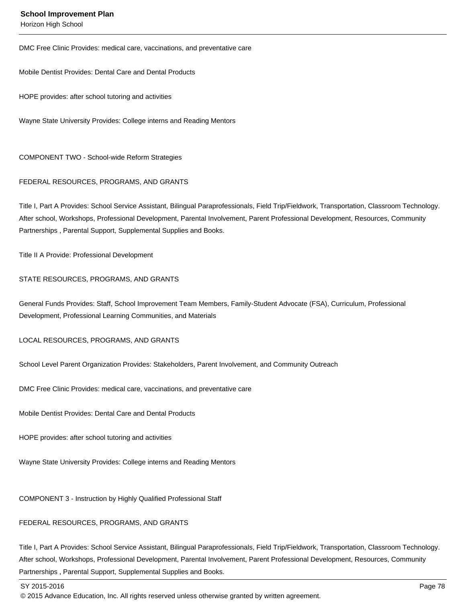Horizon High School

DMC Free Clinic Provides: medical care, vaccinations, and preventative care

Mobile Dentist Provides: Dental Care and Dental Products

HOPE provides: after school tutoring and activities

Wayne State University Provides: College interns and Reading Mentors

COMPONENT TWO - School-wide Reform Strategies

#### FEDERAL RESOURCES, PROGRAMS, AND GRANTS

Title I, Part A Provides: School Service Assistant, Bilingual Paraprofessionals, Field Trip/Fieldwork, Transportation, Classroom Technology. After school, Workshops, Professional Development, Parental Involvement, Parent Professional Development, Resources, Community Partnerships , Parental Support, Supplemental Supplies and Books.

Title II A Provide: Professional Development

#### STATE RESOURCES, PROGRAMS, AND GRANTS

General Funds Provides: Staff, School Improvement Team Members, Family-Student Advocate (FSA), Curriculum, Professional Development, Professional Learning Communities, and Materials

LOCAL RESOURCES, PROGRAMS, AND GRANTS

School Level Parent Organization Provides: Stakeholders, Parent Involvement, and Community Outreach

DMC Free Clinic Provides: medical care, vaccinations, and preventative care

Mobile Dentist Provides: Dental Care and Dental Products

HOPE provides: after school tutoring and activities

Wayne State University Provides: College interns and Reading Mentors

COMPONENT 3 - Instruction by Highly Qualified Professional Staff

#### FEDERAL RESOURCES, PROGRAMS, AND GRANTS

Title I, Part A Provides: School Service Assistant, Bilingual Paraprofessionals, Field Trip/Fieldwork, Transportation, Classroom Technology. After school, Workshops, Professional Development, Parental Involvement, Parent Professional Development, Resources, Community Partnerships , Parental Support, Supplemental Supplies and Books.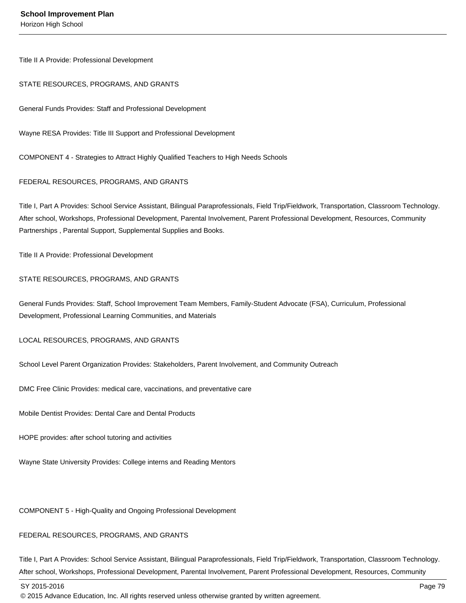Title II A Provide: Professional Development

#### STATE RESOURCES, PROGRAMS, AND GRANTS

General Funds Provides: Staff and Professional Development

Wayne RESA Provides: Title III Support and Professional Development

COMPONENT 4 - Strategies to Attract Highly Qualified Teachers to High Needs Schools

#### FEDERAL RESOURCES, PROGRAMS, AND GRANTS

Title I, Part A Provides: School Service Assistant, Bilingual Paraprofessionals, Field Trip/Fieldwork, Transportation, Classroom Technology. After school, Workshops, Professional Development, Parental Involvement, Parent Professional Development, Resources, Community Partnerships , Parental Support, Supplemental Supplies and Books.

Title II A Provide: Professional Development

#### STATE RESOURCES, PROGRAMS, AND GRANTS

General Funds Provides: Staff, School Improvement Team Members, Family-Student Advocate (FSA), Curriculum, Professional Development, Professional Learning Communities, and Materials

LOCAL RESOURCES, PROGRAMS, AND GRANTS

School Level Parent Organization Provides: Stakeholders, Parent Involvement, and Community Outreach

DMC Free Clinic Provides: medical care, vaccinations, and preventative care

Mobile Dentist Provides: Dental Care and Dental Products

HOPE provides: after school tutoring and activities

Wayne State University Provides: College interns and Reading Mentors

COMPONENT 5 - High-Quality and Ongoing Professional Development

#### FEDERAL RESOURCES, PROGRAMS, AND GRANTS

Title I, Part A Provides: School Service Assistant, Bilingual Paraprofessionals, Field Trip/Fieldwork, Transportation, Classroom Technology. After school, Workshops, Professional Development, Parental Involvement, Parent Professional Development, Resources, Community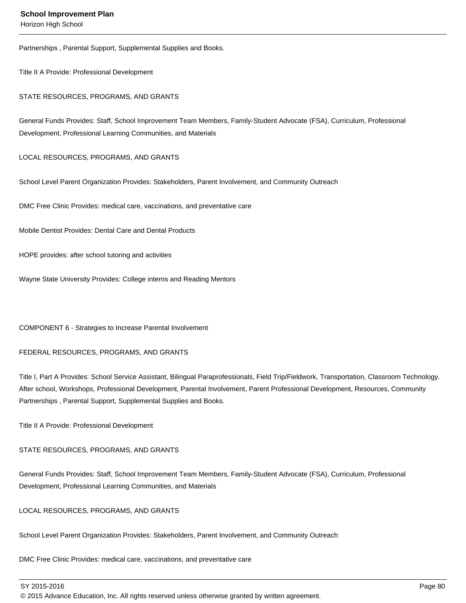Horizon High School

Partnerships , Parental Support, Supplemental Supplies and Books.

Title II A Provide: Professional Development

STATE RESOURCES, PROGRAMS, AND GRANTS

General Funds Provides: Staff, School Improvement Team Members, Family-Student Advocate (FSA), Curriculum, Professional Development, Professional Learning Communities, and Materials

#### LOCAL RESOURCES, PROGRAMS, AND GRANTS

School Level Parent Organization Provides: Stakeholders, Parent Involvement, and Community Outreach

DMC Free Clinic Provides: medical care, vaccinations, and preventative care

Mobile Dentist Provides: Dental Care and Dental Products

HOPE provides: after school tutoring and activities

Wayne State University Provides: College interns and Reading Mentors

COMPONENT 6 - Strategies to Increase Parental Involvement

#### FEDERAL RESOURCES, PROGRAMS, AND GRANTS

Title I, Part A Provides: School Service Assistant, Bilingual Paraprofessionals, Field Trip/Fieldwork, Transportation, Classroom Technology. After school, Workshops, Professional Development, Parental Involvement, Parent Professional Development, Resources, Community Partnerships , Parental Support, Supplemental Supplies and Books.

Title II A Provide: Professional Development

#### STATE RESOURCES, PROGRAMS, AND GRANTS

General Funds Provides: Staff, School Improvement Team Members, Family-Student Advocate (FSA), Curriculum, Professional Development, Professional Learning Communities, and Materials

#### LOCAL RESOURCES, PROGRAMS, AND GRANTS

School Level Parent Organization Provides: Stakeholders, Parent Involvement, and Community Outreach

DMC Free Clinic Provides: medical care, vaccinations, and preventative care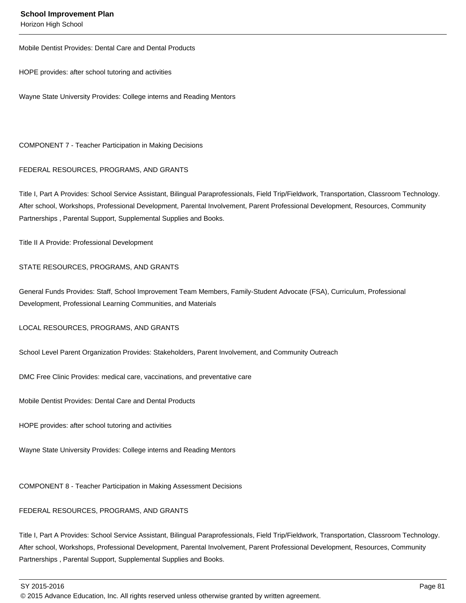Horizon High School

Mobile Dentist Provides: Dental Care and Dental Products

HOPE provides: after school tutoring and activities

Wayne State University Provides: College interns and Reading Mentors

COMPONENT 7 - Teacher Participation in Making Decisions

#### FEDERAL RESOURCES, PROGRAMS, AND GRANTS

Title I, Part A Provides: School Service Assistant, Bilingual Paraprofessionals, Field Trip/Fieldwork, Transportation, Classroom Technology. After school, Workshops, Professional Development, Parental Involvement, Parent Professional Development, Resources, Community Partnerships , Parental Support, Supplemental Supplies and Books.

Title II A Provide: Professional Development

#### STATE RESOURCES, PROGRAMS, AND GRANTS

General Funds Provides: Staff, School Improvement Team Members, Family-Student Advocate (FSA), Curriculum, Professional Development, Professional Learning Communities, and Materials

LOCAL RESOURCES, PROGRAMS, AND GRANTS

School Level Parent Organization Provides: Stakeholders, Parent Involvement, and Community Outreach

DMC Free Clinic Provides: medical care, vaccinations, and preventative care

Mobile Dentist Provides: Dental Care and Dental Products

HOPE provides: after school tutoring and activities

Wayne State University Provides: College interns and Reading Mentors

COMPONENT 8 - Teacher Participation in Making Assessment Decisions

#### FEDERAL RESOURCES, PROGRAMS, AND GRANTS

Title I, Part A Provides: School Service Assistant, Bilingual Paraprofessionals, Field Trip/Fieldwork, Transportation, Classroom Technology. After school, Workshops, Professional Development, Parental Involvement, Parent Professional Development, Resources, Community Partnerships , Parental Support, Supplemental Supplies and Books.

SY 2015-2016 Page 81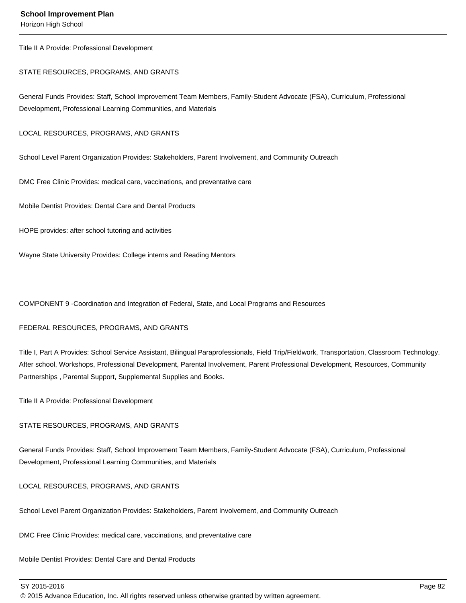Horizon High School

Title II A Provide: Professional Development

STATE RESOURCES, PROGRAMS, AND GRANTS

General Funds Provides: Staff, School Improvement Team Members, Family-Student Advocate (FSA), Curriculum, Professional Development, Professional Learning Communities, and Materials

LOCAL RESOURCES, PROGRAMS, AND GRANTS

School Level Parent Organization Provides: Stakeholders, Parent Involvement, and Community Outreach

DMC Free Clinic Provides: medical care, vaccinations, and preventative care

Mobile Dentist Provides: Dental Care and Dental Products

HOPE provides: after school tutoring and activities

Wayne State University Provides: College interns and Reading Mentors

COMPONENT 9 -Coordination and Integration of Federal, State, and Local Programs and Resources

#### FEDERAL RESOURCES, PROGRAMS, AND GRANTS

Title I, Part A Provides: School Service Assistant, Bilingual Paraprofessionals, Field Trip/Fieldwork, Transportation, Classroom Technology. After school, Workshops, Professional Development, Parental Involvement, Parent Professional Development, Resources, Community Partnerships , Parental Support, Supplemental Supplies and Books.

Title II A Provide: Professional Development

#### STATE RESOURCES, PROGRAMS, AND GRANTS

General Funds Provides: Staff, School Improvement Team Members, Family-Student Advocate (FSA), Curriculum, Professional Development, Professional Learning Communities, and Materials

LOCAL RESOURCES, PROGRAMS, AND GRANTS

School Level Parent Organization Provides: Stakeholders, Parent Involvement, and Community Outreach

DMC Free Clinic Provides: medical care, vaccinations, and preventative care

Mobile Dentist Provides: Dental Care and Dental Products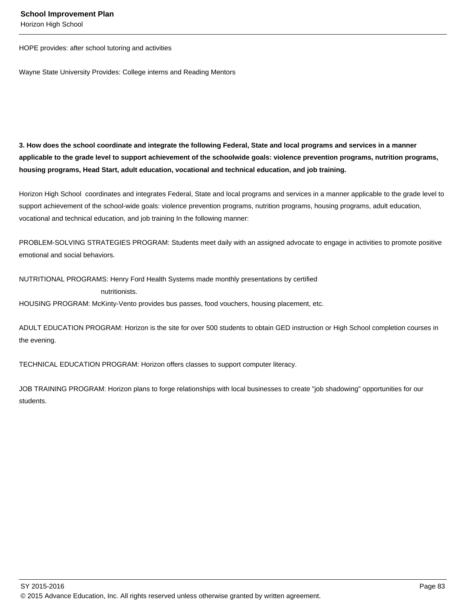Horizon High School

HOPE provides: after school tutoring and activities

Wayne State University Provides: College interns and Reading Mentors

**3. How does the school coordinate and integrate the following Federal, State and local programs and services in a manner applicable to the grade level to support achievement of the schoolwide goals: violence prevention programs, nutrition programs, housing programs, Head Start, adult education, vocational and technical education, and job training.** 

Horizon High School coordinates and integrates Federal, State and local programs and services in a manner applicable to the grade level to support achievement of the school-wide goals: violence prevention programs, nutrition programs, housing programs, adult education, vocational and technical education, and job training In the following manner:

PROBLEM-SOLVING STRATEGIES PROGRAM: Students meet daily with an assigned advocate to engage in activities to promote positive emotional and social behaviors.

NUTRITIONAL PROGRAMS: Henry Ford Health Systems made monthly presentations by certified nutritionists.

HOUSING PROGRAM: McKinty-Vento provides bus passes, food vouchers, housing placement, etc.

ADULT EDUCATION PROGRAM: Horizon is the site for over 500 students to obtain GED instruction or High School completion courses in the evening.

TECHNICAL EDUCATION PROGRAM: Horizon offers classes to support computer literacy.

JOB TRAINING PROGRAM: Horizon plans to forge relationships with local businesses to create "job shadowing" opportunities for our students.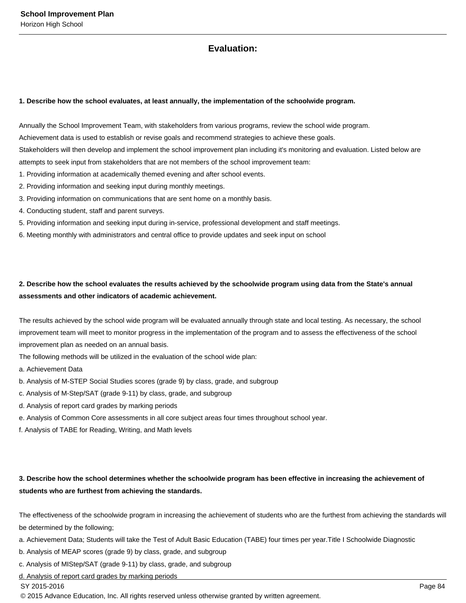## **Evaluation:**

#### **1. Describe how the school evaluates, at least annually, the implementation of the schoolwide program.**

Annually the School Improvement Team, with stakeholders from various programs, review the school wide program.

Achievement data is used to establish or revise goals and recommend strategies to achieve these goals.

Stakeholders will then develop and implement the school improvement plan including it's monitoring and evaluation. Listed below are attempts to seek input from stakeholders that are not members of the school improvement team:

- 1. Providing information at academically themed evening and after school events.
- 2. Providing information and seeking input during monthly meetings.
- 3. Providing information on communications that are sent home on a monthly basis.
- 4. Conducting student, staff and parent surveys.
- 5. Providing information and seeking input during in-service, professional development and staff meetings.
- 6. Meeting monthly with administrators and central office to provide updates and seek input on school

## **2. Describe how the school evaluates the results achieved by the schoolwide program using data from the State's annual assessments and other indicators of academic achievement.**

The results achieved by the school wide program will be evaluated annually through state and local testing. As necessary, the school improvement team will meet to monitor progress in the implementation of the program and to assess the effectiveness of the school improvement plan as needed on an annual basis.

The following methods will be utilized in the evaluation of the school wide plan:

a. Achievement Data

- b. Analysis of M-STEP Social Studies scores (grade 9) by class, grade, and subgroup
- c. Analysis of M-Step/SAT (grade 9-11) by class, grade, and subgroup
- d. Analysis of report card grades by marking periods
- e. Analysis of Common Core assessments in all core subject areas four times throughout school year.
- f. Analysis of TABE for Reading, Writing, and Math levels

## **3. Describe how the school determines whether the schoolwide program has been effective in increasing the achievement of students who are furthest from achieving the standards.**

The effectiveness of the schoolwide program in increasing the achievement of students who are the furthest from achieving the standards will be determined by the following;

a. Achievement Data; Students will take the Test of Adult Basic Education (TABE) four times per year.Title I Schoolwide Diagnostic

- b. Analysis of MEAP scores (grade 9) by class, grade, and subgroup
- c. Analysis of MIStep/SAT (grade 9-11) by class, grade, and subgroup
- d. Analysis of report card grades by marking periods

#### SY 2015-2016 Page 84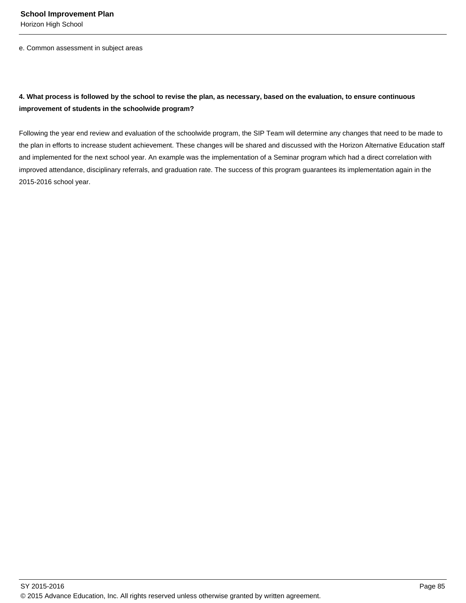Horizon High School

e. Common assessment in subject areas

## **4. What process is followed by the school to revise the plan, as necessary, based on the evaluation, to ensure continuous improvement of students in the schoolwide program?**

Following the year end review and evaluation of the schoolwide program, the SIP Team will determine any changes that need to be made to the plan in efforts to increase student achievement. These changes will be shared and discussed with the Horizon Alternative Education staff and implemented for the next school year. An example was the implementation of a Seminar program which had a direct correlation with improved attendance, disciplinary referrals, and graduation rate. The success of this program guarantees its implementation again in the 2015-2016 school year.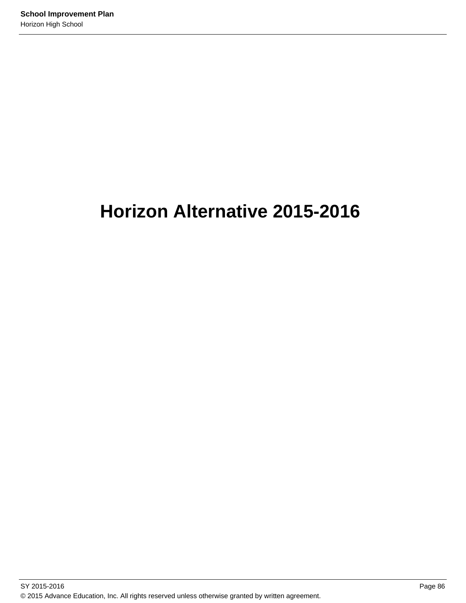# **Horizon Alternative 2015-2016**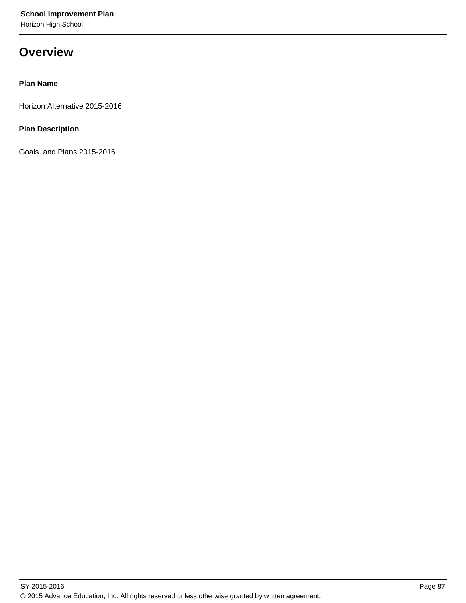Horizon High School

## **Overview**

## **Plan Name**

Horizon Alternative 2015-2016

## **Plan Description**

Goals and Plans 2015-2016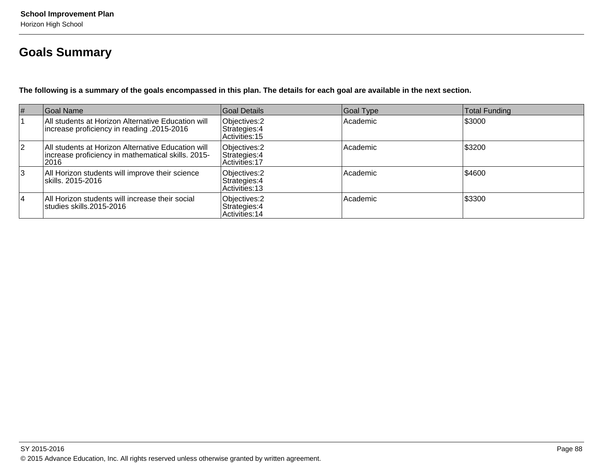## **Goals Summary**

**The following is a summary of the goals encompassed in this plan. The details for each goal are available in the next section.**

| #  | Goal Name                                                                                                         | Goal Details                                     | Goal Type | <b>Total Funding</b> |
|----|-------------------------------------------------------------------------------------------------------------------|--------------------------------------------------|-----------|----------------------|
|    | All students at Horizon Alternative Education will<br>16-2015   increase proficiency in reading.                  | Objectives: 2<br>Strategies: 4<br>Activities: 15 | Academic  | \$3000               |
| 12 | All students at Horizon Alternative Education will<br>increase proficiency in mathematical skills. 2015-<br> 2016 | Objectives: 2<br>Strategies: 4<br>Activities: 17 | Academic  | \$3200               |
| 3  | All Horizon students will improve their science<br>skills. 2015-2016                                              | Objectives: 2<br>Strategies: 4<br>Activities: 13 | Academic  | \$4600               |
| 14 | All Horizon students will increase their social<br>lstudies skills.2015-2016                                      | Objectives: 2<br>Strategies: 4<br>Activities: 14 | Academic  | \$3300               |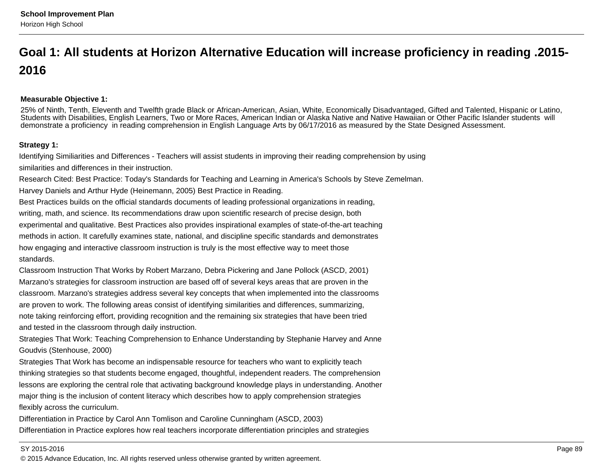## **Goal 1: All students at Horizon Alternative Education will increase proficiency in reading .2015-2016**

#### **Measurable Objective 1:**

25% of Ninth, Tenth, Eleventh and Twelfth grade Black or African-American, Asian, White, Economically Disadvantaged, Gifted and Talented, Hispanic or Latino,Students with Disabilities, English Learners, Two or More Races, American Indian or Alaska Native and Native Hawaiian or Other Pacific Islander students will demonstrate a proficiency in reading comprehension in English Language Arts by 06/17/2016 as measured by the State Designed Assessment.

#### **Strategy 1:**

Identifying Similiarities and Differences - Teachers will assist students in improving their reading comprehension by usingsimilarities and differences in their instruction.

Research Cited: Best Practice: Today's Standards for Teaching and Learning in America's Schools by Steve Zemelman.

Harvey Daniels and Arthur Hyde (Heinemann, 2005) Best Practice in Reading.

Best Practices builds on the official standards documents of leading professional organizations in reading,writing, math, and science. Its recommendations draw upon scientific research of precise design, bothexperimental and qualitative. Best Practices also provides inspirational examples of state-of-the-art teachingmethods in action. It carefully examines state, national, and discipline specific standards and demonstrateshow engaging and interactive classroom instruction is truly is the most effective way to meet thosestandards.

Classroom Instruction That Works by Robert Marzano, Debra Pickering and Jane Pollock (ASCD, 2001)Marzano's strategies for classroom instruction are based off of several keys areas that are proven in theclassroom. Marzano's strategies address several key concepts that when implemented into the classroomsare proven to work. The following areas consist of identifying similarities and differences, summarizing,note taking reinforcing effort, providing recognition and the remaining six strategies that have been triedand tested in the classroom through daily instruction.

Strategies That Work: Teaching Comprehension to Enhance Understanding by Stephanie Harvey and AnneGoudvis (Stenhouse, 2000)

Strategies That Work has become an indispensable resource for teachers who want to explicitly teachthinking strategies so that students become engaged, thoughtful, independent readers. The comprehensionlessons are exploring the central role that activating background knowledge plays in understanding. Anothermajor thing is the inclusion of content literacy which describes how to apply comprehension strategiesflexibly across the curriculum.

Differentiation in Practice by Carol Ann Tomlison and Caroline Cunningham (ASCD, 2003)Differentiation in Practice explores how real teachers incorporate differentiation principles and strategies

#### SY 2015-2016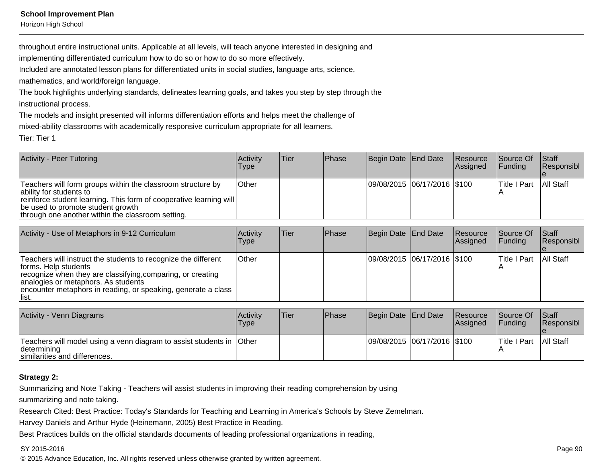Horizon High School

throughout entire instructional units. Applicable at all levels, will teach anyone interested in designing and

implementing differentiated curriculum how to do so or how to do so more effectively.

Included are annotated lesson plans for differentiated units in social studies, language arts, science,

mathematics, and world/foreign language.

The book highlights underlying standards, delineates learning goals, and takes you step by step through theinstructional process.

The models and insight presented will informs differentiation efforts and helps meet the challenge of

mixed-ability classrooms with academically responsive curriculum appropriate for all learners.

Tier: Tier 1

| Activity - Peer Tutoring                                                                                                                                                                                                                               | Activity<br><b>Type</b> | lTier. | Phase | Begin Date End Date         | Resource<br>Assigned | Source Of<br><b>IFunding</b> | <b>Staff</b><br>Responsibl |
|--------------------------------------------------------------------------------------------------------------------------------------------------------------------------------------------------------------------------------------------------------|-------------------------|--------|-------|-----------------------------|----------------------|------------------------------|----------------------------|
| Teachers will form groups within the classroom structure by<br>ability for students to<br>reinforce student learning. This form of cooperative learning will<br>be used to promote student growth<br>through one another within the classroom setting. | <b>Other</b>            |        |       | 09/08/2015 06/17/2016 \$100 |                      | <b>Title I Part</b>          | <b>All Staff</b>           |

| Activity - Use of Metaphors in 9-12 Curriculum                                                                                                                                                                                                                          | <b>Activity</b><br>Type | lTier | <b>IPhase</b> | Begin Date End Date         | Resource<br><b>Assigned</b> | Source Of<br><b>IFunding</b> | <b>Staff</b><br>Responsibl |
|-------------------------------------------------------------------------------------------------------------------------------------------------------------------------------------------------------------------------------------------------------------------------|-------------------------|-------|---------------|-----------------------------|-----------------------------|------------------------------|----------------------------|
| Teachers will instruct the students to recognize the different<br>forms. Help students<br>recognize when they are classifying, comparing, or creating<br>analogies or metaphors. As students<br>encounter metaphors in reading, or speaking, generate a class<br>llist. | <b>Other</b>            |       |               | 09/08/2015 06/17/2016 \$100 |                             | lTitle I Part                | All Staff                  |

| <b>Activity - Venn Diagrams</b>                                                                                        | <b>Activity</b><br>Type | 'Tier | <b>Phase</b> | Begin Date End Date |                             | Resource<br><b>IAssianed</b> | Source Of<br><b>IFundina</b> | <b>Staff</b><br><b>Responsibl</b> |
|------------------------------------------------------------------------------------------------------------------------|-------------------------|-------|--------------|---------------------|-----------------------------|------------------------------|------------------------------|-----------------------------------|
| Teachers will model using a venn diagram to assist students in Other<br> determining <br>similarities and differences. |                         |       |              |                     | 09/08/2015 06/17/2016 \$100 |                              | Title I Part                 | <b>All Staff</b>                  |

## **Strategy 2:**

Summarizing and Note Taking - Teachers will assist students in improving their reading comprehension by using

summarizing and note taking.

Research Cited: Best Practice: Today's Standards for Teaching and Learning in America's Schools by Steve Zemelman.

Harvey Daniels and Arthur Hyde (Heinemann, 2005) Best Practice in Reading.

Best Practices builds on the official standards documents of leading professional organizations in reading,

#### SY 2015-2016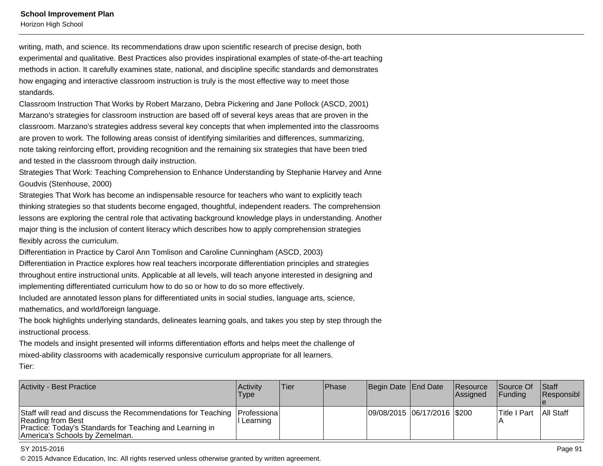Horizon High School

writing, math, and science. Its recommendations draw upon scientific research of precise design, bothexperimental and qualitative. Best Practices also provides inspirational examples of state-of-the-art teachingmethods in action. It carefully examines state, national, and discipline specific standards and demonstrateshow engaging and interactive classroom instruction is truly is the most effective way to meet thosestandards.

Classroom Instruction That Works by Robert Marzano, Debra Pickering and Jane Pollock (ASCD, 2001)Marzano's strategies for classroom instruction are based off of several keys areas that are proven in theclassroom. Marzano's strategies address several key concepts that when implemented into the classroomsare proven to work. The following areas consist of identifying similarities and differences, summarizing,note taking reinforcing effort, providing recognition and the remaining six strategies that have been triedand tested in the classroom through daily instruction.

Strategies That Work: Teaching Comprehension to Enhance Understanding by Stephanie Harvey and AnneGoudvis (Stenhouse, 2000)

Strategies That Work has become an indispensable resource for teachers who want to explicitly teachthinking strategies so that students become engaged, thoughtful, independent readers. The comprehensionlessons are exploring the central role that activating background knowledge plays in understanding. Anothermajor thing is the inclusion of content literacy which describes how to apply comprehension strategiesflexibly across the curriculum.

Differentiation in Practice by Carol Ann Tomlison and Caroline Cunningham (ASCD, 2003)Differentiation in Practice explores how real teachers incorporate differentiation principles and strategiesthroughout entire instructional units. Applicable at all levels, will teach anyone interested in designing andimplementing differentiated curriculum how to do so or how to do so more effectively.

Included are annotated lesson plans for differentiated units in social studies, language arts, science,mathematics, and world/foreign language.

The book highlights underlying standards, delineates learning goals, and takes you step by step through theinstructional process.

The models and insight presented will informs differentiation efforts and helps meet the challenge ofmixed-ability classrooms with academically responsive curriculum appropriate for all learners.Tier:

| Activity - Best Practice                                                                                                                                                                        | Activitv<br>Type | lTier: | <b>IPhase</b> | Begin Date End Date         | Resource<br>Assigned | Source Of<br><b>IFundina</b> | <b>Staff</b><br>Responsibl |
|-------------------------------------------------------------------------------------------------------------------------------------------------------------------------------------------------|------------------|--------|---------------|-----------------------------|----------------------|------------------------------|----------------------------|
| Staff will read and discuss the Recommendations for Teaching   Professiona  <br>Reading from Best<br>Practice: Today's Standards for Teaching and Learning in<br>America's Schools by Zemelman. | I Learning       |        |               | 09/08/2015 06/17/2016 \$200 |                      | <b>Title I Part</b>          | All Staff                  |

#### SY 2015-2016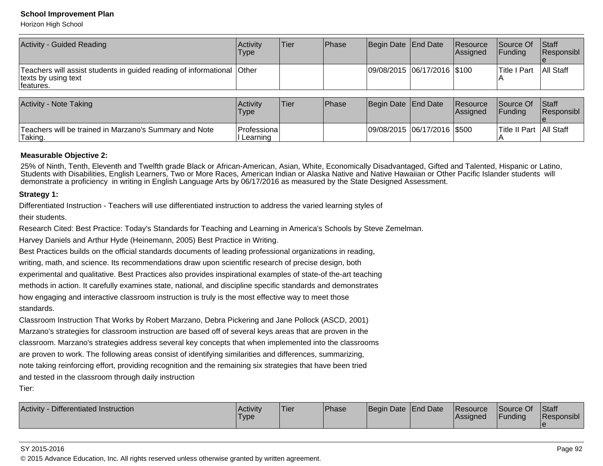Horizon High School

| Activity - Guided Reading                                                                            | <b>Activity</b><br>Type | lTier | <b>Phase</b> | Begin Date End Date         | Resource<br>Assigned | Source Of<br><b>IFunding</b> | <b>Staff</b><br><b>Responsibl</b> |
|------------------------------------------------------------------------------------------------------|-------------------------|-------|--------------|-----------------------------|----------------------|------------------------------|-----------------------------------|
| Teachers will assist students in guided reading of informational<br>texts by using text<br>features. | <b>Other</b>            |       |              | 09/08/2015 06/17/2016 \$100 |                      | <b>Title I Part</b>          | <b>All Staff</b>                  |

| <b>Activity - Note Taking</b>                                     | Activity<br><b>Type</b>    | 'Tier | <b>Phase</b> | Begin Date End Date         | <b>Resource</b><br><b>Assigned</b> | Source Of<br><b>IFundina</b> | <b>Staff</b><br><b>Responsibl</b> |
|-------------------------------------------------------------------|----------------------------|-------|--------------|-----------------------------|------------------------------------|------------------------------|-----------------------------------|
| Teachers will be trained in Marzano's Summary and Note<br>Taking. | Professiona <br>l Learning |       |              | 09/08/2015 06/17/2016 \$500 |                                    | Title II Part   All Staff    |                                   |

#### **Measurable Objective 2:**

25% of Ninth, Tenth, Eleventh and Twelfth grade Black or African-American, Asian, White, Economically Disadvantaged, Gifted and Talented, Hispanic or Latino,Students with Disabilities, English Learners, Two or More Races, American Indian or Alaska Native and Native Hawaiian or Other Pacific Islander students willdemonstrate a proficiency in writing in English Language Arts by 06/17/2016 as measured by the State Designed Assessment.

#### **Strategy 1:**

Differentiated Instruction - Teachers will use differentiated instruction to address the varied learning styles of

their students.

Research Cited: Best Practice: Today's Standards for Teaching and Learning in America's Schools by Steve Zemelman.

Harvey Daniels and Arthur Hyde (Heinemann, 2005) Best Practice in Writing.

Best Practices builds on the official standards documents of leading professional organizations in reading,

writing, math, and science. Its recommendations draw upon scientific research of precise design, both

experimental and qualitative. Best Practices also provides inspirational examples of state-of the-art teaching

methods in action. It carefully examines state, national, and discipline specific standards and demonstrates

how engaging and interactive classroom instruction is truly is the most effective way to meet those

standards.

Classroom Instruction That Works by Robert Marzano, Debra Pickering and Jane Pollock (ASCD, 2001)Marzano's strategies for classroom instruction are based off of several keys areas that are proven in theclassroom. Marzano's strategies address several key concepts that when implemented into the classroomsare proven to work. The following areas consist of identifying similarities and differences, summarizing,note taking reinforcing effort, providing recognition and the remaining six strategies that have been triedand tested in the classroom through daily instruction

Tier:

| Differentiated Instruction<br><b>Activity</b> | Activity<br>I ype | 'Tier | Phase | Begin Date End Date | <b>Resource</b><br>lAssianed | Source Of<br>'Funding | <b>Staff</b><br><b>Responsibl</b> |
|-----------------------------------------------|-------------------|-------|-------|---------------------|------------------------------|-----------------------|-----------------------------------|
|                                               |                   |       |       |                     |                              |                       |                                   |

#### SY 2015-2016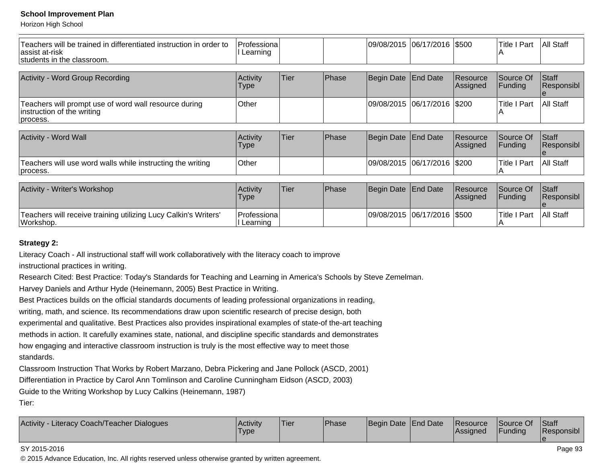Horizon High School

| Teachers will be trained in differentiated instruction in order to<br>assist at-risk<br>students in the classroom. | Professiona<br>Learning |      |       | 09/08/2015  06/17/2016  \$500 |                 |                       | <b>Title I Part</b><br>IА | All Staff            |
|--------------------------------------------------------------------------------------------------------------------|-------------------------|------|-------|-------------------------------|-----------------|-----------------------|---------------------------|----------------------|
| <b>Activity - Word Group Recording</b>                                                                             | Activity<br>Type        | Tier | Phase | <b>Begin Date</b>             | <b>End Date</b> | Resource<br> Assigned | Source Of<br>Funding      | Staff<br> Responsibl |
| Teachers will prompt use of word wall resource during<br>instruction of the writing<br>process.                    | Other                   |      |       | 09/08/2015  06/17/2016        |                 | \$200                 | <b>Title I Part</b>       | All Staff            |
|                                                                                                                    |                         |      |       |                               |                 |                       |                           |                      |
| Activity - Word Wall                                                                                               | Activity<br>Type        | Tier | Phase | Begin Date                    | <b>End Date</b> | Resource<br> Assigned | Source Of<br> Funding     | Staff<br>Responsibl  |
| Teachers will use word walls while instructing the writing<br>process.                                             | <b>Other</b>            |      |       | 09/08/2015  06/17/2016  \$200 |                 |                       | <b>Title I Part</b><br>ΙA | All Staff            |
|                                                                                                                    |                         |      |       |                               |                 |                       |                           |                      |
| Activity - Writer's Workshop                                                                                       | Activity<br><b>Type</b> | Tier | Phase | Begin Date                    | End Date        | Resource<br>Assigned  | Source Of<br>Funding      | Staff<br>Responsibl  |
| Teachers will receive training utilizing Lucy Calkin's Writers'<br>Workshop.                                       | Professiona<br>Learning |      |       | 09/08/2015 06/17/2016 \$500   |                 |                       | <b>Title I Part</b>       | All Staff            |

## **Strategy 2:**

Literacy Coach - All instructional staff will work collaboratively with the literacy coach to improve

instructional practices in writing.

Research Cited: Best Practice: Today's Standards for Teaching and Learning in America's Schools by Steve Zemelman.

Harvey Daniels and Arthur Hyde (Heinemann, 2005) Best Practice in Writing.

Best Practices builds on the official standards documents of leading professional organizations in reading,

writing, math, and science. Its recommendations draw upon scientific research of precise design, both

experimental and qualitative. Best Practices also provides inspirational examples of state-of the-art teaching

methods in action. It carefully examines state, national, and discipline specific standards and demonstrates

how engaging and interactive classroom instruction is truly is the most effective way to meet those

standards.

Classroom Instruction That Works by Robert Marzano, Debra Pickering and Jane Pollock (ASCD, 2001)

Differentiation in Practice by Carol Ann Tomlinson and Caroline Cunningham Eidson (ASCD, 2003)

Guide to the Writing Workshop by Lucy Calkins (Heinemann, 1987)

Tier:

| <b>Activity</b><br>Eliteracy Coach/Teacher Dialogues<br>Activity -<br>Type | 'Tier | <b>Phase</b> | Begin Date End Date |  | <b>Resource</b><br> Assigned | Source Of<br>Funding | <b>Staff</b><br>Responsibl |
|----------------------------------------------------------------------------|-------|--------------|---------------------|--|------------------------------|----------------------|----------------------------|
|----------------------------------------------------------------------------|-------|--------------|---------------------|--|------------------------------|----------------------|----------------------------|

#### SY 2015-2016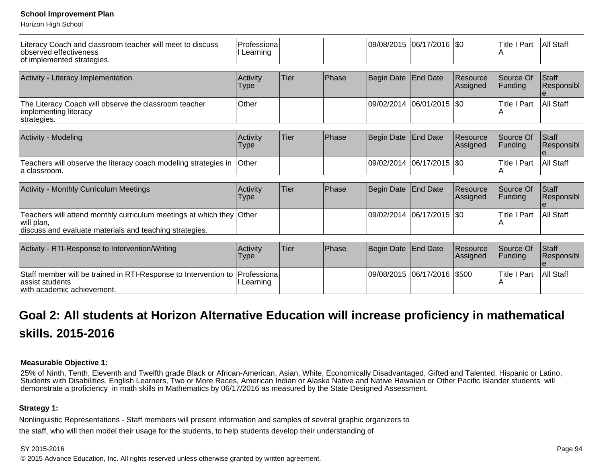Horizon High School

| Literacy Coach and classroom teacher will meet to discuss<br>observed effectiveness<br>of implemented strategies.                             | Professiona<br>Learning  |             |       |                       | 09/08/2015 06/17/2016 \$0 |                      | <b>Title I Part</b>      | All Staff           |
|-----------------------------------------------------------------------------------------------------------------------------------------------|--------------------------|-------------|-------|-----------------------|---------------------------|----------------------|--------------------------|---------------------|
|                                                                                                                                               |                          |             |       |                       |                           |                      |                          |                     |
| Activity - Literacy Implementation                                                                                                            | Activity<br>Type         | Tier        | Phase | Begin Date            | <b>End Date</b>           | Resource<br>Assigned | Source Of<br>Funding     | Staff<br>Responsibl |
| The Literacy Coach will observe the classroom teacher<br>implementing literacy<br>strategies.                                                 | Other                    |             |       | 09/02/2014 06/01/2015 |                           | \$0                  | <b>Title I Part</b>      | All Staff           |
|                                                                                                                                               |                          |             |       |                       |                           |                      |                          |                     |
| Activity - Modeling                                                                                                                           | Activity<br>Type         | <b>Tier</b> | Phase | <b>Begin Date</b>     | <b>End Date</b>           | Resource<br>Assigned | Source Of<br>Funding     | Staff<br>Responsibl |
| Teachers will observe the literacy coach modeling strategies in<br>la classroom.                                                              | <b>Other</b>             |             |       | 09/02/2014            | 06/17/2015                | I\$0                 | <b>Title I Part</b><br>A | All Staff           |
|                                                                                                                                               |                          |             |       |                       |                           |                      |                          |                     |
| <b>Activity - Monthly Curriculum Meetings</b>                                                                                                 | Activity<br>Type         | <b>Tier</b> | Phase | Begin Date            | End Date                  | Resource<br>Assigned | Source Of<br> Funding    | Staff<br>Responsibl |
| Teachers will attend monthly curriculum meetings at which they Other<br>will plan,<br>discuss and evaluate materials and teaching strategies. |                          |             |       | 09/02/2014 06/17/2015 |                           | I\$0                 | <b>Title I Part</b><br>А | All Staff           |
|                                                                                                                                               |                          |             |       |                       |                           |                      |                          |                     |
| Activity - RTI-Response to Intervention/Writing                                                                                               | Activity<br>Type         | Tier        | Phase | <b>Begin Date</b>     | <b>End Date</b>           | Resource<br>Assigned | Source Of<br> Funding    | Staff<br>Responsibl |
| Staff member will be trained in RTI-Response to Intervention to<br>assist students<br>with academic achievement.                              | Professional<br>Learning |             |       | 09/08/2015            | 06/17/2016                | \$500                | <b>Title I Part</b><br>A | All Staff           |

## **Goal 2: All students at Horizon Alternative Education will increase proficiency in mathematicalskills. 2015-2016**

## **Measurable Objective 1:**

25% of Ninth, Tenth, Eleventh and Twelfth grade Black or African-American, Asian, White, Economically Disadvantaged, Gifted and Talented, Hispanic or Latino,Students with Disabilities, English Learners, Two or More Races, American Indian or Alaska Native and Native Hawaiian or Other Pacific Islander students will<br>demonstrate a proficiency in math skills in Mathematics by 06/

#### **Strategy 1:**

Nonlinguistic Representations - Staff members will present information and samples of several graphic organizers to

the staff, who will then model their usage for the students, to help students develop their understanding of

#### SY 2015-2016

estimate the contract of the contract of the contract of the contract of the contract of the contract of the contract of the contract of the contract of the contract of the contract of the contract of the contract of the c © 2015 Advance Education, Inc. All rights reserved unless otherwise granted by written agreement.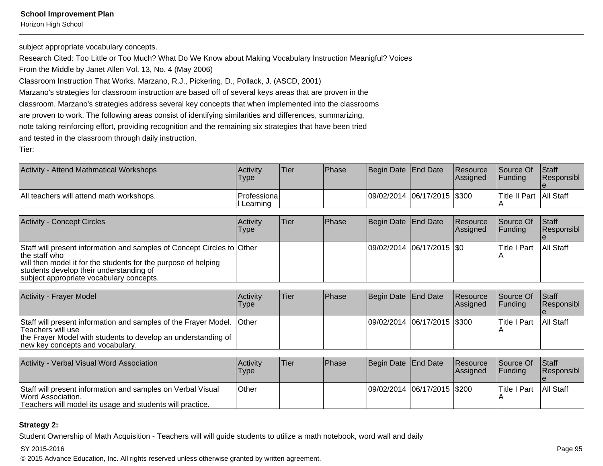Horizon High School

subject appropriate vocabulary concepts.

Research Cited: Too Little or Too Much? What Do We Know about Making Vocabulary Instruction Meanigful? Voices

From the Middle by Janet Allen Vol. 13, No. 4 (May 2006)

Classroom Instruction That Works. Marzano, R.J., Pickering, D., Pollack, J. (ASCD, 2001)

Marzano's strategies for classroom instruction are based off of several keys areas that are proven in the

classroom. Marzano's strategies address several key concepts that when implemented into the classrooms

are proven to work. The following areas consist of identifying similarities and differences, summarizing,

note taking reinforcing effort, providing recognition and the remaining six strategies that have been tried

and tested in the classroom through daily instruction.

Tier:

| Activity - Attend Mathmatical Workshops  | Activity<br>Type           | <b>Tier</b> | <b>Phase</b> | Begin Date End Date |                              | <b>Resource</b><br><b>Assigned</b> | <b>Source Of</b><br><b>IFundina</b> | <b>Staff</b><br><b>Responsibl</b> |
|------------------------------------------|----------------------------|-------------|--------------|---------------------|------------------------------|------------------------------------|-------------------------------------|-----------------------------------|
| All teachers will attend math workshops. | lProfessiona l<br>Learning |             |              |                     | 09/02/2014 06/17/2015 \\$300 |                                    | <b>Title II Part   All Staff</b>    |                                   |

| <b>Activity - Concept Circles</b>                                                                                                                                                                                                                | Activity<br>Type | lTier. | <b>IPhase</b> | Begin Date End Date        | Resource<br><b>Assigned</b> | Source Of<br>IFundina | <b>Staff</b><br>Responsibl |
|--------------------------------------------------------------------------------------------------------------------------------------------------------------------------------------------------------------------------------------------------|------------------|--------|---------------|----------------------------|-----------------------------|-----------------------|----------------------------|
| Staff will present information and samples of Concept Circles to Other<br>the staff who<br>will then model it for the students for the purpose of helping<br>students develop their understanding of<br>subject appropriate vocabulary concepts. |                  |        |               | 09/02/2014 06/17/2015 \\$0 |                             | lTitle I Part         | <b>All Staff</b>           |

| <b>Activity - Frayer Model</b>                                                                                                                                                                  | <b>Activity</b><br>Type | Tier | <b>IPhase</b> | Begin Date End Date           | Resource<br>Assigned | <b>Source Of</b><br><b>IFunding</b> | <b>Staff</b><br>Responsibl |
|-------------------------------------------------------------------------------------------------------------------------------------------------------------------------------------------------|-------------------------|------|---------------|-------------------------------|----------------------|-------------------------------------|----------------------------|
| Staff will present information and samples of the Frayer Model. Other<br>Teachers will use<br>the Frayer Model with students to develop an understanding of<br>new key concepts and vocabulary. |                         |      |               | 09/02/2014  06/17/2015  \$300 |                      | lTitle I Part                       | <b>All Staff</b>           |

| Activity - Verbal Visual Word Association                                                                                                     | Activity<br>Type | Tier | <b>IPhase</b> | Begin Date End Date           | <b>Resource</b><br><b>Assigned</b> | <b>Source Of</b><br><b>IFundina</b> | Staff<br><b>Responsibl</b> |
|-----------------------------------------------------------------------------------------------------------------------------------------------|------------------|------|---------------|-------------------------------|------------------------------------|-------------------------------------|----------------------------|
| Staff will present information and samples on Verbal Visual<br>Word Association.<br>Teachers will model its usage and students will practice. | <b>Other</b>     |      |               | 09/02/2014  06/17/2015  \$200 |                                    | lTitle I Part                       | All Staff                  |

## **Strategy 2:**

Student Ownership of Math Acquisition - Teachers will will guide students to utilize a math notebook, word wall and daily

#### SY 2015-2016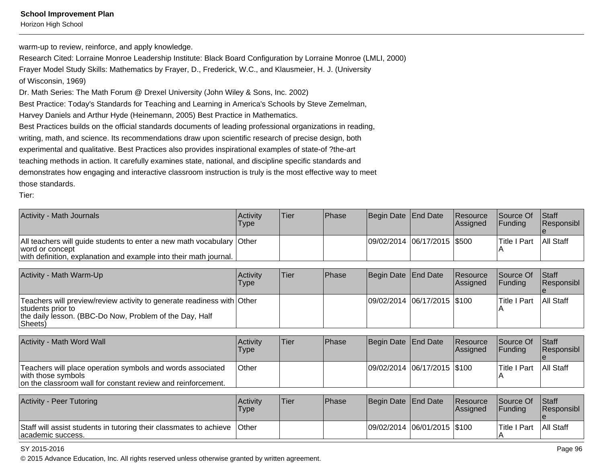Horizon High School

warm-up to review, reinforce, and apply knowledge.

Research Cited: Lorraine Monroe Leadership Institute: Black Board Configuration by Lorraine Monroe (LMLI, 2000)Frayer Model Study Skills: Mathematics by Frayer, D., Frederick, W.C., and Klausmeier, H. J. (Universityof Wisconsin, 1969)Dr. Math Series: The Math Forum @ Drexel University (John Wiley & Sons, Inc. 2002)Best Practice: Today's Standards for Teaching and Learning in America's Schools by Steve Zemelman,Harvey Daniels and Arthur Hyde (Heinemann, 2005) Best Practice in Mathematics.Best Practices builds on the official standards documents of leading professional organizations in reading,writing, math, and science. Its recommendations draw upon scientific research of precise design, both experimental and qualitative. Best Practices also provides inspirational examples of state-of ?the-artteaching methods in action. It carefully examines state, national, and discipline specific standards and demonstrates how engaging and interactive classroom instruction is truly is the most effective way to meetthose standards.

Tier:

| Activity - Math Journals                                                                                                                                          | Activity<br>Type | <b>Tier</b> | Phase | Begin Date End Date |                             | Resource<br>Assigned | Source Of<br>Funding        | Staff<br>Responsibl |
|-------------------------------------------------------------------------------------------------------------------------------------------------------------------|------------------|-------------|-------|---------------------|-----------------------------|----------------------|-----------------------------|---------------------|
| All teachers will guide students to enter a new math vocabulary<br>word or concept<br>with definition, explanation and example into their math journal.           | Other            |             |       |                     | 09/02/2014 06/17/2015 \$500 |                      | <b>Title I Part</b>         | All Staff           |
| Activity - Math Warm-Up                                                                                                                                           | Activity<br>Type | <b>Tier</b> | Phase | Begin Date          | <b>End Date</b>             | Resource<br>Assigned | Source Of<br> Funding       | Staff<br>Responsibl |
| Teachers will preview/review activity to generate readiness with Other<br>students prior to<br>the daily lesson. (BBC-Do Now, Problem of the Day, Half<br>Sheets) |                  |             |       | 09/02/2014          | $ 06/17/2015 $ \$100        |                      | <b>Title I Part</b>         | <b>All Staff</b>    |
| Activity - Math Word Wall                                                                                                                                         | Activity<br>Type | <b>Tier</b> | Phase | Begin Date          | End Date                    | Resource<br>Assigned | Source Of<br> Funding       | Staff<br>Responsibl |
| Teachers will place operation symbols and words associated<br>with those symbols<br>on the classroom wall for constant review and reinforcement.                  | <b>Other</b>     |             |       | 09/02/2014          | $ 06/17/2015 $ \$100        |                      | <b>Title I Part</b>         | All Staff           |
| Activity - Peer Tutoring                                                                                                                                          | Activity<br>Type | <b>Tier</b> | Phase | Begin Date          | End Date                    | Resource<br>Assigned | Source Of<br><b>Funding</b> | Staff<br>Responsibl |

e All StaffStaff will assist students in tutoring their classmates to achieveacademic success.**Other**  09/02/2014 06/01/2015 \$100 Title I Part A

#### SY 2015-2016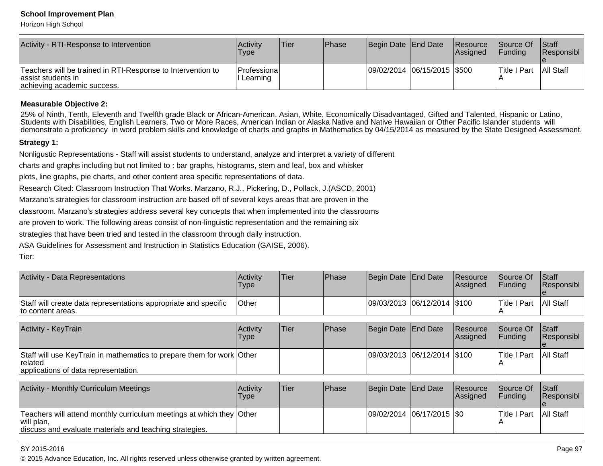Horizon High School

| Activity - RTI-Response to Intervention                                                                           | <b>Activity</b><br><b>Type</b>           | Tier | Phase | Begin Date End Date         | <b>Resource</b><br><b>Assigned</b> | <b>Source Of</b><br><b>IFundina</b> | <b>Staff</b><br>Responsibl |
|-------------------------------------------------------------------------------------------------------------------|------------------------------------------|------|-------|-----------------------------|------------------------------------|-------------------------------------|----------------------------|
| Teachers will be trained in RTI-Response to Intervention to<br>lassist students in<br>achieving academic success. | <i><b>Professional</b></i><br>l Learning |      |       | 09/02/2014 06/15/2015 \$500 |                                    | <b>Title I Part</b>                 | <b>All Staff</b>           |

#### **Measurable Objective 2:**

 25% of Ninth, Tenth, Eleventh and Twelfth grade Black or African-American, Asian, White, Economically Disadvantaged, Gifted and Talented, Hispanic or Latino,Students with Disabilities, English Learners, Two or More Races, American Indian or Alaska Native and Native Hawaiian or Other Pacific Islander students will demonstrate a proficiency in word problem skills and knowledge of charts and graphs in Mathematics by 04/15/2014 as measured by the State Designed Assessment.

#### **Strategy 1:**

Nonligustic Representations - Staff will assist students to understand, analyze and interpret a variety of different

charts and graphs including but not limited to : bar graphs, histograms, stem and leaf, box and whisker

plots, line graphs, pie charts, and other content area specific representations of data.

Research Cited: Classroom Instruction That Works. Marzano, R.J., Pickering, D., Pollack, J.(ASCD, 2001)

Marzano's strategies for classroom instruction are based off of several keys areas that are proven in the

classroom. Marzano's strategies address several key concepts that when implemented into the classrooms

are proven to work. The following areas consist of non-linguistic representation and the remaining six

strategies that have been tried and tested in the classroom through daily instruction.

ASA Guidelines for Assessment and Instruction in Statistics Education (GAISE, 2006).

Tier:

| <b>Activity - Data Representations</b>                                                                                                        | Activity<br><b>Type</b> | Tier | Phase | Begin Date                   | <b>End Date</b>             | Resource<br>Assigned | Source Of<br>Funding        | Staff<br>Responsibl |
|-----------------------------------------------------------------------------------------------------------------------------------------------|-------------------------|------|-------|------------------------------|-----------------------------|----------------------|-----------------------------|---------------------|
| Staff will create data representations appropriate and specific<br>to content areas.                                                          | Other                   |      |       |                              | 09/03/2013 06/12/2014 \$100 |                      | <b>Title I Part</b><br>IА   | <b>All Staff</b>    |
| <b>Activity - KeyTrain</b>                                                                                                                    | Activity<br>Type        | Tier | Phase | Begin Date                   | End Date                    | Resource<br>Assigned | Source Of<br><b>Funding</b> | Staff<br>Responsibl |
| Staff will use KeyTrain in mathematics to prepare them for work Other<br>related<br>applications of data representation.                      |                         |      |       | 09/03/2013 06/12/2014  \$100 |                             |                      | <b>Title I Part</b>         | <b>All Staff</b>    |
| <b>Activity - Monthly Curriculum Meetings</b>                                                                                                 | Activity<br>Type        | Tier | Phase | Begin Date End Date          |                             | Resource<br>Assigned | Source Of<br>Funding        | Staff<br>Responsibl |
| Teachers will attend monthly curriculum meetings at which they Other<br>will plan,<br>discuss and evaluate materials and teaching strategies. |                         |      |       | 09/02/2014 06/17/2015  \$0   |                             |                      | <b>Title I Part</b>         | <b>All Staff</b>    |

#### SY 2015-2016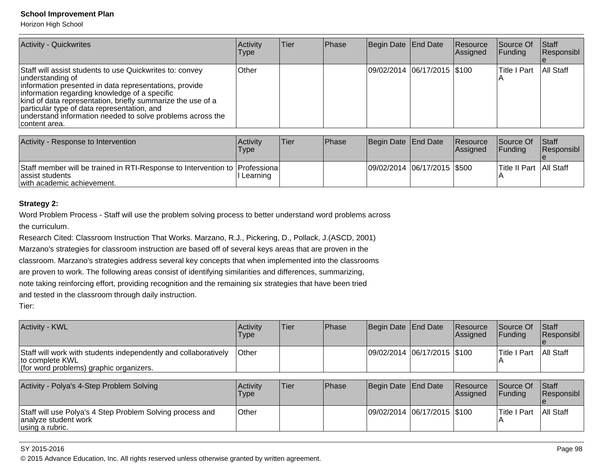Horizon High School

| <b>Activity - Quickwrites</b>                                                                                                                                                                                                                                                                                                                                                        | Activity<br><b>Type</b> | ∣Tier | Phase | Begin Date End Date |                             | Resource<br>Assigned | Source Of<br><b>Funding</b> | Stat<br>Responsibl |
|--------------------------------------------------------------------------------------------------------------------------------------------------------------------------------------------------------------------------------------------------------------------------------------------------------------------------------------------------------------------------------------|-------------------------|-------|-------|---------------------|-----------------------------|----------------------|-----------------------------|--------------------|
| Staff will assist students to use Quickwrites to: convey<br>understanding of<br>information presented in data representations, provide<br>information regarding knowledge of a specific<br>kind of data representation, briefly summarize the use of a<br>particular type of data representation, and<br>understand information needed to solve problems across the<br>content area. | <b>Other</b>            |       |       |                     | 09/02/2014 06/17/2015 \$100 |                      | Title I Part                | All Staff          |

| Activity - Response to Intervention                                                                                          | <b>Activity</b><br>Type | Tier | <b>IPhase</b> | Begin Date End Date         | <b>Resource</b><br><b>IAssianed</b> | <b>Source Of</b><br>IFundina | <b>Staff</b><br><b>Responsibl</b> |
|------------------------------------------------------------------------------------------------------------------------------|-------------------------|------|---------------|-----------------------------|-------------------------------------|------------------------------|-----------------------------------|
| Staff member will be trained in RTI-Response to Intervention to Professiona<br>assist students<br>with academic achievement. | Learning                |      |               | 09/02/2014 06/17/2015 \$500 |                                     | Title II Part   All Staff    |                                   |

## **Strategy 2:**

Word Problem Process - Staff will use the problem solving process to better understand word problems acrossthe curriculum.

Research Cited: Classroom Instruction That Works. Marzano, R.J., Pickering, D., Pollack, J.(ASCD, 2001)

Marzano's strategies for classroom instruction are based off of several keys areas that are proven in the

classroom. Marzano's strategies address several key concepts that when implemented into the classrooms

are proven to work. The following areas consist of identifying similarities and differences, summarizing,

note taking reinforcing effort, providing recognition and the remaining six strategies that have been tried

and tested in the classroom through daily instruction.

Tier:

| <b>Activity - KWL</b>                                                                                                         | <b>Activity</b><br><b>Type</b> | Tier | <b>Phase</b> | Begin Date End Date         | Resource<br><b>Assigned</b> | <b>Source Of</b><br>IFundina | Staff<br>Responsibl |
|-------------------------------------------------------------------------------------------------------------------------------|--------------------------------|------|--------------|-----------------------------|-----------------------------|------------------------------|---------------------|
| Staff will work with students independently and collaboratively<br>to complete KWL<br>(for word problems) graphic organizers. | <b>Other</b>                   |      |              | 09/02/2014 06/17/2015 \$100 |                             | lTitle I Part                | All Staff           |

| Activity - Polya's 4-Step Problem Solving                                                            | <b>Activity</b><br>Type | <sup>1</sup> Tier | Phase | Begin Date End Date         | Resource<br><b>Assigned</b> | Source Of<br>IFundina | Staff<br><b>Responsibl</b> |
|------------------------------------------------------------------------------------------------------|-------------------------|-------------------|-------|-----------------------------|-----------------------------|-----------------------|----------------------------|
| Staff will use Polya's 4 Step Problem Solving process and<br>analyze student work<br>using a rubric. | ∣Other                  |                   |       | 09/02/2014 06/17/2015 \$100 |                             | ITitle I Part         | All Staff                  |

#### SY 2015-2016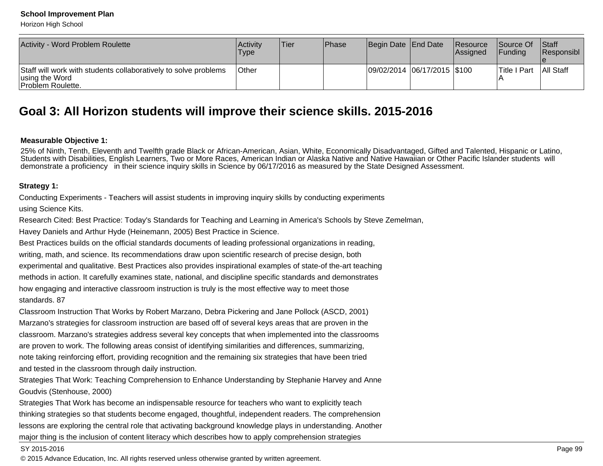Horizon High School

| Activity - Word Problem Roulette                                                                              | Activity<br>Type | Tier | <b>Phase</b> | Begin Date End Date         | Resource<br><b>Assianed</b> | <b>Source Of</b><br><b>Funding</b> | <b>Staff</b><br><b>Responsibl</b> |
|---------------------------------------------------------------------------------------------------------------|------------------|------|--------------|-----------------------------|-----------------------------|------------------------------------|-----------------------------------|
| Staff will work with students collaboratively to solve problems<br>using the Word<br><b>Problem Roulette.</b> | <b>Other</b>     |      |              | 09/02/2014 06/17/2015 \$100 |                             | lTitle I Part                      | All Staff                         |

## **Goal 3: All Horizon students will improve their science skills. 2015-2016**

#### **Measurable Objective 1:**

 25% of Ninth, Tenth, Eleventh and Twelfth grade Black or African-American, Asian, White, Economically Disadvantaged, Gifted and Talented, Hispanic or Latino,Students with Disabilities, English Learners, Two or More Races, American Indian or Alaska Native and Native Hawaiian or Other Pacific Islander students willdemonstrate a proficiency in their science inquiry skills in Science by 06/17/2016 as measured by the State Designed Assessment.

#### **Strategy 1:**

Conducting Experiments - Teachers will assist students in improving inquiry skills by conducting experimentsusing Science Kits.

Research Cited: Best Practice: Today's Standards for Teaching and Learning in America's Schools by Steve Zemelman,

Havey Daniels and Arthur Hyde (Heinemann, 2005) Best Practice in Science.

Best Practices builds on the official standards documents of leading professional organizations in reading,writing, math, and science. Its recommendations draw upon scientific research of precise design, bothexperimental and qualitative. Best Practices also provides inspirational examples of state-of the-art teachingmethods in action. It carefully examines state, national, and discipline specific standards and demonstrateshow engaging and interactive classroom instruction is truly is the most effective way to meet thosestandards. 87

Classroom Instruction That Works by Robert Marzano, Debra Pickering and Jane Pollock (ASCD, 2001)Marzano's strategies for classroom instruction are based off of several keys areas that are proven in theclassroom. Marzano's strategies address several key concepts that when implemented into the classroomsare proven to work. The following areas consist of identifying similarities and differences, summarizing,note taking reinforcing effort, providing recognition and the remaining six strategies that have been triedand tested in the classroom through daily instruction.

Strategies That Work: Teaching Comprehension to Enhance Understanding by Stephanie Harvey and AnneGoudvis (Stenhouse, 2000)

Strategies That Work has become an indispensable resource for teachers who want to explicitly teachthinking strategies so that students become engaged, thoughtful, independent readers. The comprehensionlessons are exploring the central role that activating background knowledge plays in understanding. Anothermajor thing is the inclusion of content literacy which describes how to apply comprehension strategies

#### SY 2015-2016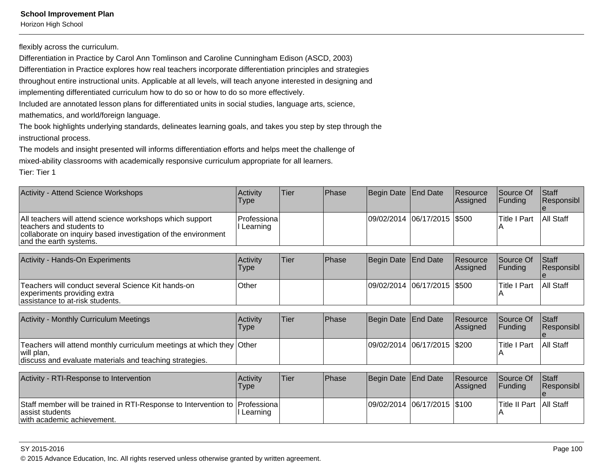Horizon High School

flexibly across the curriculum.

Differentiation in Practice by Carol Ann Tomlinson and Caroline Cunningham Edison (ASCD, 2003)

Differentiation in Practice explores how real teachers incorporate differentiation principles and strategies

throughout entire instructional units. Applicable at all levels, will teach anyone interested in designing and

implementing differentiated curriculum how to do so or how to do so more effectively.

Included are annotated lesson plans for differentiated units in social studies, language arts, science,

mathematics, and world/foreign language.

The book highlights underlying standards, delineates learning goals, and takes you step by step through theinstructional process.

The models and insight presented will informs differentiation efforts and helps meet the challenge ofmixed-ability classrooms with academically responsive curriculum appropriate for all learners.

Tier: Tier 1

| <b>Activity - Attend Science Workshops</b>                                                                                                                                       | <b>Activity</b><br>Type | Tier | <b>Phase</b> | Begin Date End Date         | Resource<br>Assigned | Source Of<br><b>IFunding</b> | <b>Staff</b><br>Responsibl |
|----------------------------------------------------------------------------------------------------------------------------------------------------------------------------------|-------------------------|------|--------------|-----------------------------|----------------------|------------------------------|----------------------------|
| All teachers will attend science workshops which support<br>Iteachers and students to<br>collaborate on inquiry based investigation of the environment<br>and the earth systems. | Professiona<br>∟earning |      |              | 09/02/2014 06/17/2015 \$500 |                      | <b>Title I Part</b>          | <b>All Staff</b>           |

| Activity - Hands-On Experiments                                                                                      | <b>Activity</b><br>Type | 'Tier | <b>IPhase</b> | Begin Date End Date           | <b>Resource</b><br><b>Assigned</b> | <b>Source Of</b><br><b>IFundina</b> | <b>Staff</b><br><b>Responsibl</b> |
|----------------------------------------------------------------------------------------------------------------------|-------------------------|-------|---------------|-------------------------------|------------------------------------|-------------------------------------|-----------------------------------|
| Teachers will conduct several Science Kit hands-on<br>experiments providing extra<br>assistance to at-risk students. | Other                   |       |               | 09/02/2014  06/17/2015  \$500 |                                    | Title I Part                        | All Staff                         |

| Activity - Monthly Curriculum Meetings                                                                                                        | <b>Activity</b><br>Type | Tier | <b>Phase</b> | Begin Date End Date            | <b>Resource</b><br><b>Assianed</b> | <b>Source Of</b><br><b>IFundina</b> | <b>Staff</b><br><b>Responsibl</b> |
|-----------------------------------------------------------------------------------------------------------------------------------------------|-------------------------|------|--------------|--------------------------------|------------------------------------|-------------------------------------|-----------------------------------|
| Teachers will attend monthly curriculum meetings at which they Other<br>will plan,<br>discuss and evaluate materials and teaching strategies. |                         |      |              | 09/02/2014  06/17/2015   \$200 |                                    | lTitle I Part                       | <b>All Staff</b>                  |

| Activity - RTI-Response to Intervention                                                                                      | Activity<br>Type | Tier | <b>Phase</b> | Begin Date End Date         | Resource<br><b>Assigned</b> | Source Of<br><b>IFundina</b> | <b>Staff</b><br><b>Responsibl</b> |
|------------------------------------------------------------------------------------------------------------------------------|------------------|------|--------------|-----------------------------|-----------------------------|------------------------------|-----------------------------------|
| Staff member will be trained in RTI-Response to Intervention to Professiona<br>assist students<br>with academic achievement. | l Learning       |      |              | 09/02/2014 06/17/2015 \$100 |                             | Title II Part   All Staff    |                                   |

#### SY 2015-2016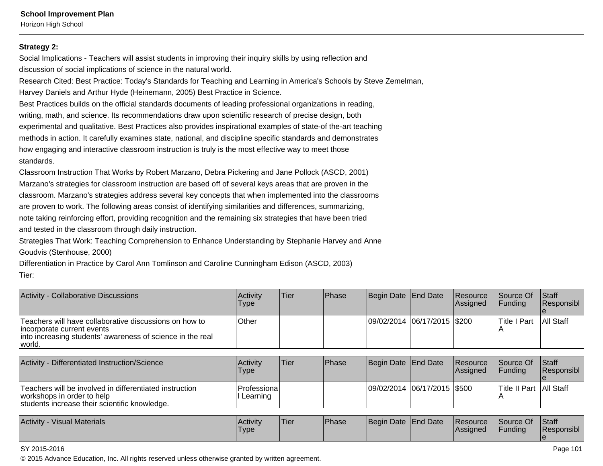Horizon High School

#### **Strategy 2:**

Social Implications - Teachers will assist students in improving their inquiry skills by using reflection anddiscussion of social implications of science in the natural world.

Research Cited: Best Practice: Today's Standards for Teaching and Learning in America's Schools by Steve Zemelman,Harvey Daniels and Arthur Hyde (Heinemann, 2005) Best Practice in Science.

Best Practices builds on the official standards documents of leading professional organizations in reading,writing, math, and science. Its recommendations draw upon scientific research of precise design, bothexperimental and qualitative. Best Practices also provides inspirational examples of state-of the-art teachingmethods in action. It carefully examines state, national, and discipline specific standards and demonstrateshow engaging and interactive classroom instruction is truly is the most effective way to meet thosestandards.

Classroom Instruction That Works by Robert Marzano, Debra Pickering and Jane Pollock (ASCD, 2001)Marzano's strategies for classroom instruction are based off of several keys areas that are proven in theclassroom. Marzano's strategies address several key concepts that when implemented into the classroomsare proven to work. The following areas consist of identifying similarities and differences, summarizing,note taking reinforcing effort, providing recognition and the remaining six strategies that have been triedand tested in the classroom through daily instruction.

Strategies That Work: Teaching Comprehension to Enhance Understanding by Stephanie Harvey and AnneGoudvis (Stenhouse, 2000)

Differentiation in Practice by Carol Ann Tomlinson and Caroline Cunningham Edison (ASCD, 2003)Tier:

| Activity - Collaborative Discussions                                                                                                                         | <b>Activity</b><br>Type | Tier | <b>Phase</b> | Begin Date End Date         | Resource<br>Assigned | Source Of<br><b>IFunding</b> | <b>Staff</b><br>Responsibl |
|--------------------------------------------------------------------------------------------------------------------------------------------------------------|-------------------------|------|--------------|-----------------------------|----------------------|------------------------------|----------------------------|
| Teachers will have collaborative discussions on how to<br>incorporate current events<br>into increasing students' awareness of science in the real<br>world. | Other                   |      |              | 09/02/2014 06/17/2015 \$200 |                      | <b>Title I Part</b>          | <b>All Staff</b>           |

| Activity - Differentiated Instruction/Science                                                                                          | Activity<br>Type         | Tier | <b>IPhase</b> | Begin Date End Date          | <b>Resource</b><br>Assigned | <b>Source Of</b><br><b>IFunding</b> | Staff<br>Responsibl |
|----------------------------------------------------------------------------------------------------------------------------------------|--------------------------|------|---------------|------------------------------|-----------------------------|-------------------------------------|---------------------|
| Teachers will be involved in differentiated instruction<br>workshops in order to help<br>students increase their scientific knowledge. | Professiona <br>Learning |      |               | 09/02/2014 06/17/2015 \\$500 |                             | Title II Part   All Staff           |                     |

| Activity<br>- Visual Materials | <b>Activity</b><br><b>Type</b> | <sup>1</sup> Tier | <b>Phase</b> | Begin Date End Date |  | Resource<br><b>Assigned</b> | Source Of<br>Funding | <b>Staff</b><br>Responsibl |
|--------------------------------|--------------------------------|-------------------|--------------|---------------------|--|-----------------------------|----------------------|----------------------------|
|--------------------------------|--------------------------------|-------------------|--------------|---------------------|--|-----------------------------|----------------------|----------------------------|

#### SY 2015-2016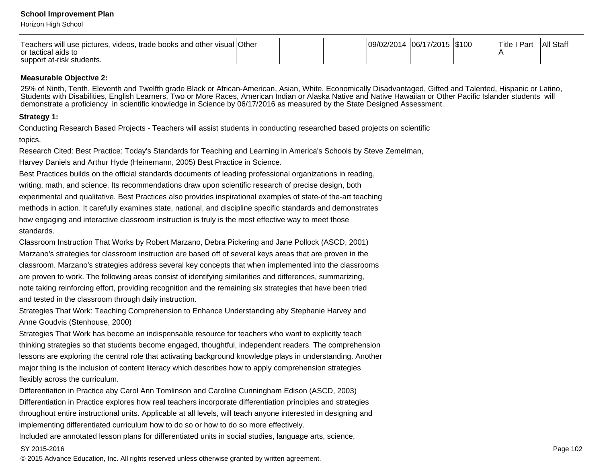Horizon High School

| Teachers will use pictures,<br>, videos, trade books and other visual Other<br>Tor tactical aids to |  | 09/02/2014 | 06/17/2015   \$100 | Part<br>Title i | All Staff |
|-----------------------------------------------------------------------------------------------------|--|------------|--------------------|-----------------|-----------|
| support at-risk students.                                                                           |  |            |                    |                 |           |

#### **Measurable Objective 2:**

25% of Ninth, Tenth, Eleventh and Twelfth grade Black or African-American, Asian, White, Economically Disadvantaged, Gifted and Talented, Hispanic or Latino, Students with Disabilities, English Learners, Two or More Races, American Indian or Alaska Native and Native Hawaiian or Other Pacific Islander students willdemonstrate a proficiency in scientific knowledge in Science by 06/17/2016 as measured by the State Designed Assessment.

## **Strategy 1:**

Conducting Research Based Projects - Teachers will assist students in conducting researched based projects on scientifictopics.

Research Cited: Best Practice: Today's Standards for Teaching and Learning in America's Schools by Steve Zemelman,Harvey Daniels and Arthur Hyde (Heinemann, 2005) Best Practice in Science.

Best Practices builds on the official standards documents of leading professional organizations in reading,writing, math, and science. Its recommendations draw upon scientific research of precise design, bothexperimental and qualitative. Best Practices also provides inspirational examples of state-of the-art teachingmethods in action. It carefully examines state, national, and discipline specific standards and demonstrateshow engaging and interactive classroom instruction is truly is the most effective way to meet thosestandards.

Classroom Instruction That Works by Robert Marzano, Debra Pickering and Jane Pollock (ASCD, 2001)Marzano's strategies for classroom instruction are based off of several keys areas that are proven in theclassroom. Marzano's strategies address several key concepts that when implemented into the classroomsare proven to work. The following areas consist of identifying similarities and differences, summarizing,note taking reinforcing effort, providing recognition and the remaining six strategies that have been triedand tested in the classroom through daily instruction.

Strategies That Work: Teaching Comprehension to Enhance Understanding aby Stephanie Harvey andAnne Goudvis (Stenhouse, 2000)

Strategies That Work has become an indispensable resource for teachers who want to explicitly teachthinking strategies so that students become engaged, thoughtful, independent readers. The comprehensionlessons are exploring the central role that activating background knowledge plays in understanding. Anothermajor thing is the inclusion of content literacy which describes how to apply comprehension strategiesflexibly across the curriculum.

Differentiation in Practice aby Carol Ann Tomlinson and Caroline Cunningham Edison (ASCD, 2003)Differentiation in Practice explores how real teachers incorporate differentiation principles and strategiesthroughout entire instructional units. Applicable at all levels, will teach anyone interested in designing andimplementing differentiated curriculum how to do so or how to do so more effectively.

Included are annotated lesson plans for differentiated units in social studies, language arts, science,

#### SY 2015-2016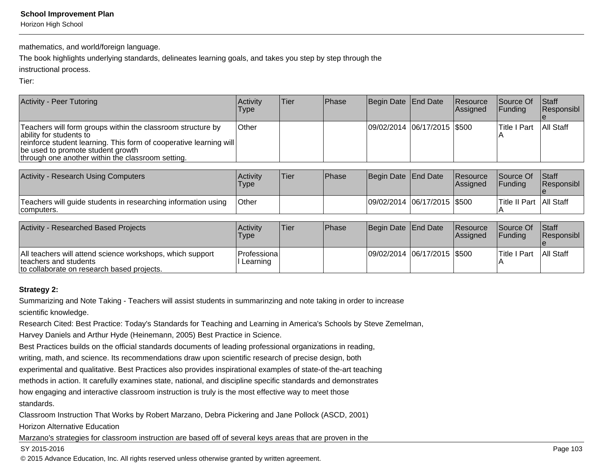Horizon High School

mathematics, and world/foreign language.

The book highlights underlying standards, delineates learning goals, and takes you step by step through the

instructional process.

Tier:

| <b>Activity - Peer Tutoring</b>                                                                                                                                                                                                                        | Activity<br>Type | Tier | Phase | Begin Date End Date           | Resource<br>Assigned  | Source Of<br>Funding      | Staff<br>Responsibl        |
|--------------------------------------------------------------------------------------------------------------------------------------------------------------------------------------------------------------------------------------------------------|------------------|------|-------|-------------------------------|-----------------------|---------------------------|----------------------------|
| Teachers will form groups within the classroom structure by<br>ability for students to<br>reinforce student learning. This form of cooperative learning will<br>be used to promote student growth<br>through one another within the classroom setting. | Other            |      |       | 09/02/2014 06/17/2015   \$500 |                       | <b>Title I Part</b>       | All Staff                  |
|                                                                                                                                                                                                                                                        |                  |      |       |                               |                       |                           |                            |
| <b>Activity - Research Using Computers</b>                                                                                                                                                                                                             | Activity<br>Type | Tier | Phase | Begin Date End Date           | Resource<br>Assigned  | Source Of<br>Funding      | Staff<br>Responsibl        |
| Teachers will guide students in researching information using<br>computers.                                                                                                                                                                            | Other            |      |       | 09/02/2014 06/17/2015 \$500   |                       | Title II Part   All Staff |                            |
|                                                                                                                                                                                                                                                        |                  |      |       |                               |                       |                           |                            |
| <b>Activity - Researched Based Projects</b>                                                                                                                                                                                                            | Activity<br>Type | Tier | Phase | Begin Date End Date           | Resource<br> Assigned | Source Of<br>Funding      | Staff<br><b>Responsibl</b> |

|                                                                                                                                   | <b>Type</b>                   |  |                             | <i><b>Assigned</b></i> | <b>IFunding</b>     | <b>IRESDONSIDI</b> |
|-----------------------------------------------------------------------------------------------------------------------------------|-------------------------------|--|-----------------------------|------------------------|---------------------|--------------------|
| All teachers will attend science workshops, which support<br>Iteachers and students<br>to collaborate on research based projects. | l Professiona l<br>I Learning |  | 09/02/2014 06/17/2015 \$500 |                        | <b>Title I Part</b> | <b>All Staff</b>   |

## **Strategy 2:**

Summarizing and Note Taking - Teachers will assist students in summarinzing and note taking in order to increasescientific knowledge.

Research Cited: Best Practice: Today's Standards for Teaching and Learning in America's Schools by Steve Zemelman,

Harvey Daniels and Arthur Hyde (Heinemann, 2005) Best Practice in Science.

Best Practices builds on the official standards documents of leading professional organizations in reading,

writing, math, and science. Its recommendations draw upon scientific research of precise design, both

experimental and qualitative. Best Practices also provides inspirational examples of state-of the-art teaching

methods in action. It carefully examines state, national, and discipline specific standards and demonstrates

how engaging and interactive classroom instruction is truly is the most effective way to meet those

standards.

Classroom Instruction That Works by Robert Marzano, Debra Pickering and Jane Pollock (ASCD, 2001)

Horizon Alternative Education

Marzano's strategies for classroom instruction are based off of several keys areas that are proven in the

#### SY 2015-2016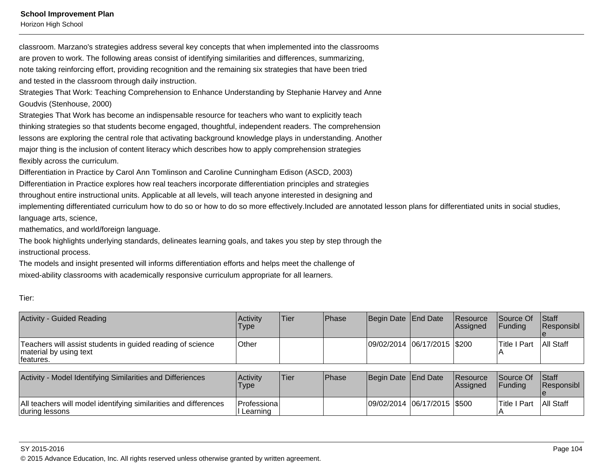Horizon High School

classroom. Marzano's strategies address several key concepts that when implemented into the classroomsare proven to work. The following areas consist of identifying similarities and differences, summarizing,note taking reinforcing effort, providing recognition and the remaining six strategies that have been triedand tested in the classroom through daily instruction.

Strategies That Work: Teaching Comprehension to Enhance Understanding by Stephanie Harvey and AnneGoudvis (Stenhouse, 2000)

Strategies That Work has become an indispensable resource for teachers who want to explicitly teach thinking strategies so that students become engaged, thoughtful, independent readers. The comprehensionlessons are exploring the central role that activating background knowledge plays in understanding. Anothermajor thing is the inclusion of content literacy which describes how to apply comprehension strategiesflexibly across the curriculum.

Differentiation in Practice by Carol Ann Tomlinson and Caroline Cunningham Edison (ASCD, 2003)

Differentiation in Practice explores how real teachers incorporate differentiation principles and strategies

throughout entire instructional units. Applicable at all levels, will teach anyone interested in designing and

implementing differentiated curriculum how to do so or how to do so more effectively.Included are annotated lesson plans for differentiated units in social studies,language arts, science,

mathematics, and world/foreign language.

The book highlights underlying standards, delineates learning goals, and takes you step by step through theinstructional process.

The models and insight presented will informs differentiation efforts and helps meet the challenge ofmixed-ability classrooms with academically responsive curriculum appropriate for all learners.

| ۰ |              |  |
|---|--------------|--|
|   | I<br>w<br>۰. |  |

| Activity - Guided Reading                                                                          | Activity<br>Type | <b>Tier</b> | Phase | Begin Date End Date         | Resource<br><b>Assianed</b> | Source Of<br><b>IFunding</b> | <b>Staff</b><br><b>Responsibl</b> |
|----------------------------------------------------------------------------------------------------|------------------|-------------|-------|-----------------------------|-----------------------------|------------------------------|-----------------------------------|
| Teachers will assist students in guided reading of science<br>material by using text<br>Ifeatures. | <b>Other</b>     |             |       | 09/02/2014 06/17/2015 \$200 |                             | <b>Title I Part</b>          | All Staff                         |

| Activity - Model Identifying Similarities and Differiences                         | <b>Activity</b><br><b>Type</b> | Tier | <b>IPhase</b> | Begin Date End Date |                               | <b>Resource</b><br><b>Assigned</b> | Source Of<br><b>IFundina</b> | <b>Staff</b><br><b>Responsibl</b> |
|------------------------------------------------------------------------------------|--------------------------------|------|---------------|---------------------|-------------------------------|------------------------------------|------------------------------|-----------------------------------|
| All teachers will model identifying similarities and differences<br>during lessons | IProfessional<br>I Learning    |      |               |                     | 09/02/2014  06/17/2015  \$500 |                                    | Title I Part                 | <b>All Staff</b>                  |

SY 2015-2016es a construction of the construction of the construction of the construction of the construction of the construction of the construction of the construction of the construction of the construction of the construction of t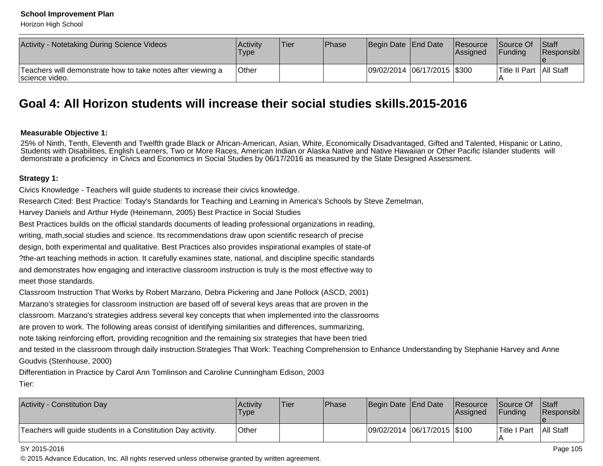Horizon High School

| Activity - Notetaking During Science Videos                                    | Activitv<br>Type | lTier. | <b>IPhase</b> | Begin Date End Date          | <b>Resource</b><br><b>Assianed</b> | Source Of Staff<br><b>Funding</b> | Responsibl |
|--------------------------------------------------------------------------------|------------------|--------|---------------|------------------------------|------------------------------------|-----------------------------------|------------|
| Teachers will demonstrate how to take notes after viewing a<br>Iscience video. | Other            |        |               | 09/02/2014 06/17/2015 \\$300 |                                    | Title II Part   All Staff         |            |

## **Goal 4: All Horizon students will increase their social studies skills.2015-2016**

## **Measurable Objective 1:**

25% of Ninth, Tenth, Eleventh and Twelfth grade Black or African-American, Asian, White, Economically Disadvantaged, Gifted and Talented, Hispanic or Latino,<br>Students with Disabilities, English Learners, Two or More Races, demonstrate a proficiency in Civics and Economics in Social Studies by 06/17/2016 as measured by the State Designed Assessment.

## **Strategy 1:**

Civics Knowledge - Teachers will guide students to increase their civics knowledge.

Research Cited: Best Practice: Today's Standards for Teaching and Learning in America's Schools by Steve Zemelman,

Harvey Daniels and Arthur Hyde (Heinemann, 2005) Best Practice in Social Studies

Best Practices builds on the official standards documents of leading professional organizations in reading,

writing, math,social studies and science. Its recommendations draw upon scientific research of precise

design, both experimental and qualitative. Best Practices also provides inspirational examples of state-of

?the-art teaching methods in action. It carefully examines state, national, and discipline specific standardsand demonstrates how engaging and interactive classroom instruction is truly is the most effective way tomeet those standards.

Classroom Instruction That Works by Robert Marzano, Debra Pickering and Jane Pollock (ASCD, 2001)

Marzano's strategies for classroom instruction are based off of several keys areas that are proven in the

classroom. Marzano's strategies address several key concepts that when implemented into the classrooms

are proven to work. The following areas consist of identifying similarities and differences, summarizing,

note taking reinforcing effort, providing recognition and the remaining six strategies that have been tried

and tested in the classroom through daily instruction.Strategies That Work: Teaching Comprehension to Enhance Understanding by Stephanie Harvey and AnneGoudvis (Stenhouse, 2000)

```
Differentiation in Practice by Carol Ann Tomlinson and Caroline Cunningham Edison, 2003Tier:
```

| <b>Activity - Constitution Day</b>                           | Activity<br><b>Type</b> | Tier | <b>Phase</b> | Begin Date End Date         | Resource<br><b>IAssianed</b> | <b>Source Of</b><br><b>IFundina</b> | <b>Staff</b><br><b>Responsibl</b> |
|--------------------------------------------------------------|-------------------------|------|--------------|-----------------------------|------------------------------|-------------------------------------|-----------------------------------|
| Teachers will guide students in a Constitution Day activity. | Other                   |      |              | 09/02/2014 06/17/2015 \$100 |                              | Title I Part                        | <b>All Staff</b>                  |

#### SY 2015-2016

es a construction of the construction of the construction of the construction of the construction of the construction of the construction of the construction of the construction of the construction of the construction of t © 2015 Advance Education, Inc. All rights reserved unless otherwise granted by written agreement.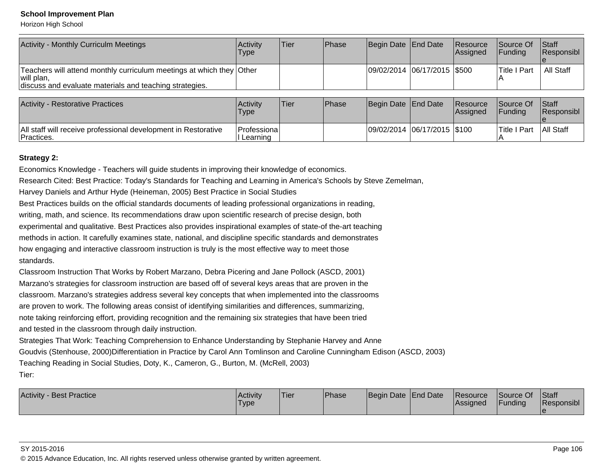Horizon High School

| <b>Activity - Monthly Curriculm Meetings</b>                                                                                                  | <b>Activity</b><br>Type | <b>Tier</b> | <b>Phase</b> | Begin Date End Date           | Resource<br>Assigned | Source Of<br><b>Funding</b> | <b>Staff</b><br>Responsibl |
|-----------------------------------------------------------------------------------------------------------------------------------------------|-------------------------|-------------|--------------|-------------------------------|----------------------|-----------------------------|----------------------------|
| Teachers will attend monthly curriculum meetings at which they Other<br>will plan,<br>discuss and evaluate materials and teaching strategies. |                         |             |              | 09/02/2014  06/17/2015  \$500 |                      | lTitle I Part               | All Staff                  |

| <b>Activity - Restorative Practices</b>                                      | Activitv<br>Type                    | 'Tier | <b>Phase</b> | Begin Date End Date |                             | <b>Resource</b><br><b>Assigned</b> | <b>Source Of</b><br><b>IFundina</b> | <b>Staff</b><br><b>Responsibl</b> |
|------------------------------------------------------------------------------|-------------------------------------|-------|--------------|---------------------|-----------------------------|------------------------------------|-------------------------------------|-----------------------------------|
| All staff will receive professional development in Restorative<br>Practices. | <b> Professional</b><br>II Learning |       |              |                     | 09/02/2014 06/17/2015 \$100 |                                    | lTitle I Part                       | All Staff                         |

## **Strategy 2:**

Economics Knowledge - Teachers will guide students in improving their knowledge of economics.Research Cited: Best Practice: Today's Standards for Teaching and Learning in America's Schools by Steve Zemelman,Harvey Daniels and Arthur Hyde (Heineman, 2005) Best Practice in Social Studies Best Practices builds on the official standards documents of leading professional organizations in reading,writing, math, and science. Its recommendations draw upon scientific research of precise design, both experimental and qualitative. Best Practices also provides inspirational examples of state-of the-art teachingmethods in action. It carefully examines state, national, and discipline specific standards and demonstrateshow engaging and interactive classroom instruction is truly is the most effective way to meet thosestandards.Classroom Instruction That Works by Robert Marzano, Debra Picering and Jane Pollock (ASCD, 2001)Marzano's strategies for classroom instruction are based off of several keys areas that are proven in the classroom. Marzano's strategies address several key concepts that when implemented into the classroomsare proven to work. The following areas consist of identifying similarities and differences, summarizing,

note taking reinforcing effort, providing recognition and the remaining six strategies that have been triedand tested in the classroom through daily instruction.

Strategies That Work: Teaching Comprehension to Enhance Understanding by Stephanie Harvey and Anne Goudvis (Stenhouse, 2000)Differentiation in Practice by Carol Ann Tomlinson and Caroline Cunningham Edison (ASCD, 2003)Teaching Reading in Social Studies, Doty, K., Cameron, G., Burton, M. (McRell, 2003)Tier:

| Activity<br><b>Best Practice</b> | Activity<br>Type | 'Tier | Phase | Begin Date End Date | <b>Resource</b><br><b>Assigned</b> | Source Of<br><b>Funding</b> | Staff<br>.<br>'Responsibl |
|----------------------------------|------------------|-------|-------|---------------------|------------------------------------|-----------------------------|---------------------------|
|                                  |                  |       |       |                     |                                    |                             |                           |

#### SY 2015-2016

© 2015 Advance Education, Inc. All rights reserved unless otherwise granted by written agreement.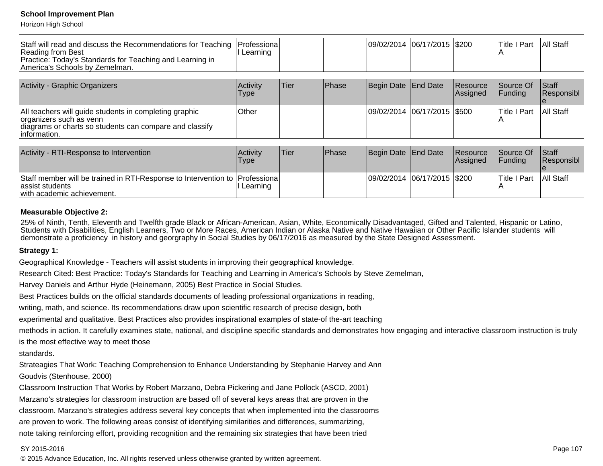Horizon High School

| Staff will read and discuss the Recommendations for Teaching<br>Reading from Best<br>Practice: Today's Standards for Teaching and Learning in<br>America's Schools by Zemelman. | Professiona<br>Learning |      |       |                     | 09/02/2014 06/17/2015 \$200 |                      | <b>Title I Part</b>   | <b>All Staff</b>           |
|---------------------------------------------------------------------------------------------------------------------------------------------------------------------------------|-------------------------|------|-------|---------------------|-----------------------------|----------------------|-----------------------|----------------------------|
| Activity - Graphic Organizers                                                                                                                                                   | Activity<br>Type        | Tier | Phase | Begin Date End Date |                             | Resource<br>Assigned | Source Of<br> Fundina | <b>Staff</b><br>Responsibl |
| All teachers will guide students in completing graphic<br>organizers such as venn<br>diagrams or charts so students can compare and classify<br>linformation.                   | Other                   |      |       |                     | 09/02/2014 06/17/2015 \$500 |                      | <b>Title I Part</b>   | All Staff                  |

| Activity - RTI-Response to Intervention                                                                                      | <b>Activity</b><br>Type | 'Tier | <b>Phase</b> | Begin Date End Date |                               | Resource<br><b>Assigned</b> | Source Of<br><b>IFundina</b> | <b>Staff</b><br><b>Responsibl</b> |
|------------------------------------------------------------------------------------------------------------------------------|-------------------------|-------|--------------|---------------------|-------------------------------|-----------------------------|------------------------------|-----------------------------------|
| Staff member will be trained in RTI-Response to Intervention to Professiona<br>assist students<br>with academic achievement. | I Learning              |       |              |                     | 09/02/2014  06/17/2015  \$200 |                             | Title I Part                 | <b>All Staff</b>                  |

### **Measurable Objective 2:**

25% of Ninth, Tenth, Eleventh and Twelfth grade Black or African-American, Asian, White, Economically Disadvantaged, Gifted and Talented, Hispanic or Latino,<br>Students with Disabilities, English Learners, Two or More Races, demonstrate a proficiency in history and georgraphy in Social Studies by 06/17/2016 as measured by the State Designed Assessment.

## **Strategy 1:**

Geographical Knowledge - Teachers will assist students in improving their geographical knowledge.

Research Cited: Best Practice: Today's Standards for Teaching and Learning in America's Schools by Steve Zemelman,

Harvey Daniels and Arthur Hyde (Heinemann, 2005) Best Practice in Social Studies.

Best Practices builds on the official standards documents of leading professional organizations in reading,

writing, math, and science. Its recommendations draw upon scientific research of precise design, both

experimental and qualitative. Best Practices also provides inspirational examples of state-of the-art teaching

methods in action. It carefully examines state, national, and discipline specific standards and demonstrates how engaging and interactive classroom instruction is truly

is the most effective way to meet those

standards.

Strateagies That Work: Teaching Comprehension to Enhance Understanding by Stephanie Harvey and Ann

Goudvis (Stenhouse, 2000)

Classroom Instruction That Works by Robert Marzano, Debra Pickering and Jane Pollock (ASCD, 2001)

Marzano's strategies for classroom instruction are based off of several keys areas that are proven in the

classroom. Marzano's strategies address several key concepts that when implemented into the classrooms

are proven to work. The following areas consist of identifying similarities and differences, summarizing,

note taking reinforcing effort, providing recognition and the remaining six strategies that have been tried

#### SY 2015-2016

© 2015 Advance Education, Inc. All rights reserved unless otherwise granted by written agreement.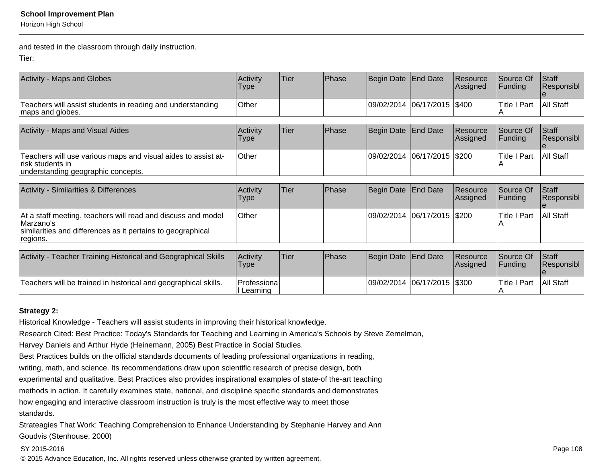Horizon High School

and tested in the classroom through daily instruction.

Tier:

| Activity - Maps and Globes                                                        | <b>Activity</b><br>Type | <b>Tier</b> | <b>IPhase</b> | Begin Date End Date           | <b>Resource</b><br>Assigned | <b>Source Of</b><br><b>Funding</b> | <b>Staff</b><br>Responsibl |
|-----------------------------------------------------------------------------------|-------------------------|-------------|---------------|-------------------------------|-----------------------------|------------------------------------|----------------------------|
| Teachers will assist students in reading and understanding<br>maps and globes.    | Other                   |             |               | 09/02/2014  06/17/2015  \$400 |                             | Title I Part                       | All Staff                  |
|                                                                                   |                         |             |               |                               |                             |                                    |                            |
| Activity - Maps and Visual Aides                                                  | <b>Activity</b><br>Type | Tier        | Phase         | Begin Date End Date           | <b>Resource</b><br>Assigned | Source Of<br>IFundina              | <b>Staff</b><br>Responsibl |
| Teachers will use various maps and visual aides to assist at-<br>risk students in | Other                   |             |               | 09/02/2014 06/17/2015 \$200   |                             | <b>Title I Part</b>                | <b>All Staff</b>           |

| Activity - Similarities & Differences                                                                                                                 | Activitv<br>Type | lTier. | <b>IPhase</b> | Begin Date End Date         | Resource<br>Assigned | Source Of<br><b>IFunding</b> | <b>Staff</b><br>Responsibl |
|-------------------------------------------------------------------------------------------------------------------------------------------------------|------------------|--------|---------------|-----------------------------|----------------------|------------------------------|----------------------------|
| At a staff meeting, teachers will read and discuss and model<br>IMarzano's<br>similarities and differences as it pertains to geographical<br>regions. | <b>Other</b>     |        |               | 09/02/2014 06/17/2015 \$200 |                      | lTitle I Part                | <b>All Staff</b>           |

| Activity -<br>Teacher Training Historical and Geographical Skills | Activity<br>Type         | <b>Tier</b> | <b>Phase</b> | Begin Date End Date          | <b>Resource</b><br> Assigned | Source Of<br><b>IFundina</b> | <b>Staff</b><br><b>Responsibl</b> |
|-------------------------------------------------------------------|--------------------------|-------------|--------------|------------------------------|------------------------------|------------------------------|-----------------------------------|
| Teachers will be trained in historical and geographical skills.   | Professiona <br>Learning |             |              | 09/02/2014 06/17/2015 \\$300 |                              | <b>Title I Part</b>          | All Staff                         |

## **Strategy 2:**

Historical Knowledge - Teachers will assist students in improving their historical knowledge.

Research Cited: Best Practice: Today's Standards for Teaching and Learning in America's Schools by Steve Zemelman,

Harvey Daniels and Arthur Hyde (Heinemann, 2005) Best Practice in Social Studies.

Best Practices builds on the official standards documents of leading professional organizations in reading,

writing, math, and science. Its recommendations draw upon scientific research of precise design, both

experimental and qualitative. Best Practices also provides inspirational examples of state-of the-art teaching

methods in action. It carefully examines state, national, and discipline specific standards and demonstrates

how engaging and interactive classroom instruction is truly is the most effective way to meet those

standards.

Strateagies That Work: Teaching Comprehension to Enhance Understanding by Stephanie Harvey and AnnGoudvis (Stenhouse, 2000)

#### SY 2015-2016

© 2015 Advance Education, Inc. All rights reserved unless otherwise granted by written agreement.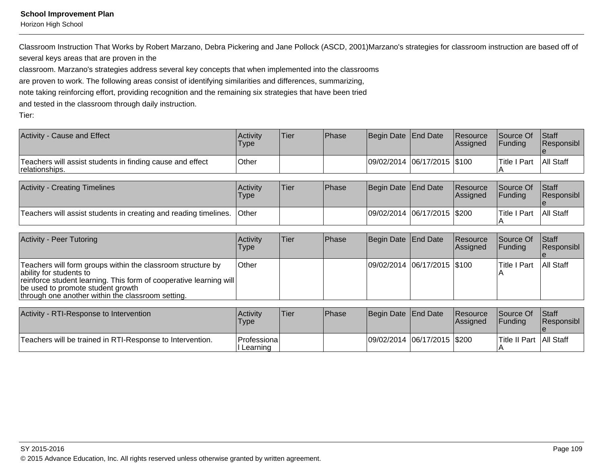Horizon High School

Classroom Instruction That Works by Robert Marzano, Debra Pickering and Jane Pollock (ASCD, 2001)Marzano's strategies for classroom instruction are based off ofseveral keys areas that are proven in the

classroom. Marzano's strategies address several key concepts that when implemented into the classrooms

are proven to work. The following areas consist of identifying similarities and differences, summarizing,

note taking reinforcing effort, providing recognition and the remaining six strategies that have been tried

and tested in the classroom through daily instruction.

Tier:

| Activity - Cause and Effect                                                 | Activity<br>'Type  | 'Tier | <b>Phase</b> | Begin Date End Date         | <b>Resource</b><br>lAssianed | Source Of<br><b>IFundina</b> | <b>Staff</b><br><b>Responsibl</b> |
|-----------------------------------------------------------------------------|--------------------|-------|--------------|-----------------------------|------------------------------|------------------------------|-----------------------------------|
| Teachers will assist students in finding cause and effect<br>relationships. | <sup>I</sup> Other |       |              | 09/02/2014 06/17/2015 \$100 |                              | <b>Title I Part</b>          | <b>All Staff</b>                  |

| <b>Activity - Creating Timelines</b>                             | Activity<br><b>Type</b> | Tier | <b>IPhase</b> | Begin Date End Date |                               | <b>Resource</b><br>lAssianed | Source Of<br><b>IFundina</b> | <b>Staff</b><br>Responsibl |
|------------------------------------------------------------------|-------------------------|------|---------------|---------------------|-------------------------------|------------------------------|------------------------------|----------------------------|
| Teachers will assist students in creating and reading timelines. | <b>Other</b>            |      |               |                     | 09/02/2014  06/17/2015  \$200 |                              | Title I Part                 | <b>All Staff</b>           |

| Activity - Peer Tutoring                                                                                                                                                                                                                                 | Activity<br><b>Type</b> | Tier | <b>IPhase</b> | Begin Date   End Date       | Resource<br><b>Assigned</b> | Source Of<br><b>IFunding</b> | <b>Staff</b><br>Responsibl |
|----------------------------------------------------------------------------------------------------------------------------------------------------------------------------------------------------------------------------------------------------------|-------------------------|------|---------------|-----------------------------|-----------------------------|------------------------------|----------------------------|
| Teachers will form groups within the classroom structure by<br>lability for students to<br> reinforce student learning. This form of cooperative learning will<br>be used to promote student growth<br>through one another within the classroom setting. | <b>Other</b>            |      |               | 09/02/2014 06/17/2015 \$100 |                             | lTitle I Part                | All Staff                  |

| Activity - RTI-Response to Intervention                   | Activity<br>'Type                | 'Tier | <b>IPhase</b> | Begin Date End Date         | <b>Resource</b><br><b>Assigned</b> | <b>Source Of</b><br><b>IFundina</b> | <b>Staff</b><br><b>Responsibl</b> |
|-----------------------------------------------------------|----------------------------------|-------|---------------|-----------------------------|------------------------------------|-------------------------------------|-----------------------------------|
| Teachers will be trained in RTI-Response to Intervention. | <b> Professional</b><br>Learning |       |               | 09/02/2014 06/17/2015 \$200 |                                    | Title II Part   All Staff           |                                   |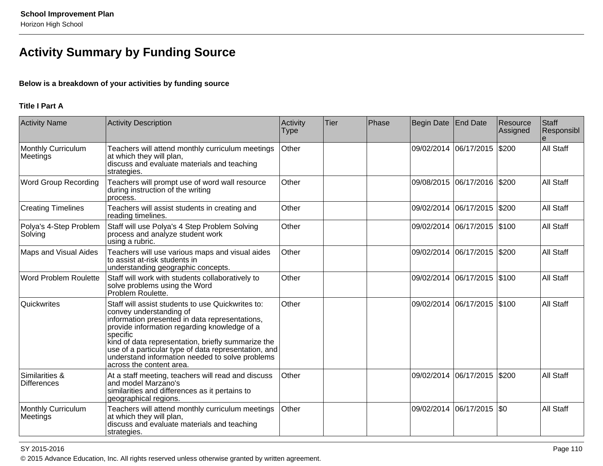# **Activity Summary by Funding Source**

## **Below is a breakdown of your activities by funding source**

## **Title I Part A**

| <b>Activity Name</b>                  | <b>Activity Description</b>                                                                                                                                                                                                                                                                                                                                                             | Activity<br><b>Type</b> | <b>Tier</b> | Phase | Begin Date End Date |                             | Resource<br>Assigned | Staff<br>Responsibl |
|---------------------------------------|-----------------------------------------------------------------------------------------------------------------------------------------------------------------------------------------------------------------------------------------------------------------------------------------------------------------------------------------------------------------------------------------|-------------------------|-------------|-------|---------------------|-----------------------------|----------------------|---------------------|
| <b>Monthly Curriculum</b><br>Meetings | Teachers will attend monthly curriculum meetings<br>at which they will plan,<br>discuss and evaluate materials and teaching<br>strategies.                                                                                                                                                                                                                                              | Other                   |             |       |                     | 09/02/2014 06/17/2015       | \$200                | All Staff           |
| <b>Word Group Recording</b>           | Teachers will prompt use of word wall resource<br>during instruction of the writing<br>process.                                                                                                                                                                                                                                                                                         | Other                   |             |       |                     | 09/08/2015 06/17/2016 \$200 |                      | All Staff           |
| <b>Creating Timelines</b>             | Teachers will assist students in creating and<br>reading timelines.                                                                                                                                                                                                                                                                                                                     | Other                   |             |       |                     | 09/02/2014 06/17/2015 \$200 |                      | <b>All Staff</b>    |
| Polya's 4-Step Problem<br>Solving     | Staff will use Polya's 4 Step Problem Solving<br>process and analyze student work<br>using a rubric.                                                                                                                                                                                                                                                                                    | Other                   |             |       |                     | 09/02/2014 06/17/2015 \$100 |                      | <b>All Staff</b>    |
| <b>Maps and Visual Aides</b>          | Teachers will use various maps and visual aides<br>to assist at-risk students in<br>understanding geographic concepts.                                                                                                                                                                                                                                                                  | Other                   |             |       |                     | 09/02/2014 06/17/2015       | \$200                | <b>All Staff</b>    |
| <b>Word Problem Roulette</b>          | Staff will work with students collaboratively to<br>solve problems using the Word<br>Problem Roulette.                                                                                                                                                                                                                                                                                  | Other                   |             |       |                     | 09/02/2014 06/17/2015 \$100 |                      | <b>All Staff</b>    |
| Quickwrites                           | Staff will assist students to use Quickwrites to:<br>convey understanding of<br>information presented in data representations,<br>provide information regarding knowledge of a<br>specific<br>kind of data representation, briefly summarize the<br>use of a particular type of data representation, and<br>understand information needed to solve problems<br>across the content area. | Other                   |             |       |                     | 09/02/2014 06/17/2015 \$100 |                      | <b>All Staff</b>    |
| Similarities &<br><b>Differences</b>  | At a staff meeting, teachers will read and discuss<br>and model Marzano's<br>similarities and differences as it pertains to<br>geographical regions.                                                                                                                                                                                                                                    | Other                   |             |       |                     | 09/02/2014 06/17/2015       | \$200                | <b>All Staff</b>    |
| Monthly Curriculum<br>Meetings        | Teachers will attend monthly curriculum meetings<br>at which they will plan,<br>discuss and evaluate materials and teaching<br>strategies.                                                                                                                                                                                                                                              | Other                   |             |       |                     | 09/02/2014 06/17/2015       | \$0                  | <b>All Staff</b>    |

en and the set of the set of the set of the set of the set of the set of the set of the set of the Page 110  $\,$ © 2015 Advance Education, Inc. All rights reserved unless otherwise granted by written agreement.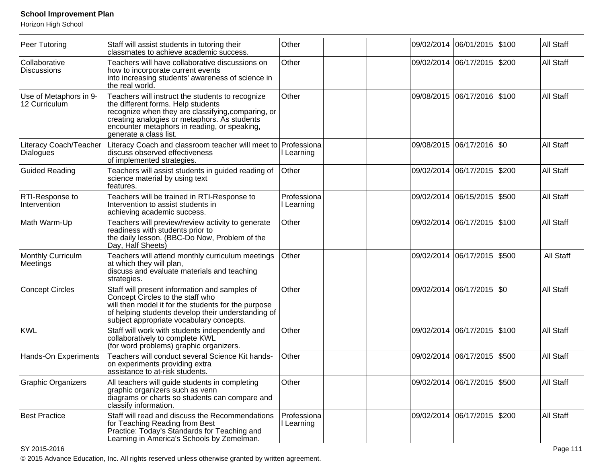Horizon High School

| Peer Tutoring                           | Staff will assist students in tutoring their<br>classmates to achieve academic success.                                                                                                                                                                                | Other                     |  | 09/02/2014 06/01/2015 \$100 |       | All Staff |
|-----------------------------------------|------------------------------------------------------------------------------------------------------------------------------------------------------------------------------------------------------------------------------------------------------------------------|---------------------------|--|-----------------------------|-------|-----------|
| Collaborative<br><b>Discussions</b>     | Teachers will have collaborative discussions on<br>how to incorporate current events<br>into increasing students' awareness of science in<br>the real world.                                                                                                           | Other                     |  | 09/02/2014 06/17/2015 \$200 |       | All Staff |
| Use of Metaphors in 9-<br>12 Curriculum | Teachers will instruct the students to recognize<br>the different forms. Help students<br>recognize when they are classifying, comparing, or<br>creating analogies or metaphors. As students<br>encounter metaphors in reading, or speaking,<br>generate a class list. | Other                     |  | 09/08/2015 06/17/2016 \$100 |       | All Staff |
| Literacy Coach/Teacher<br>Dialogues     | Literacy Coach and classroom teacher will meet to Professiona<br>discuss observed effectiveness<br>of implemented strategies.                                                                                                                                          | I Learning                |  | 09/08/2015 06/17/2016 \$0   |       | All Staff |
| <b>Guided Reading</b>                   | Teachers will assist students in guided reading of<br>science material by using text<br>features.                                                                                                                                                                      | Other                     |  | 09/02/2014 06/17/2015 \$200 |       | All Staff |
| RTI-Response to<br>Intervention         | Teachers will be trained in RTI-Response to<br>Intervention to assist students in<br>achieving academic success.                                                                                                                                                       | Professiona<br>Learning   |  | 09/02/2014 06/15/2015 \$500 |       | All Staff |
| Math Warm-Up                            | Teachers will preview/review activity to generate<br>readiness with students prior to<br>the daily lesson. (BBC-Do Now, Problem of the<br>Day, Half Sheets)                                                                                                            | Other                     |  | 09/02/2014 06/17/2015 \$100 |       | All Staff |
| Monthly Curriculm<br>Meetings           | Teachers will attend monthly curriculum meetings<br>at which they will plan,<br>discuss and evaluate materials and teaching<br>strategies.                                                                                                                             | Other                     |  | 09/02/2014 06/17/2015       | \$500 | All Staff |
| Concept Circles                         | Staff will present information and samples of<br>Concept Circles to the staff who<br>will then model it for the students for the purpose<br>of helping students develop their understanding of<br>subject appropriate vocabulary concepts.                             | Other                     |  | 09/02/2014 06/17/2015       | \$0   | All Staff |
| KWL                                     | Staff will work with students independently and<br>collaboratively to complete KWL<br>(for word problems) graphic organizers.                                                                                                                                          | Other                     |  | 09/02/2014 06/17/2015       | \$100 | All Staff |
| Hands-On Experiments                    | Teachers will conduct several Science Kit hands-<br>on experiments providing extra<br>assistance to at-risk students.                                                                                                                                                  | Other                     |  | 09/02/2014 06/17/2015       | \$500 | All Staff |
| <b>Graphic Organizers</b>               | All teachers will guide students in completing<br>graphic organizers such as venn<br>diagrams or charts so students can compare and<br>classify information.                                                                                                           | Other                     |  | 09/02/2014 06/17/2015 \$500 |       | All Staff |
| <b>Best Practice</b>                    | Staff will read and discuss the Recommendations<br>for Teaching Reading from Best<br>Practice: Today's Standards for Teaching and<br>Learning in America's Schools by Zemelman.                                                                                        | Professiona<br>I Learning |  | 09/02/2014 06/17/2015 \$200 |       | All Staff |

en and the set of the set of the set of the set of the set of the set of the set of the set of the Page 111  $\,$ © 2015 Advance Education, Inc. All rights reserved unless otherwise granted by written agreement.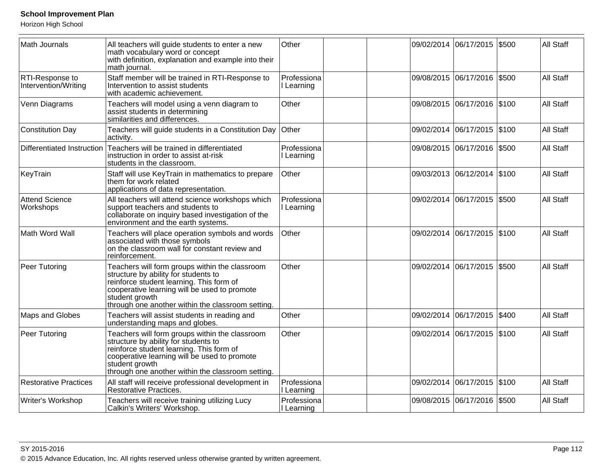Horizon High School

| Math Journals                           | All teachers will guide students to enter a new<br>math vocabulary word or concept<br>with definition, explanation and example into their<br>math journal.                                                                                                | Other                     |            | 09/02/2014 06/17/2015       | \$500 | All Staff        |
|-----------------------------------------|-----------------------------------------------------------------------------------------------------------------------------------------------------------------------------------------------------------------------------------------------------------|---------------------------|------------|-----------------------------|-------|------------------|
| RTI-Response to<br>Intervention/Writing | Staff member will be trained in RTI-Response to<br>Intervention to assist students<br>with academic achievement.                                                                                                                                          | Professiona<br>I Learning | 09/08/2015 | 06/17/2016 \$500            |       | All Staff        |
| Venn Diagrams                           | Teachers will model using a venn diagram to<br>assist students in determining<br>similarities and differences.                                                                                                                                            | Other                     |            | 09/08/2015 06/17/2016 \$100 |       | All Staff        |
| Constitution Day                        | Teachers will guide students in a Constitution Day<br>activity.                                                                                                                                                                                           | Other                     |            | 09/02/2014 06/17/2015       | \$100 | All Staff        |
| Differentiated Instruction              | Teachers will be trained in differentiated<br>instruction in order to assist at-risk<br>students in the classroom.                                                                                                                                        | Professiona<br>Learning   |            | 09/08/2015 06/17/2016 \$500 |       | All Staff        |
| KeyTrain                                | Staff will use KeyTrain in mathematics to prepare<br>them for work related<br>applications of data representation.                                                                                                                                        | Other                     |            | 09/03/2013 06/12/2014 \$100 |       | All Staff        |
| <b>Attend Science</b><br>Workshops      | All teachers will attend science workshops which<br>support teachers and students to<br>collaborate on inquiry based investigation of the<br>environment and the earth systems.                                                                           | Professiona<br>I Learning |            | 09/02/2014 06/17/2015       | \$500 | All Staff        |
| Math Word Wall                          | Teachers will place operation symbols and words<br>associated with those symbols<br>on the classroom wall for constant review and<br>reinforcement.                                                                                                       | Other                     |            | 09/02/2014 06/17/2015 \$100 |       | All Staff        |
| Peer Tutoring                           | Teachers will form groups within the classroom<br>structure by ability for students to<br>reinforce student learning. This form of<br>cooperative learning will be used to promote<br>student growth<br>through one another within the classroom setting. | Other                     |            | 09/02/2014 06/17/2015 \$500 |       | All Staff        |
| Maps and Globes                         | Teachers will assist students in reading and<br>understanding maps and globes.                                                                                                                                                                            | Other                     |            | 09/02/2014 06/17/2015       | \$400 | <b>All Staff</b> |
| Peer Tutoring                           | Teachers will form groups within the classroom<br>structure by ability for students to<br>reinforce student learning. This form of<br>cooperative learning will be used to promote<br>student growth<br>through one another within the classroom setting. | Other                     |            | 09/02/2014 06/17/2015 \$100 |       | All Staff        |
| <b>Restorative Practices</b>            | All staff will receive professional development in<br>Restorative Practices.                                                                                                                                                                              | Professiona<br>I Learning |            | 09/02/2014 06/17/2015 \$100 |       | All Staff        |
| Writer's Workshop                       | Teachers will receive training utilizing Lucy<br>Calkin's Writers' Workshop.                                                                                                                                                                              | Professiona<br>I Learning |            | 09/08/2015 06/17/2016 \$500 |       | All Staff        |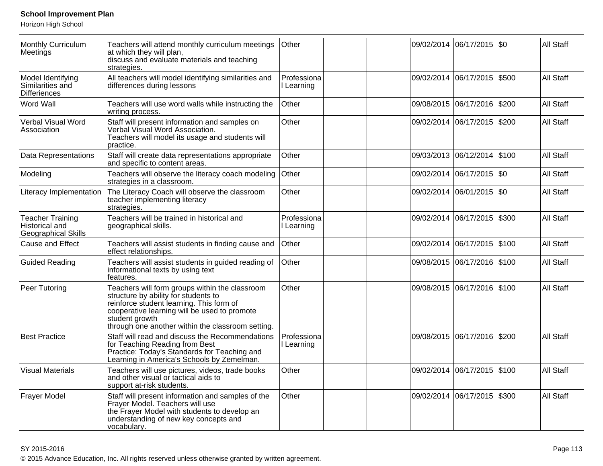Horizon High School

| Monthly Curriculum<br>Meetings                                          | Teachers will attend monthly curriculum meetings<br>at which they will plan,<br>discuss and evaluate materials and teaching<br>strategies.                                                                                                                | Other                     |            | 09/02/2014 06/17/2015 \$0   |       | <b>All Staff</b> |
|-------------------------------------------------------------------------|-----------------------------------------------------------------------------------------------------------------------------------------------------------------------------------------------------------------------------------------------------------|---------------------------|------------|-----------------------------|-------|------------------|
| Model Identifying<br>Similarities and<br><b>Differiences</b>            | All teachers will model identifying similarities and<br>differences during lessons                                                                                                                                                                        | Professiona<br>I Learning |            | 09/02/2014 06/17/2015 \$500 |       | <b>All Staff</b> |
| Word Wall                                                               | Teachers will use word walls while instructing the<br>writing process.                                                                                                                                                                                    | Other                     |            | 09/08/2015 06/17/2016 \$200 |       | All Staff        |
| Verbal Visual Word<br>Association                                       | Staff will present information and samples on<br>Verbal Visual Word Association.<br>Teachers will model its usage and students will<br>practice.                                                                                                          | Other                     | 09/02/2014 | 06/17/2015                  | \$200 | All Staff        |
| Data Representations                                                    | Staff will create data representations appropriate<br>and specific to content areas.                                                                                                                                                                      | Other                     |            | 09/03/2013 06/12/2014       | \$100 | <b>All Staff</b> |
| Modeling                                                                | Teachers will observe the literacy coach modeling<br>strategies in a classroom.                                                                                                                                                                           | Other                     |            | 09/02/2014 06/17/2015 \$0   |       | <b>All Staff</b> |
| Literacy Implementation                                                 | The Literacy Coach will observe the classroom<br>teacher implementing literacy<br>strategies.                                                                                                                                                             | Other                     |            | 09/02/2014 06/01/2015 \$0   |       | <b>All Staff</b> |
| <b>Teacher Training</b><br>Historical and<br><b>Geographical Skills</b> | Teachers will be trained in historical and<br>geographical skills.                                                                                                                                                                                        | Professiona<br>Learning   | 09/02/2014 | 06/17/2015                  | \$300 | <b>All Staff</b> |
| Cause and Effect                                                        | Teachers will assist students in finding cause and<br>effect relationships.                                                                                                                                                                               | Other                     | 09/02/2014 | 06/17/2015                  | \$100 | All Staff        |
| <b>Guided Reading</b>                                                   | Teachers will assist students in guided reading of<br>informational texts by using text<br>features.                                                                                                                                                      | Other                     |            | 09/08/2015 06/17/2016 \$100 |       | All Staff        |
| Peer Tutoring                                                           | Teachers will form groups within the classroom<br>structure by ability for students to<br>reinforce student learning. This form of<br>cooperative learning will be used to promote<br>student growth<br>through one another within the classroom setting. | Other                     |            | 09/08/2015 06/17/2016 \$100 |       | All Staff        |
| <b>Best Practice</b>                                                    | Staff will read and discuss the Recommendations<br>for Teaching Reading from Best<br>Practice: Today's Standards for Teaching and<br>Learning in America's Schools by Zemelman.                                                                           | Professiona<br>I Learning |            | 09/08/2015 06/17/2016 \$200 |       | <b>All Staff</b> |
| <b>Visual Materials</b>                                                 | Teachers will use pictures, videos, trade books<br>and other visual or tactical aids to<br>support at-risk students.                                                                                                                                      | Other                     | 09/02/2014 | 06/17/2015 \$100            |       | <b>All Staff</b> |
| <b>Frayer Model</b>                                                     | Staff will present information and samples of the<br>Frayer Model. Teachers will use<br>the Frayer Model with students to develop an<br>understanding of new key concepts and<br>vocabulary.                                                              | Other                     | 09/02/2014 | 06/17/2015                  | \$300 | <b>All Staff</b> |